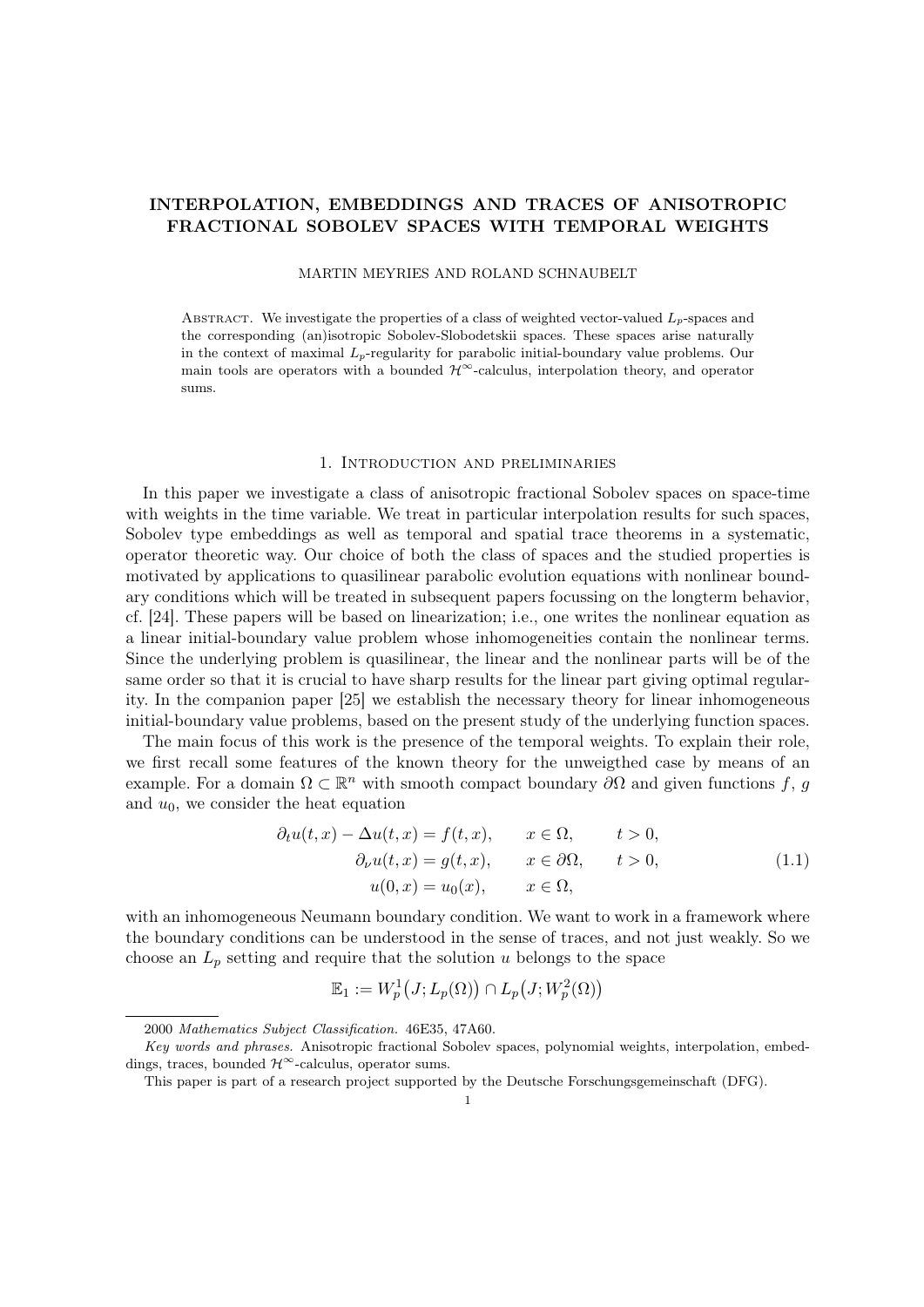# INTERPOLATION, EMBEDDINGS AND TRACES OF ANISOTROPIC FRACTIONAL SOBOLEV SPACES WITH TEMPORAL WEIGHTS

MARTIN MEYRIES AND ROLAND SCHNAUBELT

ABSTRACT. We investigate the properties of a class of weighted vector-valued  $L<sub>p</sub>$ -spaces and the corresponding (an)isotropic Sobolev-Slobodetskii spaces. These spaces arise naturally in the context of maximal  $L<sub>p</sub>$ -regularity for parabolic initial-boundary value problems. Our main tools are operators with a bounded  $\mathcal{H}^{\infty}$ -calculus, interpolation theory, and operator sums.

### 1. Introduction and preliminaries

In this paper we investigate a class of anisotropic fractional Sobolev spaces on space-time with weights in the time variable. We treat in particular interpolation results for such spaces, Sobolev type embeddings as well as temporal and spatial trace theorems in a systematic, operator theoretic way. Our choice of both the class of spaces and the studied properties is motivated by applications to quasilinear parabolic evolution equations with nonlinear boundary conditions which will be treated in subsequent papers focussing on the longterm behavior, cf. [24]. These papers will be based on linearization; i.e., one writes the nonlinear equation as a linear initial-boundary value problem whose inhomogeneities contain the nonlinear terms. Since the underlying problem is quasilinear, the linear and the nonlinear parts will be of the same order so that it is crucial to have sharp results for the linear part giving optimal regularity. In the companion paper [25] we establish the necessary theory for linear inhomogeneous initial-boundary value problems, based on the present study of the underlying function spaces.

The main focus of this work is the presence of the temporal weights. To explain their role, we first recall some features of the known theory for the unweigthed case by means of an example. For a domain  $\Omega \subset \mathbb{R}^n$  with smooth compact boundary  $\partial\Omega$  and given functions f, g and  $u_0$ , we consider the heat equation

$$
\partial_t u(t, x) - \Delta u(t, x) = f(t, x), \qquad x \in \Omega, \qquad t > 0,
$$
  
\n
$$
\partial_\nu u(t, x) = g(t, x), \qquad x \in \partial\Omega, \qquad t > 0,
$$
  
\n
$$
u(0, x) = u_0(x), \qquad x \in \Omega,
$$
\n(1.1)

with an inhomogeneous Neumann boundary condition. We want to work in a framework where the boundary conditions can be understood in the sense of traces, and not just weakly. So we choose an  $L_p$  setting and require that the solution u belongs to the space

$$
\mathbb{E}_1 := W_p^1\big(J; L_p(\Omega)\big) \cap L_p\big(J; W_p^2(\Omega)\big)
$$

<sup>2000</sup> Mathematics Subject Classification. 46E35, 47A60.

Key words and phrases. Anisotropic fractional Sobolev spaces, polynomial weights, interpolation, embeddings, traces, bounded  $\mathcal{H}^{\infty}$ -calculus, operator sums.

This paper is part of a research project supported by the Deutsche Forschungsgemeinschaft (DFG).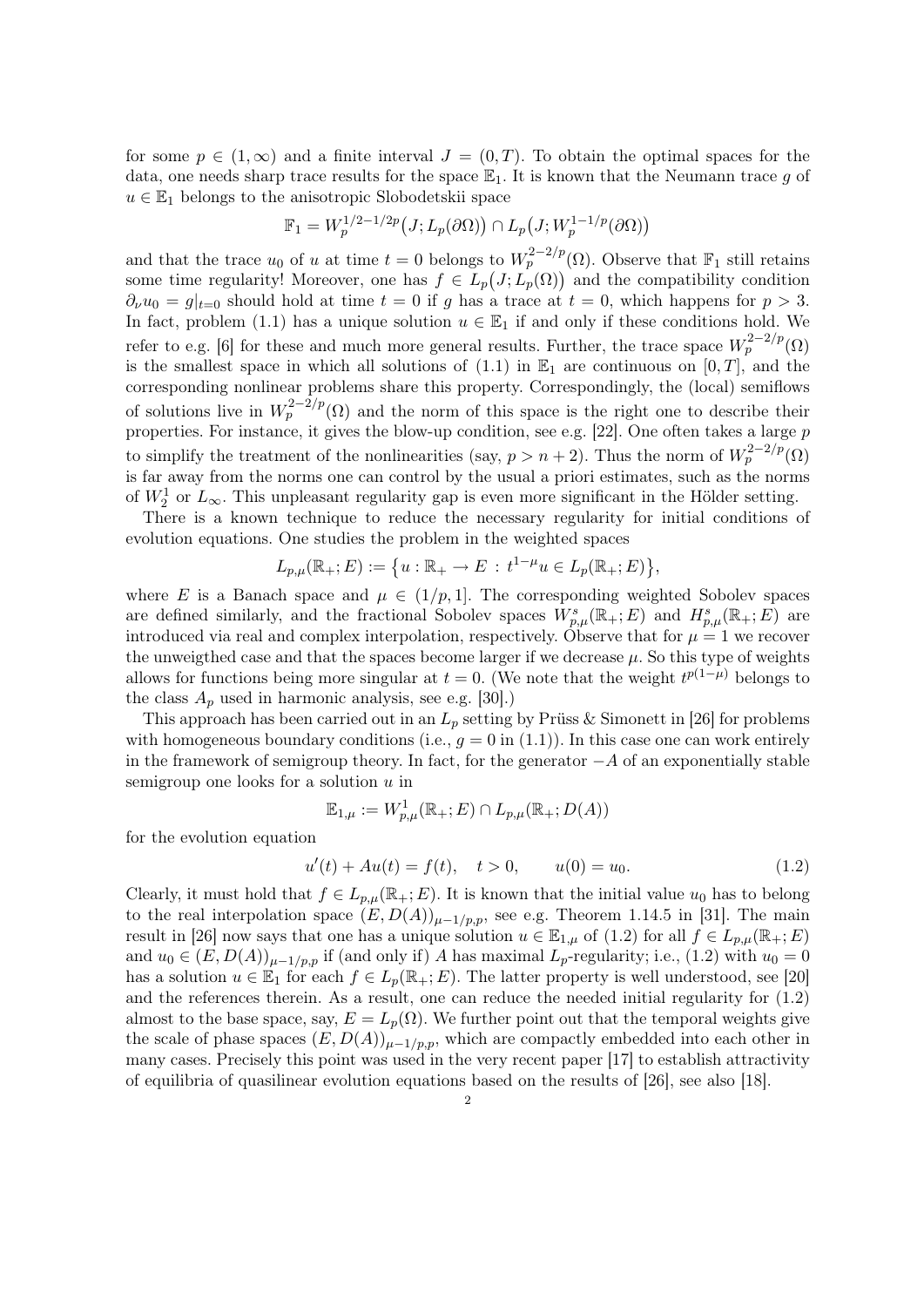for some  $p \in (1,\infty)$  and a finite interval  $J = (0,T)$ . To obtain the optimal spaces for the data, one needs sharp trace results for the space  $\mathbb{E}_1$ . It is known that the Neumann trace g of  $u \in \mathbb{E}_1$  belongs to the anisotropic Slobodetskii space

$$
\mathbb{F}_1 = W_p^{1/2 - 1/2p} \big( J; L_p(\partial \Omega) \big) \cap L_p \big( J; W_p^{1 - 1/p}(\partial \Omega) \big)
$$

and that the trace  $u_0$  of u at time  $t = 0$  belongs to  $W_p^{2-2/p}(\Omega)$ . Observe that  $\mathbb{F}_1$  still retains some time regularity! Moreover, one has  $f \in L_p(J; L_p(\Omega))$  and the compatibility condition  $\partial_{\nu}u_0 = g|_{t=0}$  should hold at time  $t = 0$  if g has a trace at  $t = 0$ , which happens for  $p > 3$ . In fact, problem (1.1) has a unique solution  $u \in \mathbb{E}_1$  if and only if these conditions hold. We refer to e.g. [6] for these and much more general results. Further, the trace space  $W_p^{2-2/p}(\Omega)$ is the smallest space in which all solutions of  $(1.1)$  in  $\mathbb{E}_1$  are continuous on  $[0, T]$ , and the corresponding nonlinear problems share this property. Correspondingly, the (local) semiflows of solutions live in  $W_p^{2-2/p}(\Omega)$  and the norm of this space is the right one to describe their properties. For instance, it gives the blow-up condition, see e.g. [22]. One often takes a large p to simplify the treatment of the nonlinearities (say,  $p > n + 2$ ). Thus the norm of  $W_p^{2-2/p}(\Omega)$ is far away from the norms one can control by the usual a priori estimates, such as the norms of  $W_2^1$  or  $L_{\infty}$ . This unpleasant regularity gap is even more significant in the Hölder setting.

There is a known technique to reduce the necessary regularity for initial conditions of evolution equations. One studies the problem in the weighted spaces

$$
L_{p,\mu}(\mathbb{R}_+;E) := \{ u : \mathbb{R}_+ \to E : t^{1-\mu}u \in L_p(\mathbb{R}_+;E) \},
$$

where E is a Banach space and  $\mu \in (1/p, 1]$ . The corresponding weighted Sobolev spaces are defined similarly, and the fractional Sobolev spaces  $W_{p,\mu}^s(\mathbb{R}_+;E)$  and  $H_{p,\mu}^s(\mathbb{R}_+;E)$  are introduced via real and complex interpolation, respectively. Observe that for  $\mu = 1$  we recover the unweigthed case and that the spaces become larger if we decrease  $\mu$ . So this type of weights allows for functions being more singular at  $t = 0$ . (We note that the weight  $t^{p(1-\mu)}$  belongs to the class  $A_p$  used in harmonic analysis, see e.g. [30].)

This approach has been carried out in an  $L_p$  setting by Prüss & Simonett in [26] for problems with homogeneous boundary conditions (i.e.,  $q = 0$  in (1.1)). In this case one can work entirely in the framework of semigroup theory. In fact, for the generator  $-A$  of an exponentially stable semigroup one looks for a solution  $u$  in

$$
\mathbb{E}_{1,\mu} := W^1_{p,\mu}(\mathbb{R}_+; E) \cap L_{p,\mu}(\mathbb{R}_+; D(A))
$$

for the evolution equation

$$
u'(t) + Au(t) = f(t), \quad t > 0, \qquad u(0) = u_0.
$$
\n(1.2)

Clearly, it must hold that  $f \in L_{p,\mu}(\mathbb{R}_+;E)$ . It is known that the initial value  $u_0$  has to belong to the real interpolation space  $(E, D(A))_{\mu-1/p,p}$ , see e.g. Theorem 1.14.5 in [31]. The main result in [26] now says that one has a unique solution  $u \in \mathbb{E}_{1,\mu}$  of (1.2) for all  $f \in L_{p,\mu}(\mathbb{R}_+; E)$ and  $u_0 \in (E, D(A))_{\mu-1/p,p}$  if (and only if) A has maximal  $L_p$ -regularity; i.e., (1.2) with  $u_0 = 0$ has a solution  $u \in \mathbb{E}_1$  for each  $f \in L_p(\mathbb{R}_+; E)$ . The latter property is well understood, see [20] and the references therein. As a result, one can reduce the needed initial regularity for (1.2) almost to the base space, say,  $E = L_p(\Omega)$ . We further point out that the temporal weights give the scale of phase spaces  $(E, D(A))_{\mu-1/p,p}$ , which are compactly embedded into each other in many cases. Precisely this point was used in the very recent paper [17] to establish attractivity of equilibria of quasilinear evolution equations based on the results of [26], see also [18].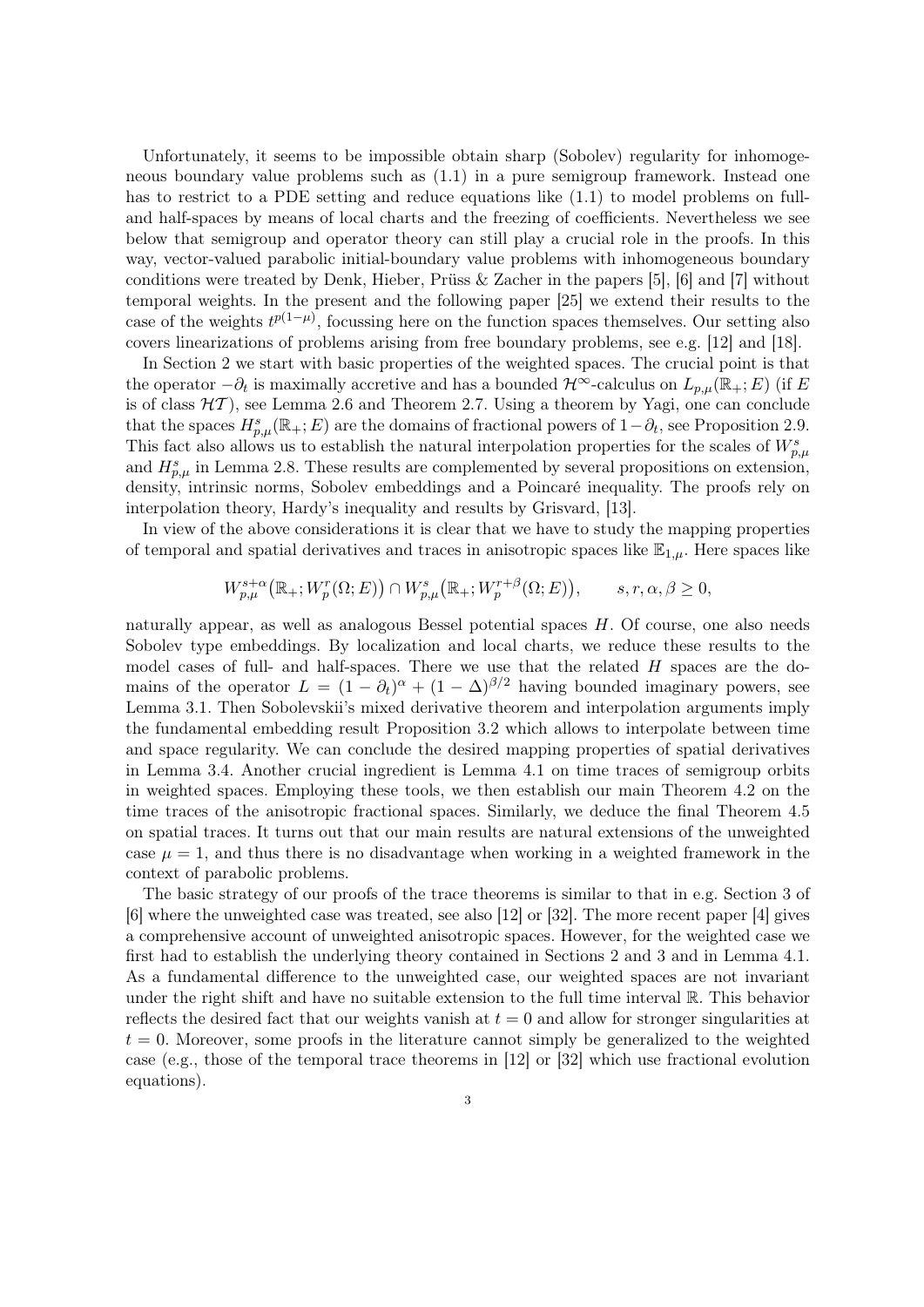Unfortunately, it seems to be impossible obtain sharp (Sobolev) regularity for inhomogeneous boundary value problems such as (1.1) in a pure semigroup framework. Instead one has to restrict to a PDE setting and reduce equations like (1.1) to model problems on fulland half-spaces by means of local charts and the freezing of coefficients. Nevertheless we see below that semigroup and operator theory can still play a crucial role in the proofs. In this way, vector-valued parabolic initial-boundary value problems with inhomogeneous boundary conditions were treated by Denk, Hieber, Prüss & Zacher in the papers [5], [6] and [7] without temporal weights. In the present and the following paper [25] we extend their results to the case of the weights  $t^{p(1-\mu)}$ , focussing here on the function spaces themselves. Our setting also covers linearizations of problems arising from free boundary problems, see e.g. [12] and [18].

In Section 2 we start with basic properties of the weighted spaces. The crucial point is that the operator  $-\partial_t$  is maximally accretive and has a bounded  $\mathcal{H}^{\infty}$ -calculus on  $L_{p,\mu}(\mathbb{R}_+;E)$  (if E is of class  $H(T)$ , see Lemma 2.6 and Theorem 2.7. Using a theorem by Yagi, one can conclude that the spaces  $H_{p,\mu}^s(\mathbb{R}_+;E)$  are the domains of fractional powers of  $1-\partial_t$ , see Proposition 2.9. This fact also allows us to establish the natural interpolation properties for the scales of  $W_{p,\mu}^s$ and  $H_{p,\mu}^s$  in Lemma 2.8. These results are complemented by several propositions on extension, density, intrinsic norms, Sobolev embeddings and a Poincaré inequality. The proofs rely on interpolation theory, Hardy's inequality and results by Grisvard, [13].

In view of the above considerations it is clear that we have to study the mapping properties of temporal and spatial derivatives and traces in anisotropic spaces like  $\mathbb{E}_{1,\mu}$ . Here spaces like

$$
W_{p,\mu}^{s+\alpha}(\mathbb{R}_+; W_p^r(\Omega; E)) \cap W_{p,\mu}^s(\mathbb{R}_+; W_p^{r+\beta}(\Omega; E)), \qquad s, r, \alpha, \beta \ge 0,
$$

naturally appear, as well as analogous Bessel potential spaces H. Of course, one also needs Sobolev type embeddings. By localization and local charts, we reduce these results to the model cases of full- and half-spaces. There we use that the related  $H$  spaces are the domains of the operator  $L = (1 - \partial_t)^{\alpha} + (1 - \Delta)^{\beta/2}$  having bounded imaginary powers, see Lemma 3.1. Then Sobolevskii's mixed derivative theorem and interpolation arguments imply the fundamental embedding result Proposition 3.2 which allows to interpolate between time and space regularity. We can conclude the desired mapping properties of spatial derivatives in Lemma 3.4. Another crucial ingredient is Lemma 4.1 on time traces of semigroup orbits in weighted spaces. Employing these tools, we then establish our main Theorem 4.2 on the time traces of the anisotropic fractional spaces. Similarly, we deduce the final Theorem 4.5 on spatial traces. It turns out that our main results are natural extensions of the unweighted case  $\mu = 1$ , and thus there is no disadvantage when working in a weighted framework in the context of parabolic problems.

The basic strategy of our proofs of the trace theorems is similar to that in e.g. Section 3 of [6] where the unweighted case was treated, see also [12] or [32]. The more recent paper [4] gives a comprehensive account of unweighted anisotropic spaces. However, for the weighted case we first had to establish the underlying theory contained in Sections 2 and 3 and in Lemma 4.1. As a fundamental difference to the unweighted case, our weighted spaces are not invariant under the right shift and have no suitable extension to the full time interval R. This behavior reflects the desired fact that our weights vanish at  $t = 0$  and allow for stronger singularities at  $t = 0$ . Moreover, some proofs in the literature cannot simply be generalized to the weighted case (e.g., those of the temporal trace theorems in [12] or [32] which use fractional evolution equations).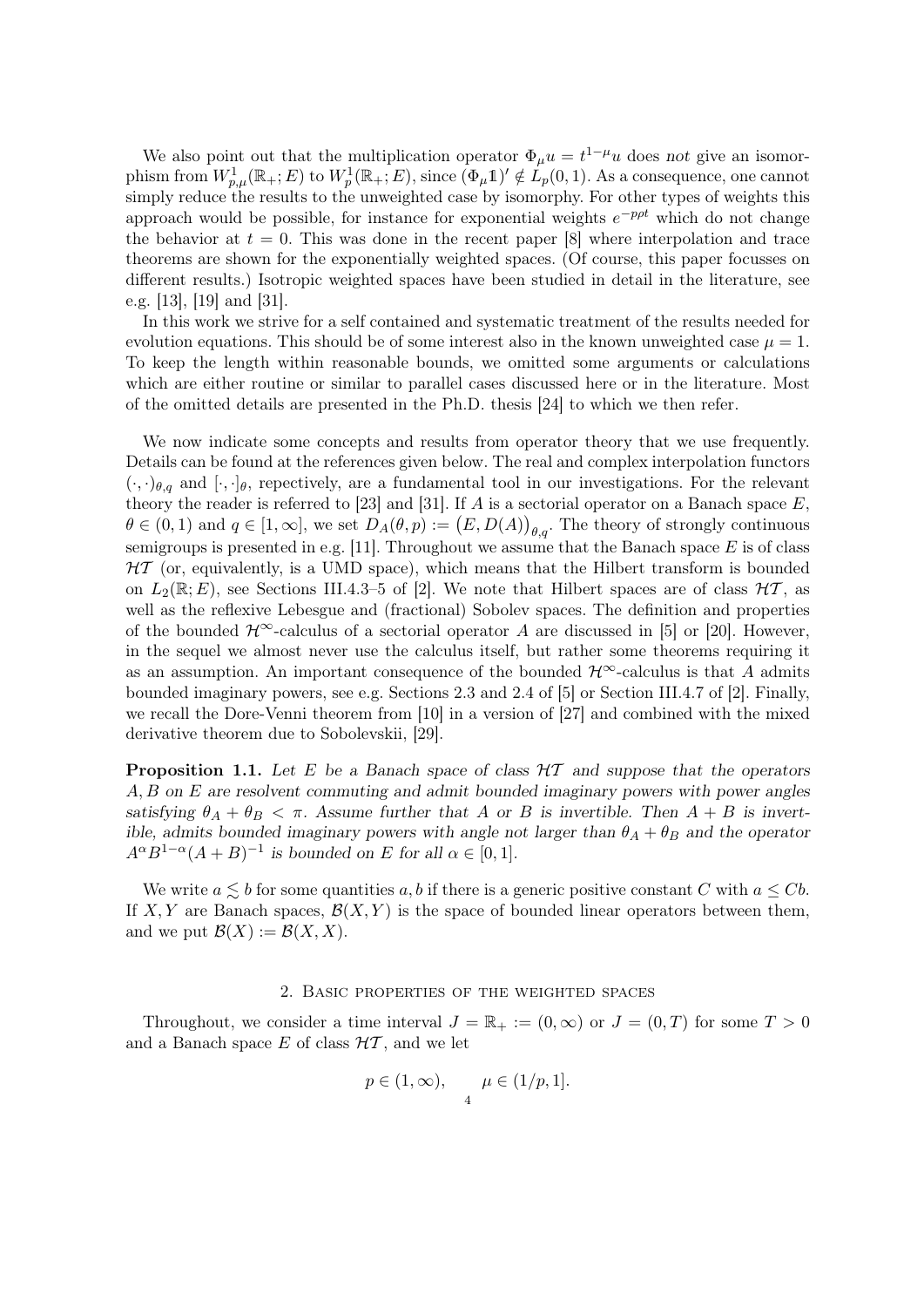We also point out that the multiplication operator  $\Phi_{\mu}u = t^{1-\mu}u$  does not give an isomorphism from  $W_{p,\mu}^1(\mathbb{R}_+;E)$  to  $W_p^1(\mathbb{R}_+;E)$ , since  $(\Phi_\mu 1)' \notin L_p(0,1)$ . As a consequence, one cannot simply reduce the results to the unweighted case by isomorphy. For other types of weights this approach would be possible, for instance for exponential weights  $e^{-p\rho t}$  which do not change the behavior at  $t = 0$ . This was done in the recent paper [8] where interpolation and trace theorems are shown for the exponentially weighted spaces. (Of course, this paper focusses on different results.) Isotropic weighted spaces have been studied in detail in the literature, see e.g. [13], [19] and [31].

In this work we strive for a self contained and systematic treatment of the results needed for evolution equations. This should be of some interest also in the known unweighted case  $\mu = 1$ . To keep the length within reasonable bounds, we omitted some arguments or calculations which are either routine or similar to parallel cases discussed here or in the literature. Most of the omitted details are presented in the Ph.D. thesis [24] to which we then refer.

We now indicate some concepts and results from operator theory that we use frequently. Details can be found at the references given below. The real and complex interpolation functors  $(\cdot, \cdot)_{\theta,q}$  and  $[\cdot, \cdot]_{\theta}$ , repectively, are a fundamental tool in our investigations. For the relevant theory the reader is referred to [23] and [31]. If  $A$  is a sectorial operator on a Banach space  $E$ ,  $\theta \in (0,1)$  and  $q \in [1,\infty]$ , we set  $D_A(\theta,p) := (E,D(A))_{\theta,q}$ . The theory of strongly continuous semigroups is presented in e.g. [11]. Throughout we assume that the Banach space  $E$  is of class  $HT$  (or, equivalently, is a UMD space), which means that the Hilbert transform is bounded on  $L_2(\mathbb{R}; E)$ , see Sections III.4.3–5 of [2]. We note that Hilbert spaces are of class  $\mathcal{HT}$ , as well as the reflexive Lebesgue and (fractional) Sobolev spaces. The definition and properties of the bounded  $\mathcal{H}^{\infty}$ -calculus of a sectorial operator A are discussed in [5] or [20]. However, in the sequel we almost never use the calculus itself, but rather some theorems requiring it as an assumption. An important consequence of the bounded  $\mathcal{H}^{\infty}$ -calculus is that A admits bounded imaginary powers, see e.g. Sections 2.3 and 2.4 of [5] or Section III.4.7 of [2]. Finally, we recall the Dore-Venni theorem from [10] in a version of [27] and combined with the mixed derivative theorem due to Sobolevskii, [29].

**Proposition 1.1.** Let E be a Banach space of class  $HT$  and suppose that the operators A, B on E are resolvent commuting and admit bounded imaginary powers with power angles satisfying  $\theta_A + \theta_B < \pi$ . Assume further that A or B is invertible. Then  $A + B$  is invertible, admits bounded imaginary powers with angle not larger than  $\theta_A + \theta_B$  and the operator  $A^{\alpha}B^{1-\alpha}(A+B)^{-1}$  is bounded on E for all  $\alpha \in [0,1]$ .

We write  $a \leq b$  for some quantities a, b if there is a generic positive constant C with  $a \leq Cb$ . If X, Y are Banach spaces,  $\mathcal{B}(X, Y)$  is the space of bounded linear operators between them, and we put  $\mathcal{B}(X) := \mathcal{B}(X, X)$ .

## 2. Basic properties of the weighted spaces

Throughout, we consider a time interval  $J = \mathbb{R}_+ := (0, \infty)$  or  $J = (0, T)$  for some  $T > 0$ and a Banach space  $E$  of class  $H\mathcal{T}$ , and we let

$$
p \in (1, \infty), \qquad \mu \in (1/p, 1].
$$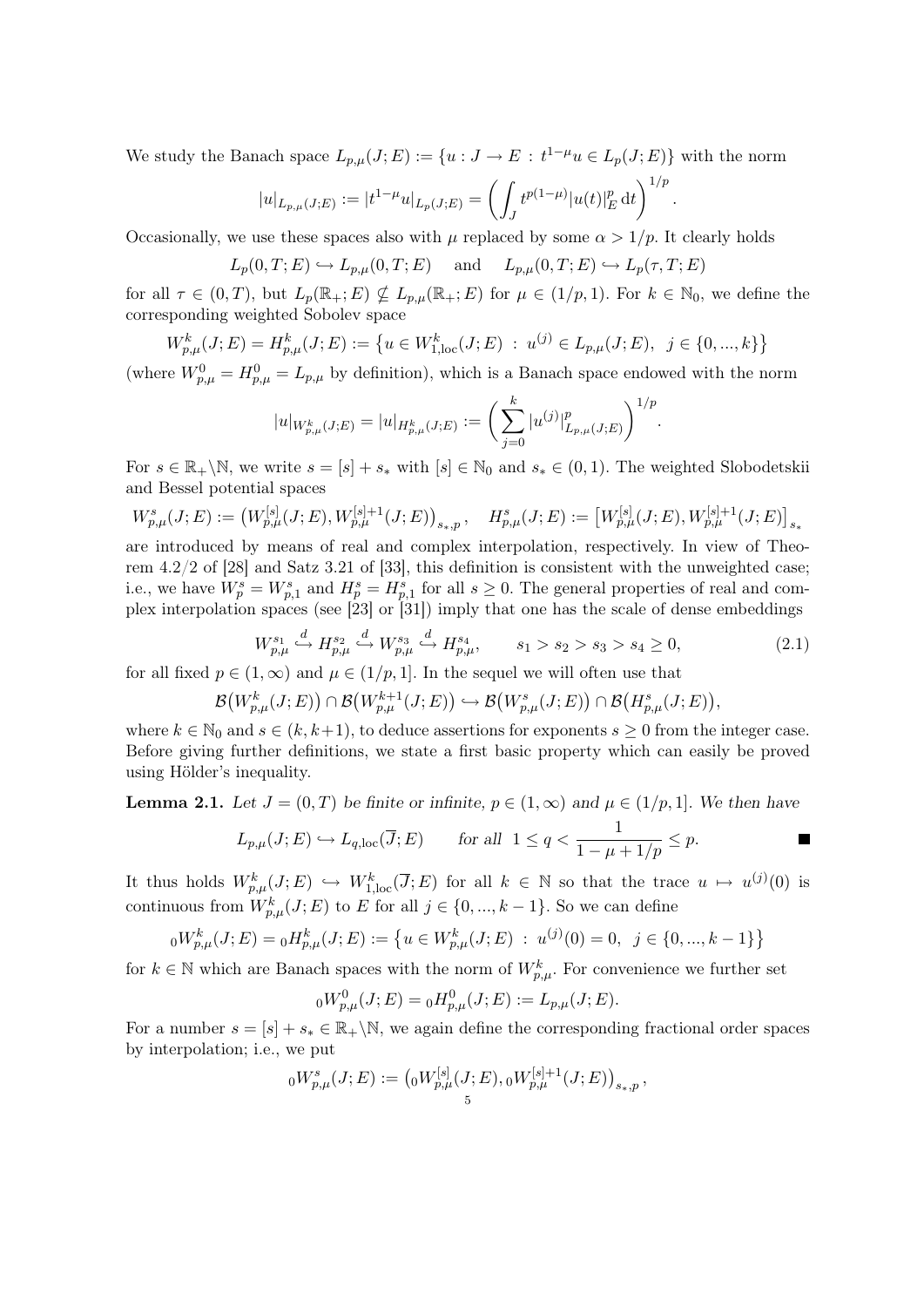We study the Banach space  $L_{p,\mu}(J;E) := \{u : J \to E : t^{1-\mu}u \in L_p(J;E)\}\$  with the norm

$$
|u|_{L_{p,\mu}(J;E)} := |t^{1-\mu}u|_{L_p(J;E)} = \left(\int_J t^{p(1-\mu)} |u(t)|_E^p dt\right)^{1/p}
$$

.

Occasionally, we use these spaces also with  $\mu$  replaced by some  $\alpha > 1/p$ . It clearly holds

 $L_p(0, T; E) \hookrightarrow L_{p,\mu}(0, T; E)$  and  $L_{p,\mu}(0, T; E) \hookrightarrow L_p(\tau, T; E)$ 

for all  $\tau \in (0,T)$ , but  $L_p(\mathbb{R}_+;E) \nsubseteq L_{p,\mu}(\mathbb{R}_+;E)$  for  $\mu \in (1/p,1)$ . For  $k \in \mathbb{N}_0$ , we define the corresponding weighted Sobolev space

$$
W_{p,\mu}^k(J;E) = H_{p,\mu}^k(J;E) := \left\{ u \in W_{1,\text{loc}}^k(J;E) \ : \ u^{(j)} \in L_{p,\mu}(J;E), \ j \in \{0, ..., k\} \right\}
$$

(where  $W_{p,\mu}^0 = H_{p,\mu}^0 = L_{p,\mu}$  by definition), which is a Banach space endowed with the norm

$$
|u|_{W_{p,\mu}^k(J;E)} = |u|_{H_{p,\mu}^k(J;E)} := \bigg(\sum_{j=0}^k |u^{(j)}|_{L_{p,\mu}(J;E)}^p\bigg)^{1/p}.
$$

For  $s \in \mathbb{R}_+ \backslash \mathbb{N}$ , we write  $s = [s] + s_*$  with  $[s] \in \mathbb{N}_0$  and  $s_* \in (0,1)$ . The weighted Slobodetskii and Bessel potential spaces

$$
W_{p,\mu}^{s}(J;E) := (W_{p,\mu}^{[s]}(J;E), W_{p,\mu}^{[s]+1}(J;E))_{s_*,p}, \quad H_{p,\mu}^{s}(J;E) := [W_{p,\mu}^{[s]}(J;E), W_{p,\mu}^{[s]+1}(J;E)]_{s_*}
$$

are introduced by means of real and complex interpolation, respectively. In view of Theorem 4.2/2 of [28] and Satz 3.21 of [33], this definition is consistent with the unweighted case; i.e., we have  $W_p^s = W_{p,1}^s$  and  $H_p^s = H_{p,1}^s$  for all  $s \geq 0$ . The general properties of real and complex interpolation spaces (see [23] or [31]) imply that one has the scale of dense embeddings

$$
W_{p,\mu}^{s_1} \xrightarrow{d} H_{p,\mu}^{s_2} \xrightarrow{d} W_{p,\mu}^{s_3} \xrightarrow{d} H_{p,\mu}^{s_4}, \qquad s_1 > s_2 > s_3 > s_4 \ge 0,\tag{2.1}
$$

for all fixed  $p \in (1,\infty)$  and  $\mu \in (1/p,1]$ . In the sequel we will often use that

 $\mathcal{B}(W_{p,\mu}^k(J;E)) \cap \mathcal{B}(W_{p,\mu}^{k+1}(J;E)) \hookrightarrow \mathcal{B}(W_{p,\mu}^s(J;E)) \cap \mathcal{B}(H_{p,\mu}^s(J;E)),$ 

where  $k \in \mathbb{N}_0$  and  $s \in (k, k+1)$ , to deduce assertions for exponents  $s \geq 0$  from the integer case. Before giving further definitions, we state a first basic property which can easily be proved using Hölder's inequality.

**Lemma 2.1.** Let  $J = (0, T)$  be finite or infinite,  $p \in (1, \infty)$  and  $\mu \in (1/p, 1]$ . We then have

$$
L_{p,\mu}(J;E) \hookrightarrow L_{q,\text{loc}}(\overline{J};E)
$$
 for all  $1 \le q < \frac{1}{1-\mu+1/p} \le p$ .

It thus holds  $W_{p,\mu}^k(J;E) \hookrightarrow W_{1,\text{loc}}^k(\overline{J};E)$  for all  $k \in \mathbb{N}$  so that the trace  $u \mapsto u^{(j)}(0)$  is continuous from  $W_{p,\mu}^k(J;E)$  to E for all  $j \in \{0, ..., k-1\}$ . So we can define

$$
{}_{0}W_{p,\mu}^{k}(J;E) = {}_{0}H_{p,\mu}^{k}(J;E) := \left\{ u \in W_{p,\mu}^{k}(J;E) : u^{(j)}(0) = 0, \ j \in \{0, ..., k-1\} \right\}
$$

for  $k \in \mathbb{N}$  which are Banach spaces with the norm of  $W_{p,\mu}^k$ . For convenience we further set

$$
{}_0W^0_{p,\mu}(J;E) = {}_0H^0_{p,\mu}(J;E) := L_{p,\mu}(J;E).
$$

For a number  $s = [s] + s_* \in \mathbb{R}_+ \backslash \mathbb{N}$ , we again define the corresponding fractional order spaces by interpolation; i.e., we put

$$
{}_0W_{p,\mu}^s(J;E) := \left( {}_0W_{p,\mu}^{[s]}(J;E), {}_0W_{p,\mu}^{[s]+1}(J;E) \right)_{s_*,p},
$$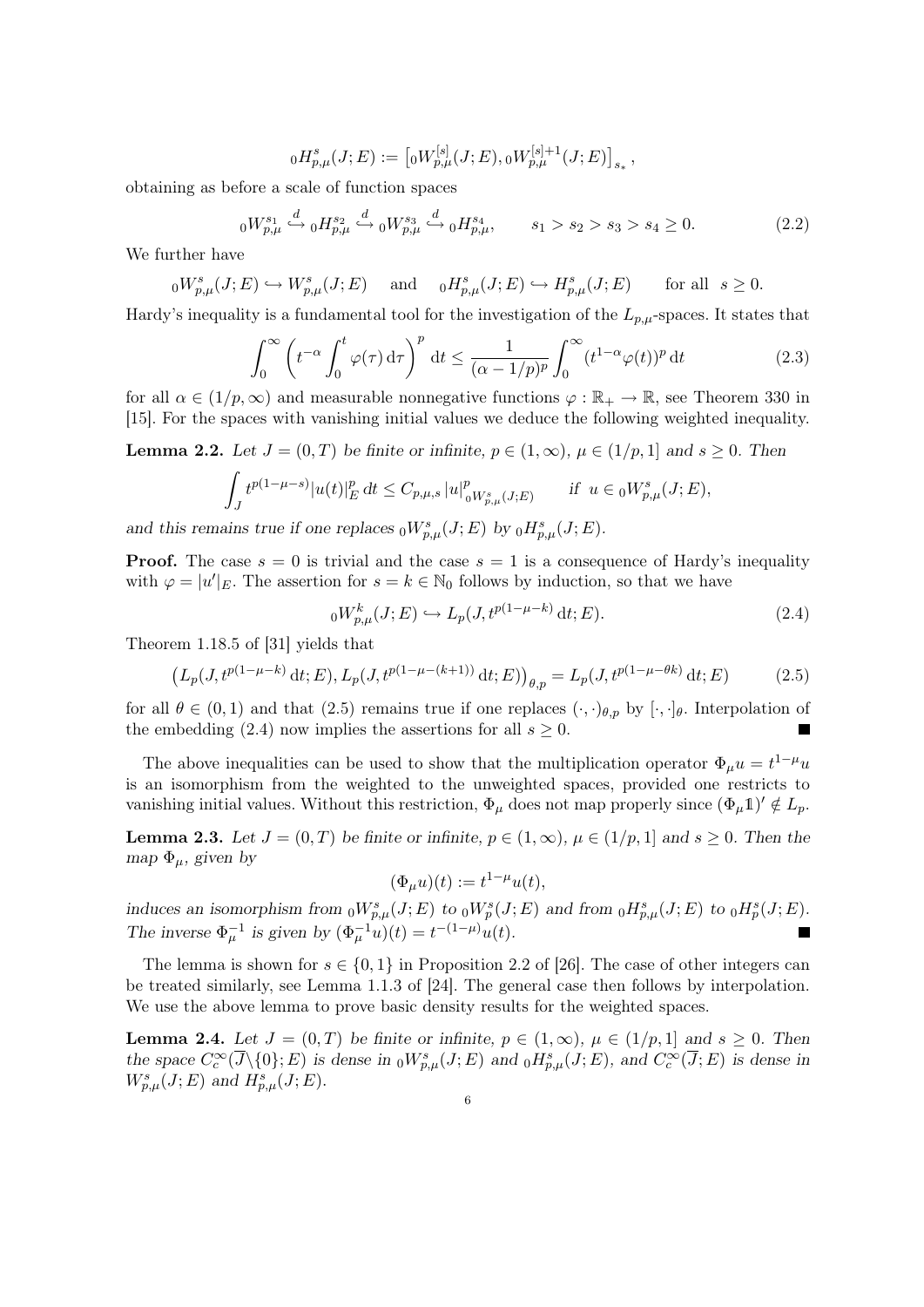$$
{}_{0}H_{p,\mu}^{s}(J;E):=[{}_{0}W_{p,\mu}^{[s]}(J;E),{}_{0}W_{p,\mu}^{[s]+1}(J;E)]_{s_*},
$$

obtaining as before a scale of function spaces

$$
{}_{0}W_{p,\mu}^{s_{1}} \stackrel{d}{\hookrightarrow} {}_{0}H_{p,\mu}^{s_{2}} \stackrel{d}{\hookrightarrow} {}_{0}W_{p,\mu}^{s_{3}} \stackrel{d}{\hookrightarrow} {}_{0}H_{p,\mu}^{s_{4}}, \qquad s_{1} > s_{2} > s_{3} > s_{4} \geq 0.
$$
 (2.2)

We further have

$$
{}_0W_{p,\mu}^s(J;E)\hookrightarrow W_{p,\mu}^s(J;E)\quad \text{ and }\quad {}_0H_{p,\mu}^s(J;E)\hookrightarrow H_{p,\mu}^s(J;E)\qquad \text{for all }\;s\geq 0.
$$

Hardy's inequality is a fundamental tool for the investigation of the  $L_{p,\mu}$ -spaces. It states that

$$
\int_0^\infty \left( t^{-\alpha} \int_0^t \varphi(\tau) \, \mathrm{d}\tau \right)^p \, \mathrm{d}t \le \frac{1}{(\alpha - 1/p)^p} \int_0^\infty (t^{1-\alpha} \varphi(t))^p \, \mathrm{d}t \tag{2.3}
$$

for all  $\alpha \in (1/p, \infty)$  and measurable nonnegative functions  $\varphi : \mathbb{R}_+ \to \mathbb{R}$ , see Theorem 330 in [15]. For the spaces with vanishing initial values we deduce the following weighted inequality.

**Lemma 2.2.** Let  $J = (0, T)$  be finite or infinite,  $p \in (1, \infty)$ ,  $\mu \in (1/p, 1]$  and  $s \ge 0$ . Then

$$
\int_{J} t^{p(1-\mu-s)} |u(t)|_{E}^{p} dt \leq C_{p,\mu,s} |u|_{\substack{0 \ W_{p,\mu}(J;E)}}^{p} \quad \text{if } u \in \substack{0 \ W_{p,\mu}^{s}(J;E)},
$$

and this remains true if one replaces  ${}_0W^s_{p,\mu}(J;E)$  by  ${}_0H^s_{p,\mu}(J;E)$ .

**Proof.** The case  $s = 0$  is trivial and the case  $s = 1$  is a consequence of Hardy's inequality with  $\varphi = |u'|_E$ . The assertion for  $s = k \in \mathbb{N}_0$  follows by induction, so that we have

$$
{}_{0}W_{p,\mu}^{k}(J;E) \hookrightarrow L_{p}(J,t^{p(1-\mu-k)}\,\mathrm{d}t;E). \tag{2.4}
$$

Theorem 1.18.5 of [31] yields that

$$
(L_p(J, t^{p(1-\mu-k)} \, \mathrm{d}t; E), L_p(J, t^{p(1-\mu-(k+1))} \, \mathrm{d}t; E))_{\theta, p} = L_p(J, t^{p(1-\mu-\theta k)} \, \mathrm{d}t; E) \tag{2.5}
$$

for all  $\theta \in (0,1)$  and that  $(2.5)$  remains true if one replaces  $(\cdot,\cdot)_{\theta,p}$  by  $[\cdot,\cdot]_{\theta}$ . Interpolation of the embedding (2.4) now implies the assertions for all  $s \geq 0$ .

The above inequalities can be used to show that the multiplication operator  $\Phi_{\mu}u = t^{1-\mu}u$ is an isomorphism from the weighted to the unweighted spaces, provided one restricts to vanishing initial values. Without this restriction,  $\Phi_{\mu}$  does not map properly since  $(\Phi_{\mu}1')' \notin L_p$ .

**Lemma 2.3.** Let  $J = (0, T)$  be finite or infinite,  $p \in (1, \infty)$ ,  $\mu \in (1/p, 1]$  and  $s \ge 0$ . Then the map  $\Phi_{\mu}$ , given by

$$
(\Phi_{\mu}u)(t) := t^{1-\mu}u(t),
$$

induces an isomorphism from  ${}_0W_{p,\mu}^s(J;E)$  to  ${}_0W_p^s(J;E)$  and from  ${}_0H_{p,\mu}^s(J;E)$  to  ${}_0H_p^s(J;E)$ . The inverse  $\Phi_{\mu}^{-1}$  is given by  $(\Phi_{\mu}^{-1}u)(t) = t^{-(1-\mu)}u(t)$ .

The lemma is shown for  $s \in \{0, 1\}$  in Proposition 2.2 of [26]. The case of other integers can be treated similarly, see Lemma 1.1.3 of [24]. The general case then follows by interpolation. We use the above lemma to prove basic density results for the weighted spaces.

**Lemma 2.4.** Let  $J = (0, T)$  be finite or infinite,  $p \in (1, \infty)$ ,  $\mu \in (1/p, 1]$  and  $s \geq 0$ . Then the space  $C_c^{\infty}(\overline{J}\setminus\{0\};E)$  is dense in  ${}_0W^s_{p,\mu}(J;E)$  and  ${}_0H^s_{p,\mu}(J;E)$ , and  $C_c^{\infty}(\overline{J};E)$  is dense in  $W_{p,\mu}^s(J;E)$  and  $H_{p,\mu}^s(J;E)$ .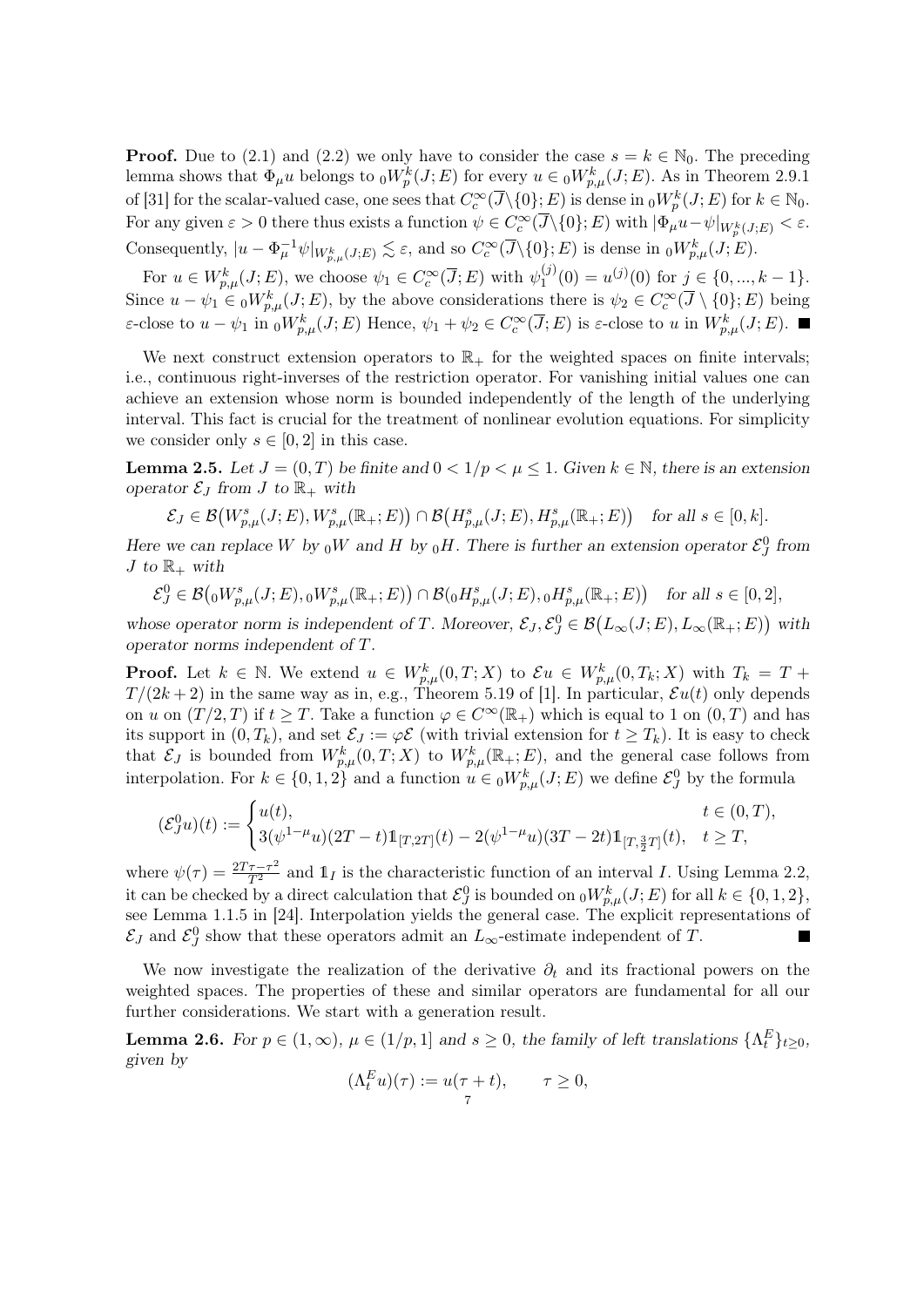**Proof.** Due to (2.1) and (2.2) we only have to consider the case  $s = k \in \mathbb{N}_0$ . The preceding lemma shows that  $\Phi_\mu u$  belongs to  ${}_0W_p^k(J;E)$  for every  $u \in {}_0W_{p,\mu}^k(J;E)$ . As in Theorem 2.9.1 of [31] for the scalar-valued case, one sees that  $C_c^{\infty}(\overline{J}\setminus\{0\};E)$  is dense in  ${}_0W_p^k(J;E)$  for  $k\in\mathbb{N}_0$ . For any given  $\varepsilon > 0$  there thus exists a function  $\psi \in C_c^{\infty}(\overline{J}\setminus\{0\};E)$  with  $|\Phi_{\mu}u - \psi|_{W_p^k(J;E)} < \varepsilon$ . Consequently,  $|u - \Phi_{\mu}^{-1} \psi|_{W_{p,\mu}^k(J;E)} \lesssim \varepsilon$ , and so  $C_c^{\infty}(\overline{J}\backslash{\{0\}};E)$  is dense in  ${}_0W_{p,\mu}^k(J;E)$ .

For  $u \in W_{p,\mu}^k(J;E)$ , we choose  $\psi_1 \in C_c^{\infty}(\overline{J};E)$  with  $\psi_1^{(j)}$  $u_1^{(j)}(0) = u^{(j)}(0)$  for  $j \in \{0, ..., k-1\}.$ Since  $u - \psi_1 \in {}_0W^k_{p,\mu}(J;E)$ , by the above considerations there is  $\psi_2 \in C_c^{\infty}(\overline{J} \setminus \{0\};E)$  being ε-close to  $u - \psi_1$  in  ${}_0W^k_{p,\mu}(J;E)$  Hence,  $\psi_1 + \psi_2 \in C_c^{\infty}(\overline{J};E)$  is ε-close to u in  $W^k_{p,\mu}(J;E)$ .

We next construct extension operators to  $\mathbb{R}_+$  for the weighted spaces on finite intervals; i.e., continuous right-inverses of the restriction operator. For vanishing initial values one can achieve an extension whose norm is bounded independently of the length of the underlying interval. This fact is crucial for the treatment of nonlinear evolution equations. For simplicity we consider only  $s \in [0, 2]$  in this case.

**Lemma 2.5.** Let  $J = (0, T)$  be finite and  $0 < 1/p < \mu \leq 1$ . Given  $k \in \mathbb{N}$ , there is an extension operator  $\mathcal{E}_J$  from J to  $\mathbb{R}_+$  with

$$
\mathcal{E}_J \in \mathcal{B}(W^s_{p,\mu}(J;E), W^s_{p,\mu}(\mathbb{R}_+;E)) \cap \mathcal{B}(H^s_{p,\mu}(J;E), H^s_{p,\mu}(\mathbb{R}_+;E)) \quad \text{for all } s \in [0,k].
$$

Here we can replace W by  $_0W$  and H by  $_0H$ . There is further an extension operator  $\mathcal{E}^0_J$  from J to  $\mathbb{R}_+$  with

 $\mathcal{E}_{J}^{0} \in \mathcal{B}( {}_{0}W_{p,\mu}^{s}(J;E), {}_{0}W_{p,\mu}^{s}(\mathbb{R}_{+};E) ) \cap \mathcal{B}({}_{0}H_{p,\mu}^{s}(J;E), {}_{0}H_{p,\mu}^{s}(\mathbb{R}_{+};E) )$  for all  $s \in [0,2],$ 

whose operator norm is independent of T. Moreover,  $\mathcal{E}_J$ ,  $\mathcal{E}_J^0 \in \mathcal{B}(L_\infty(J;E), L_\infty(\mathbb{R}_+;E))$  with operator norms independent of T.

**Proof.** Let  $k \in \mathbb{N}$ . We extend  $u \in W_{p,\mu}^k(0,T;X)$  to  $\mathcal{E}u \in W_{p,\mu}^k(0,T_k;X)$  with  $T_k = T +$  $T/(2k+2)$  in the same way as in, e.g., Theorem 5.19 of [1]. In particular,  $\mathcal{E}u(t)$  only depends on u on  $(T/2, T)$  if  $t \geq T$ . Take a function  $\varphi \in C^{\infty}(\mathbb{R}_{+})$  which is equal to 1 on  $(0, T)$  and has its support in  $(0, T_k)$ , and set  $\mathcal{E}_J := \varphi \mathcal{E}$  (with trivial extension for  $t \geq T_k$ ). It is easy to check that  $\mathcal{E}_J$  is bounded from  $W_{p,\mu}^k(0,T;X)$  to  $W_{p,\mu}^k(\mathbb{R}_+;E)$ , and the general case follows from interpolation. For  $k \in \{0, 1, 2\}$  and a function  $u \in {}_0W^k_{p,\mu}(J; E)$  we define  $\mathcal{E}^0_J$  by the formula

$$
(\mathcal{E}^0_J u)(t):=\begin{cases} u(t), & t\in (0,T),\\ 3(\psi^{1-\mu}u)(2T-t)1\!\!1_{[T,2T]}(t)-2(\psi^{1-\mu}u)(3T-2t)1\!\!1_{[T,\frac{3}{2}T]}(t), & t\geq T,\end{cases}
$$

where  $\psi(\tau) = \frac{2T\tau - \tau^2}{T^2}$  and  $\mathbb{1}_I$  is the characteristic function of an interval I. Using Lemma 2.2, it can be checked by a direct calculation that  $\mathcal{E}_{J}^{0}$  is bounded on  ${}_0W_{p,\mu}^{k}(J;E)$  for all  $k \in \{0,1,2\},$ see Lemma 1.1.5 in [24]. Interpolation yields the general case. The explicit representations of  $\mathcal{E}_J$  and  $\mathcal{E}_J^0$  show that these operators admit an  $L_{\infty}$ -estimate independent of T.

We now investigate the realization of the derivative  $\partial_t$  and its fractional powers on the weighted spaces. The properties of these and similar operators are fundamental for all our further considerations. We start with a generation result.

**Lemma 2.6.** For  $p \in (1, \infty)$ ,  $\mu \in (1/p, 1]$  and  $s \ge 0$ , the family of left translations  $\{\Lambda_t^E\}_{t \ge 0}$ , given by

$$
(\Lambda_t^E u)(\tau) := u(\tau + t), \qquad \tau \ge 0,
$$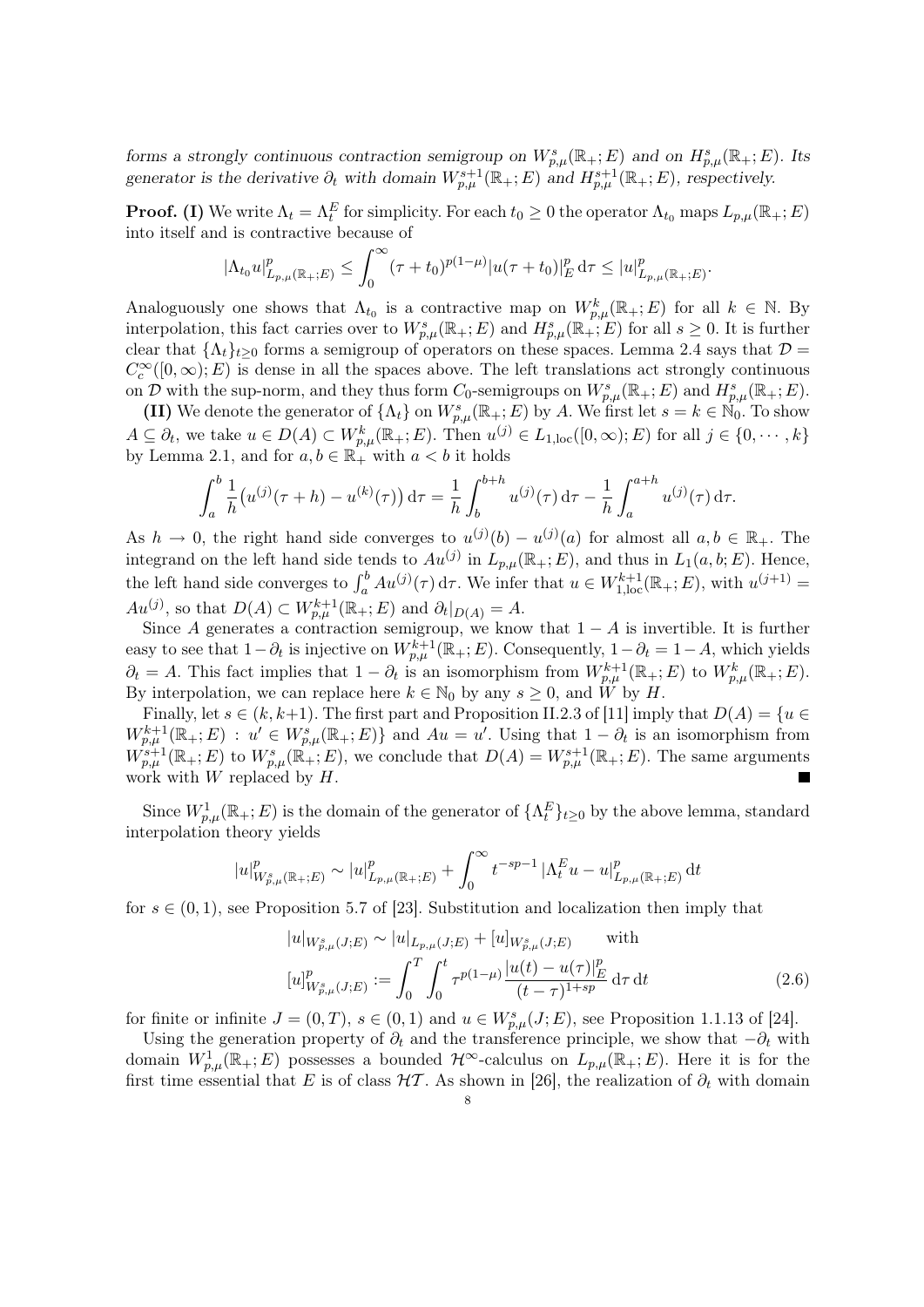forms a strongly continuous contraction semigroup on  $W_{p,\mu}^{s}(\mathbb{R}_{+};E)$  and on  $H_{p,\mu}^{s}(\mathbb{R}_{+};E)$ . Its generator is the derivative  $\partial_t$  with domain  $W^{s+1}_{p,\mu}(\mathbb{R}_+; E)$  and  $H^{s+1}_{p,\mu}(\mathbb{R}_+; E)$ , respectively.

**Proof.** (I) We write  $\Lambda_t = \Lambda_t^E$  for simplicity. For each  $t_0 \geq 0$  the operator  $\Lambda_{t_0}$  maps  $L_{p,\mu}(\mathbb{R}_+; E)$ into itself and is contractive because of

$$
|\Lambda_{t_0} u|_{L_{p,\mu}(\mathbb{R}_+;E)}^p \le \int_0^\infty (\tau + t_0)^{p(1-\mu)} |u(\tau + t_0)|_E^p d\tau \le |u|_{L_{p,\mu}(\mathbb{R}_+;E)}^p
$$

.

Analoguously one shows that  $\Lambda_{t_0}$  is a contractive map on  $W_{p,\mu}^k(\mathbb{R}_+;E)$  for all  $k \in \mathbb{N}$ . By interpolation, this fact carries over to  $W_{p,\mu}^s(\mathbb{R}_+;E)$  and  $H_{p,\mu}^s(\mathbb{R}_+;E)$  for all  $s\geq 0$ . It is further clear that  $\{\Lambda_t\}_{t>0}$  forms a semigroup of operators on these spaces. Lemma 2.4 says that  $\mathcal{D} =$  $C_c^{\infty}([0,\infty);E)$  is dense in all the spaces above. The left translations act strongly continuous on D with the sup-norm, and they thus form  $C_0$ -semigroups on  $W^s_{p,\mu}(\mathbb{R}_+; E)$  and  $H^s_{p,\mu}(\mathbb{R}_+; E)$ .

(II) We denote the generator of  $\{\Lambda_t\}$  on  $W^s_{p,\mu}(\mathbb{R}_+;E)$  by A. We first let  $s = k \in \mathbb{N}_0$ . To show  $A \subseteq \partial_t$ , we take  $u \in D(A) \subset W_{p,\mu}^k(\mathbb{R}_+; E)$ . Then  $u^{(j)} \in L_{1,\text{loc}}([0,\infty); E)$  for all  $j \in \{0, \cdots, k\}$ by Lemma 2.1, and for  $a, b \in \mathbb{R}_+^{\bullet}$  with  $a < b$  it holds

$$
\int_a^b \frac{1}{h} (u^{(j)}(\tau + h) - u^{(k)}(\tau)) d\tau = \frac{1}{h} \int_b^{b+h} u^{(j)}(\tau) d\tau - \frac{1}{h} \int_a^{a+h} u^{(j)}(\tau) d\tau.
$$

As  $h \to 0$ , the right hand side converges to  $u^{(j)}(b) - u^{(j)}(a)$  for almost all  $a, b \in \mathbb{R}_+$ . The integrand on the left hand side tends to  $Au^{(j)}$  in  $L_{p,\mu}(\mathbb{R}_+;E)$ , and thus in  $L_1(a,b;E)$ . Hence, the left hand side converges to  $\int_a^b A u^{(j)}(\tau) d\tau$ . We infer that  $u \in W^{k+1}_{1,\text{loc}}(\mathbb{R}_+; E)$ , with  $u^{(j+1)} =$  $Au^{(j)}$ , so that  $D(A) \subset W_{p,\mu}^{k+1}(\mathbb{R}_+; E)$  and  $\partial_t|_{D(A)} = A$ .

Since A generates a contraction semigroup, we know that  $1 - A$  is invertible. It is further easy to see that  $1-\partial_t$  is injective on  $W_{p,\mu}^{k+1}(\mathbb{R}_+; E)$ . Consequently,  $1-\partial_t = 1-A$ , which yields  $\partial_t = A$ . This fact implies that  $1 - \partial_t$  is an isomorphism from  $W^{k+1}_{p,\mu}(\mathbb{R}_+; E)$  to  $W^k_{p,\mu}(\mathbb{R}_+; E)$ . By interpolation, we can replace here  $k \in \mathbb{N}_0$  by any  $s \geq 0$ , and  $\hat{W}$  by H.

Finally, let  $s \in (k, k+1)$ . The first part and Proposition II.2.3 of [11] imply that  $D(A) = \{u \in$  $W^{k+1}_{p,\mu}(\mathbb{R}_+;E) : u' \in W^s_{p,\mu}(\mathbb{R}_+;E) \}$  and  $Au = u'$ . Using that  $1 - \partial_t$  is an isomorphism from  $W^{s+1}_{p,\mu}(\mathbb{R}_+;E)$  to  $W^s_{p,\mu}(\mathbb{R}_+;E)$ , we conclude that  $D(A) = W^{s+1}_{p,\mu}(\mathbb{R}_+;E)$ . The same arguments work with  $W$  replaced by  $H$ .

Since  $W_{p,\mu}^1(\mathbb{R}_+;E)$  is the domain of the generator of  $\{\Lambda_t^E\}_{t\geq0}$  by the above lemma, standard interpolation theory yields

$$
|u|_{W_{p,\mu}^{s}(\mathbb{R}_+;E)}^p \sim |u|_{L_{p,\mu}(\mathbb{R}_+;E)}^p + \int_0^\infty t^{-sp-1}\, |\Lambda_t^E u - u|_{L_{p,\mu}(\mathbb{R}_+;E)}^p \, \mathrm{d}t
$$

for  $s \in (0,1)$ , see Proposition 5.7 of [23]. Substitution and localization then imply that

$$
|u|_{W_{p,\mu}^{s}(J;E)} \sim |u|_{L_{p,\mu}(J;E)} + [u]_{W_{p,\mu}^{s}(J;E)} \quad \text{with}
$$
  

$$
[u]_{W_{p,\mu}^{s}(J;E)}^{p} := \int_{0}^{T} \int_{0}^{t} \tau^{p(1-\mu)} \frac{|u(t) - u(\tau)|_{E}^{p}}{(t-\tau)^{1+sp}} d\tau dt
$$
 (2.6)

for finite or infinite  $J = (0, T), s \in (0, 1)$  and  $u \in W_{p,\mu}^s(J; E)$ , see Proposition 1.1.13 of [24].

Using the generation property of  $\partial_t$  and the transference principle, we show that  $-\partial_t$  with domain  $W_{p,\mu}^1(\mathbb{R}_+;E)$  possesses a bounded  $\mathcal{H}^{\infty}$ -calculus on  $L_{p,\mu}(\mathbb{R}_+;E)$ . Here it is for the first time essential that E is of class  $H\mathcal{T}$ . As shown in [26], the realization of  $\partial_t$  with domain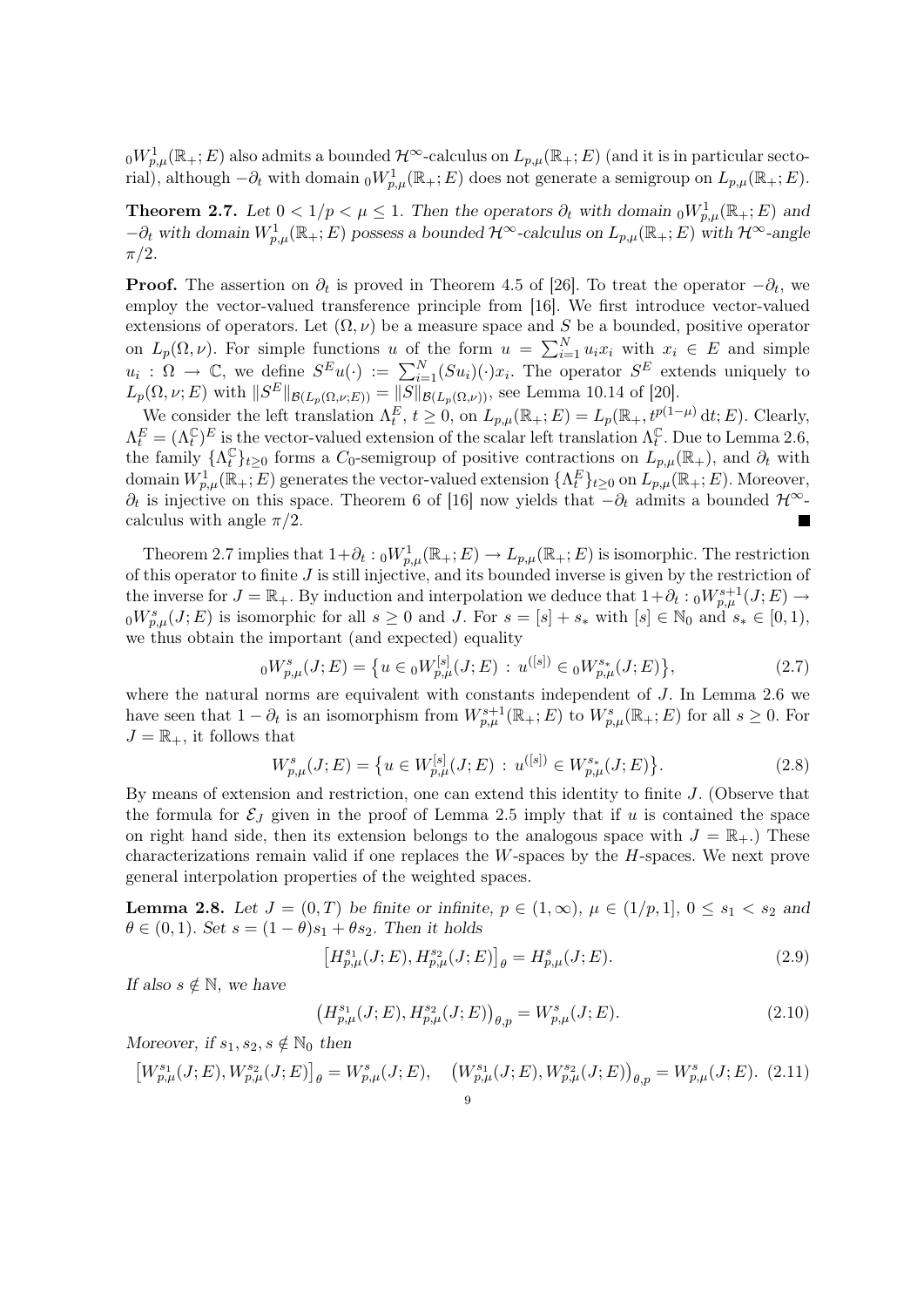${}_0W^1_{p,\mu}(\mathbb{R}_+;E)$  also admits a bounded  $\mathcal{H}^\infty$ -calculus on  $L_{p,\mu}(\mathbb{R}_+;E)$  (and it is in particular sectorial), although  $-\partial_t$  with domain  ${}_0W^1_{p,\mu}(\mathbb{R}_+;E)$  does not generate a semigroup on  $L_{p,\mu}(\mathbb{R}_+;E)$ .

**Theorem 2.7.** Let  $0 < 1/p < \mu \leq 1$ . Then the operators  $\partial_t$  with domain  ${}_0W^1_{p,\mu}(\mathbb{R}_+;E)$  and  $-\partial_t$  with domain  $W^1_{p,\mu}(\mathbb{R}_+;E)$  possess a bounded  $\mathcal{H}^{\infty}$ -calculus on  $L_{p,\mu}(\mathbb{R}_+;E)$  with  $\mathcal{H}^{\infty}$ -angle  $\pi/2$ .

**Proof.** The assertion on  $\partial_t$  is proved in Theorem 4.5 of [26]. To treat the operator  $-\partial_t$ , we employ the vector-valued transference principle from [16]. We first introduce vector-valued extensions of operators. Let  $(\Omega, \nu)$  be a measure space and S be a bounded, positive operator on  $L_p(\Omega, \nu)$ . For simple functions u of the form  $u = \sum_{i=1}^N u_i x_i$  with  $x_i \in E$  and simple  $u_i: \Omega \to \mathbb{C}$ , we define  $S^E u(\cdot) := \sum_{i=1}^N (Su_i)(\cdot) x_i$ . The operator  $S^E$  extends uniquely to  $L_p(\Omega, \nu; E)$  with  $||S^E||_{\mathcal{B}(L_p(\Omega, \nu; E))} = ||S||_{\mathcal{B}(L_p(\Omega, \nu))}$ , see Lemma 10.14 of [20].

We consider the left translation  $\Lambda_t^E$ ,  $t \geq 0$ , on  $L_{p,\mu}(\mathbb{R}_+; E) = L_p(\mathbb{R}_+, t^{p(1-\mu)} \, dt; E)$ . Clearly,  $\Lambda_t^E = (\Lambda_t^{\mathbb{C}})^E$  is the vector-valued extension of the scalar left translation  $\Lambda_t^{\mathbb{C}}$  $_t^{\mathbb{C}}$ . Due to Lemma 2.6, the family  $\{\Lambda_t^{\mathbb{C}}\}_{t\geq0}$  forms a  $C_0$ -semigroup of positive contractions on  $L_{p,\mu}(\mathbb{R}_+)$ , and  $\partial_t$  with domain  $W_{p,\mu}^1(\mathbb{R}_+;E)$  generates the vector-valued extension  $\{\Lambda_t^E\}_{t\geq0}$  on  $\overline{L_{p,\mu}}(\mathbb{R}_+;E)$ . Moreover,  $\partial_t$  is injective on this space. Theorem 6 of [16] now yields that  $-\partial_t$  admits a bounded  $\mathcal{H}^{\infty}$ calculus with angle  $\pi/2$ . П

Theorem 2.7 implies that  $1+\partial_t: {}_0W^1_{p,\mu}(\mathbb{R}_+;E) \to L_{p,\mu}(\mathbb{R}_+;E)$  is isomorphic. The restriction of this operator to finite  $J$  is still injective, and its bounded inverse is given by the restriction of the inverse for  $J = \mathbb{R}_+$ . By induction and interpolation we deduce that  $1 + \partial_t : {}_0W^{s+1}_{p,\mu}(J;E) \to$  ${}_0W_{p,\mu}^s(J;E)$  is isomorphic for all  $s\geq 0$  and J. For  $s=[s]+s_*$  with  $[s]\in\mathbb{N}_0$  and  $s_*\in[0,1)$ , we thus obtain the important (and expected) equality

$$
{}_{0}W_{p,\mu}^{s}(J;E) = \{ u \in {}_{0}W_{p,\mu}^{[s]}(J;E) : u^{([s])} \in {}_{0}W_{p,\mu}^{s*}(J;E) \},
$$
\n(2.7)

where the natural norms are equivalent with constants independent of  $J$ . In Lemma 2.6 we have seen that  $1-\partial_t$  is an isomorphism from  $W^{s+1}_{p,\mu}(\mathbb{R}_+;E)$  to  $W^s_{p,\mu}(\mathbb{R}_+;E)$  for all  $s\geq 0$ . For  $J = \mathbb{R}_+$ , it follows that

$$
W_{p,\mu}^{s}(J;E) = \{ u \in W_{p,\mu}^{[s]}(J;E) : u^{([s])} \in W_{p,\mu}^{s*}(J;E) \}.
$$
\n(2.8)

By means of extension and restriction, one can extend this identity to finite  $J$ . (Observe that the formula for  $\mathcal{E}_J$  given in the proof of Lemma 2.5 imply that if u is contained the space on right hand side, then its extension belongs to the analogous space with  $J = \mathbb{R}_{+}$ .) These characterizations remain valid if one replaces the  $W$ -spaces by the  $H$ -spaces. We next prove general interpolation properties of the weighted spaces.

**Lemma 2.8.** Let  $J = (0, T)$  be finite or infinite,  $p \in (1, \infty)$ ,  $\mu \in (1/p, 1], 0 \leq s_1 < s_2$  and  $\theta \in (0, 1)$ . Set  $s = (1 - \theta)s_1 + \theta s_2$ . Then it holds

$$
\left[H_{p,\mu}^{s_1}(J;E),H_{p,\mu}^{s_2}(J;E)\right]_{\theta} = H_{p,\mu}^{s}(J;E). \tag{2.9}
$$

If also  $s \notin \mathbb{N}$ , we have

$$
\left(H_{p,\mu}^{s_1}(J;E),H_{p,\mu}^{s_2}(J;E)\right)_{\theta,p}=W_{p,\mu}^{s}(J;E). \tag{2.10}
$$

Moreover, if  $s_1, s_2, s \notin \mathbb{N}_0$  then

$$
\left[W_{p,\mu}^{s_1}(J;E), W_{p,\mu}^{s_2}(J;E)\right]_{\theta} = W_{p,\mu}^{s}(J;E), \quad \left(W_{p,\mu}^{s_1}(J;E), W_{p,\mu}^{s_2}(J;E)\right)_{\theta,p} = W_{p,\mu}^{s}(J;E). \tag{2.11}
$$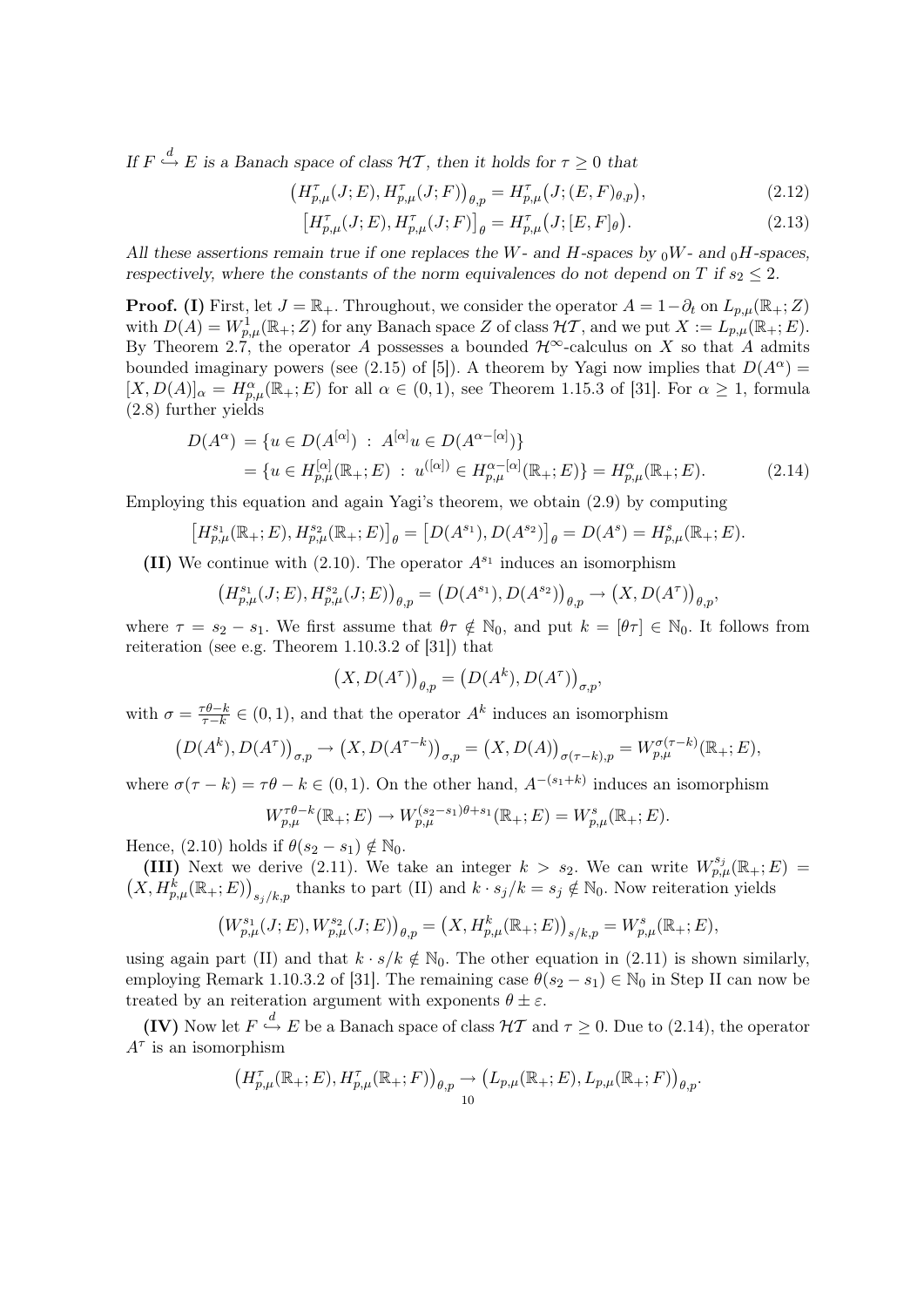If  $F \stackrel{d}{\hookrightarrow} E$  is a Banach space of class  $H\mathcal{T}$ , then it holds for  $\tau \geq 0$  that

$$
\left(H_{p,\mu}^{\tau}(J;E), H_{p,\mu}^{\tau}(J;F)\right)_{\theta,p} = H_{p,\mu}^{\tau}(J; (E,F)_{\theta,p}),\tag{2.12}
$$

$$
\left[H_{p,\mu}^{\tau}(J;E), H_{p,\mu}^{\tau}(J;F)\right]_{\theta} = H_{p,\mu}^{\tau}(J; [E, F]_{\theta}).
$$
\n(2.13)

All these assertions remain true if one replaces the W- and H-spaces by  $_0W$ - and  $_0H$ -spaces, respectively, where the constants of the norm equivalences do not depend on T if  $s_2 \leq 2$ .

**Proof.** (I) First, let  $J = \mathbb{R}_+$ . Throughout, we consider the operator  $A = 1 - \partial_t$  on  $L_{p,\mu}(\mathbb{R}_+; Z)$ with  $D(A) = W_{p,\mu}^1(\mathbb{R}_+;Z)$  for any Banach space Z of class  $\mathcal{HT}$ , and we put  $X := L_{p,\mu}(\mathbb{R}_+;E)$ . By Theorem 2.7, the operator A possesses a bounded  $\mathcal{H}^{\infty}$ -calculus on X so that A admits bounded imaginary powers (see (2.15) of [5]). A theorem by Yagi now implies that  $D(A^{\alpha}) =$  $[X, D(A)]_{\alpha} = H^{\alpha}_{p,\mu}(\mathbb{R}_{+}; E)$  for all  $\alpha \in (0,1)$ , see Theorem 1.15.3 of [31]. For  $\alpha \geq 1$ , formula (2.8) further yields

$$
D(A^{\alpha}) = \{ u \in D(A^{[\alpha]}) : A^{[\alpha]} u \in D(A^{\alpha - [\alpha]}) \}
$$
  
= \{ u \in H\_{p,\mu}^{[\alpha]}(\mathbb{R}\_+; E) : u^{([\alpha])} \in H\_{p,\mu}^{\alpha - [\alpha]}(\mathbb{R}\_+; E) \} = H\_{p,\mu}^{\alpha}(\mathbb{R}\_+; E). (2.14)

Employing this equation and again Yagi's theorem, we obtain (2.9) by computing

$$
\left[H_{p,\mu}^{s_1}(\mathbb{R}_+;E),H_{p,\mu}^{s_2}(\mathbb{R}_+;E)\right]_{\theta}=\left[D(A^{s_1}),D(A^{s_2})\right]_{\theta}=D(A^{s})=H_{p,\mu}^{s}(\mathbb{R}_+;E).
$$

(II) We continue with  $(2.10)$ . The operator  $A^{s_1}$  induces an isomorphism

$$
\left(H_{p,\mu}^{s_1}(J;E),H_{p,\mu}^{s_2}(J;E)\right)_{\theta,p}=\left(D(A^{s_1}),D(A^{s_2})\right)_{\theta,p}\rightarrow \left(X,D(A^{\tau})\right)_{\theta,p},
$$

where  $\tau = s_2 - s_1$ . We first assume that  $\theta \tau \notin \mathbb{N}_0$ , and put  $k = [\theta \tau] \in \mathbb{N}_0$ . It follows from reiteration (see e.g. Theorem 1.10.3.2 of [31]) that

$$
(X, D(A^{\tau}))_{\theta, p} = (D(A^k), D(A^{\tau}))_{\sigma, p},
$$

with  $\sigma = \frac{\tau \theta - k}{\tau - k}$  $\frac{r\theta-k}{\tau-k} \in (0,1)$ , and that the operator  $A^k$  induces an isomorphism

$$
(D(Ak), D(A\tau))_{\sigma,p} \to (X, D(A^{\tau-k}))_{\sigma,p} = (X, D(A))_{\sigma(\tau-k),p} = W_{p,\mu}^{\sigma(\tau-k)}(\mathbb{R}_{+}; E),
$$

where  $\sigma(\tau - k) = \tau \theta - k \in (0, 1)$ . On the other hand,  $A^{-(s_1+k)}$  induces an isomorphism

$$
W_{p,\mu}^{\tau\theta-k}(\mathbb{R}_+;E) \to W_{p,\mu}^{(s_2-s_1)\theta+s_1}(\mathbb{R}_+;E) = W_{p,\mu}^s(\mathbb{R}_+;E).
$$

Hence, (2.10) holds if  $\theta(s_2 - s_1) \notin \mathbb{N}_0$ .

(III) Next we derive (2.11). We take an integer  $k > s_2$ . We can write  $W_{p,\mu}^{s_j}(\mathbb{R}_+;E)$  =  $(X, H_{p,\mu}^k(\mathbb{R}_+; E))_{s_j/k,p}$  thanks to part (II) and  $k \cdot s_j/k = s_j \notin \mathbb{N}_0$ . Now reiteration yields

$$
(W_{p,\mu}^{s_1}(J;E),W_{p,\mu}^{s_2}(J;E))_{\theta,p} = (X,H_{p,\mu}^k(\mathbb{R}_+;E))_{s/k,p} = W_{p,\mu}^s(\mathbb{R}_+;E),
$$

using again part (II) and that  $k \cdot s/k \notin \mathbb{N}_0$ . The other equation in (2.11) is shown similarly, employing Remark 1.10.3.2 of [31]. The remaining case  $\theta(s_2 - s_1) \in \mathbb{N}_0$  in Step II can now be treated by an reiteration argument with exponents  $\theta \pm \varepsilon$ .

**(IV)** Now let  $F \stackrel{d}{\hookrightarrow} E$  be a Banach space of class  $H\mathcal{T}$  and  $\tau \geq 0$ . Due to (2.14), the operator  $A^{\tau}$  is an isomorphism

$$
\left(H^{\tau}_{p,\mu}(\mathbb{R}_+;E),H^{\tau}_{p,\mu}(\mathbb{R}_+;F)\right)_{\theta,p} \to \left(L_{p,\mu}(\mathbb{R}_+;E),L_{p,\mu}(\mathbb{R}_+;F)\right)_{\theta,p}.
$$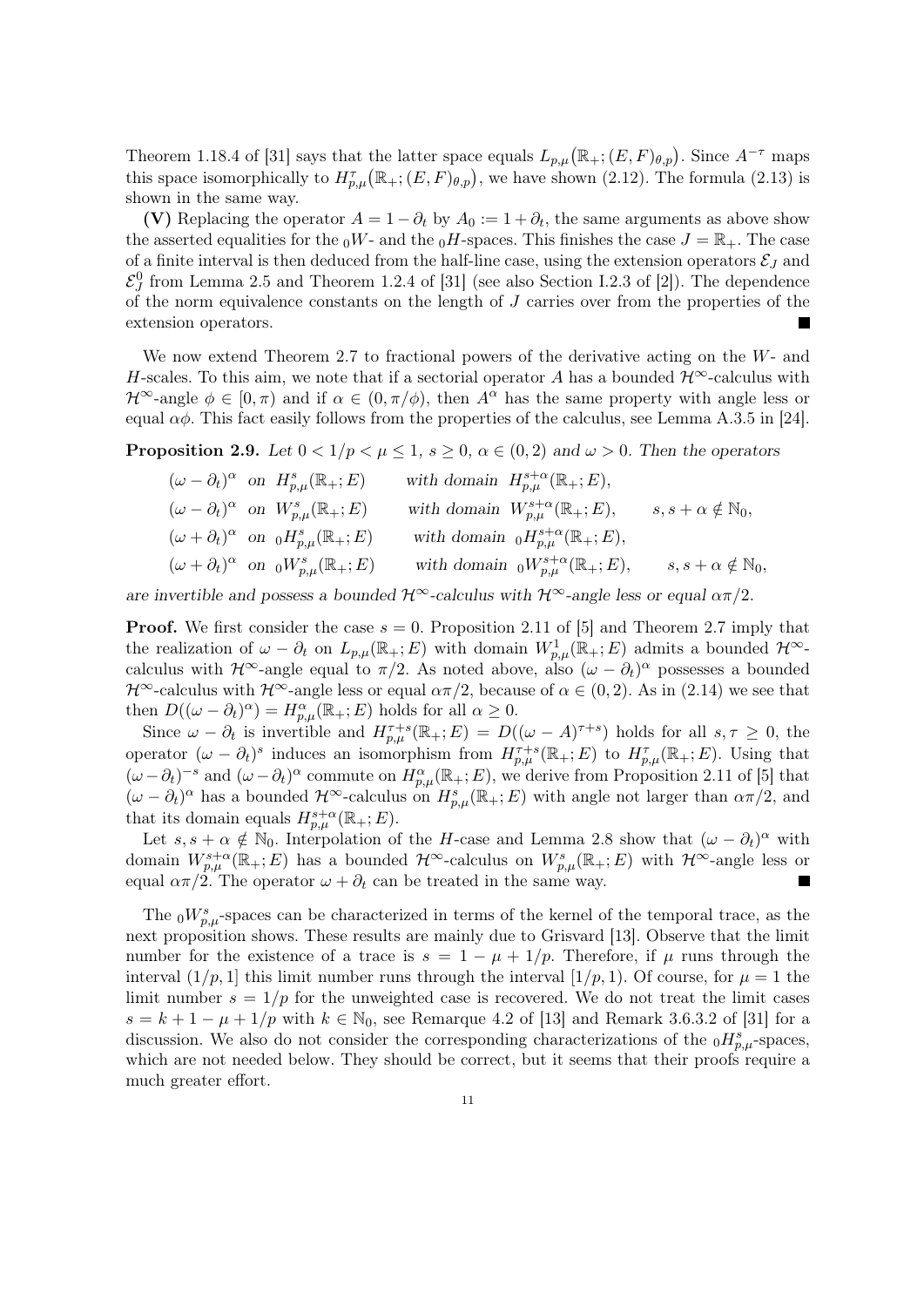Theorem 1.18.4 of [31] says that the latter space equals  $L_{p,\mu}(\mathbb{R}_+;(E,F)_{\theta,p})$ . Since  $A^{-\tau}$  maps this space isomorphically to  $H_{p,\mu}^{\tau}(\mathbb{R}_+;(E,F)_{\theta,p})$ , we have shown (2.12). The formula (2.13) is shown in the same way.

(V) Replacing the operator  $A = 1 - \partial_t$  by  $A_0 := 1 + \partial_t$ , the same arguments as above show the asserted equalities for the  $_0W$ - and the  $_0H$ -spaces. This finishes the case  $J = \mathbb{R}_+$ . The case of a finite interval is then deduced from the half-line case, using the extension operators  $\mathcal{E}_J$  and  $\mathcal{E}_J^0$  from Lemma 2.5 and Theorem 1.2.4 of [31] (see also Section I.2.3 of [2]). The dependence of the norm equivalence constants on the length of  $J$  carries over from the properties of the extension operators.

We now extend Theorem 2.7 to fractional powers of the derivative acting on the W- and H-scales. To this aim, we note that if a sectorial operator A has a bounded  $\mathcal{H}^{\infty}$ -calculus with  $\mathcal{H}^{\infty}$ -angle  $\phi \in [0, \pi)$  and if  $\alpha \in (0, \pi/\phi)$ , then  $A^{\alpha}$  has the same property with angle less or equal  $\alpha\phi$ . This fact easily follows from the properties of the calculus, see Lemma A.3.5 in [24].

**Proposition 2.9.** Let  $0 < 1/p < \mu \leq 1$ ,  $s \geq 0$ ,  $\alpha \in (0, 2)$  and  $\omega > 0$ . Then the operators

$$
\begin{aligned}\n & (\omega - \partial_t)^{\alpha} \text{ on } H_{p,\mu}^s(\mathbb{R}_+; E) \\
& (\omega - \partial_t)^{\alpha} \text{ on } W_{p,\mu}^s(\mathbb{R}_+; E) \\
& (\omega + \partial_t)^{\alpha} \text{ on } W_{p,\mu}^s(\mathbb{R}_+; E) \\
& (\omega + \partial_t)^{\alpha} \text{ on } {}_0H_{p,\mu}^s(\mathbb{R}_+; E) \\
& (\omega + \partial_t)^{\alpha} \text{ on } {}_0W_{p,\mu}^s(\mathbb{R}_+; E) \\
& \text{with domain } {}_0H_{p,\mu}^{s+\alpha}(\mathbb{R}_+; E), \\
& (\omega + \partial_t)^{\alpha} \text{ on } {}_0W_{p,\mu}^s(\mathbb{R}_+; E) \\
& \text{with domain } {}_0W_{p,\mu}^{s+\alpha}(\mathbb{R}_+; E), \qquad s, s + \alpha \notin \mathbb{N}_0,\n \end{aligned}
$$

are invertible and possess a bounded  $\mathcal{H}^{\infty}$ -calculus with  $\mathcal{H}^{\infty}$ -angle less or equal  $\alpha\pi/2$ .

**Proof.** We first consider the case  $s = 0$ . Proposition 2.11 of [5] and Theorem 2.7 imply that the realization of  $\omega - \partial_t$  on  $L_{p,\mu}(\mathbb{R}_+; E)$  with domain  $W_{p,\mu}^1(\mathbb{R}_+; E)$  admits a bounded  $\mathcal{H}^{\infty}$ calculus with  $\mathcal{H}^{\infty}$ -angle equal to  $\pi/2$ . As noted above, also  $(\omega - \partial_t)^{\alpha}$  possesses a bounded  $\mathcal{H}^{\infty}$ -calculus with  $\mathcal{H}^{\infty}$ -angle less or equal  $\alpha\pi/2$ , because of  $\alpha \in (0, 2)$ . As in  $(2.14)$  we see that then  $D((\omega - \partial_t)^{\alpha}) = H^{\alpha}_{p,\mu}(\mathbb{R}_+; E)$  holds for all  $\alpha \geq 0$ .

Since  $\omega - \partial_t$  is invertible and  $H_{p,\mu}^{\tau+s}(\mathbb{R}_+;E) = D((\omega - A)^{\tau+s})$  holds for all  $s,\tau \geq 0$ , the operator  $(\omega - \partial_t)^s$  induces an isomorphism from  $H_{p,\mu}^{\tau+s}(\mathbb{R}_+;E)$  to  $H_{p,\mu}^{\tau}(\mathbb{R}_+;E)$ . Using that  $(\omega - \partial_t)^{-s}$  and  $(\omega - \partial_t)^{\alpha}$  commute on  $H^{\alpha}_{p,\mu}(\mathbb{R}_+; E)$ , we derive from Proposition 2.11 of [5] that  $(\omega - \partial_t)^{\alpha}$  has a bounded  $\mathcal{H}^{\infty}$ -calculus on  $H_{p,\mu}^s(\mathbb{R}_+; E)$  with angle not larger than  $\alpha\pi/2$ , and that its domain equals  $H^{s+\alpha}_{p,\mu}(\mathbb{R}_+;E)$ .

Let  $s, s + \alpha \notin \mathbb{N}_0$ . Interpolation of the H-case and Lemma 2.8 show that  $(\omega - \partial_t)^{\alpha}$  with domain  $W^{s+\alpha}_{p,\mu}(\mathbb{R}_+;E)$  has a bounded  $\mathcal{H}^{\infty}$ -calculus on  $W^s_{p,\mu}(\mathbb{R}_+;E)$  with  $\mathcal{H}^{\infty}$ -angle less or equal  $\alpha \pi/2$ . The operator  $\omega + \partial_t$  can be treated in the same way.

The  ${}_0W^s_{p,\mu}$ -spaces can be characterized in terms of the kernel of the temporal trace, as the next proposition shows. These results are mainly due to Grisvard [13]. Observe that the limit number for the existence of a trace is  $s = 1 - \mu + 1/p$ . Therefore, if  $\mu$  runs through the interval  $(1/p, 1]$  this limit number runs through the interval  $[1/p, 1]$ . Of course, for  $\mu = 1$  the limit number  $s = 1/p$  for the unweighted case is recovered. We do not treat the limit cases  $s = k + 1 - \mu + 1/p$  with  $k \in \mathbb{N}_0$ , see Remarque 4.2 of [13] and Remark 3.6.3.2 of [31] for a discussion. We also do not consider the corresponding characterizations of the  $_{0}H_{p,\mu}^{s}$ -spaces, which are not needed below. They should be correct, but it seems that their proofs require a much greater effort.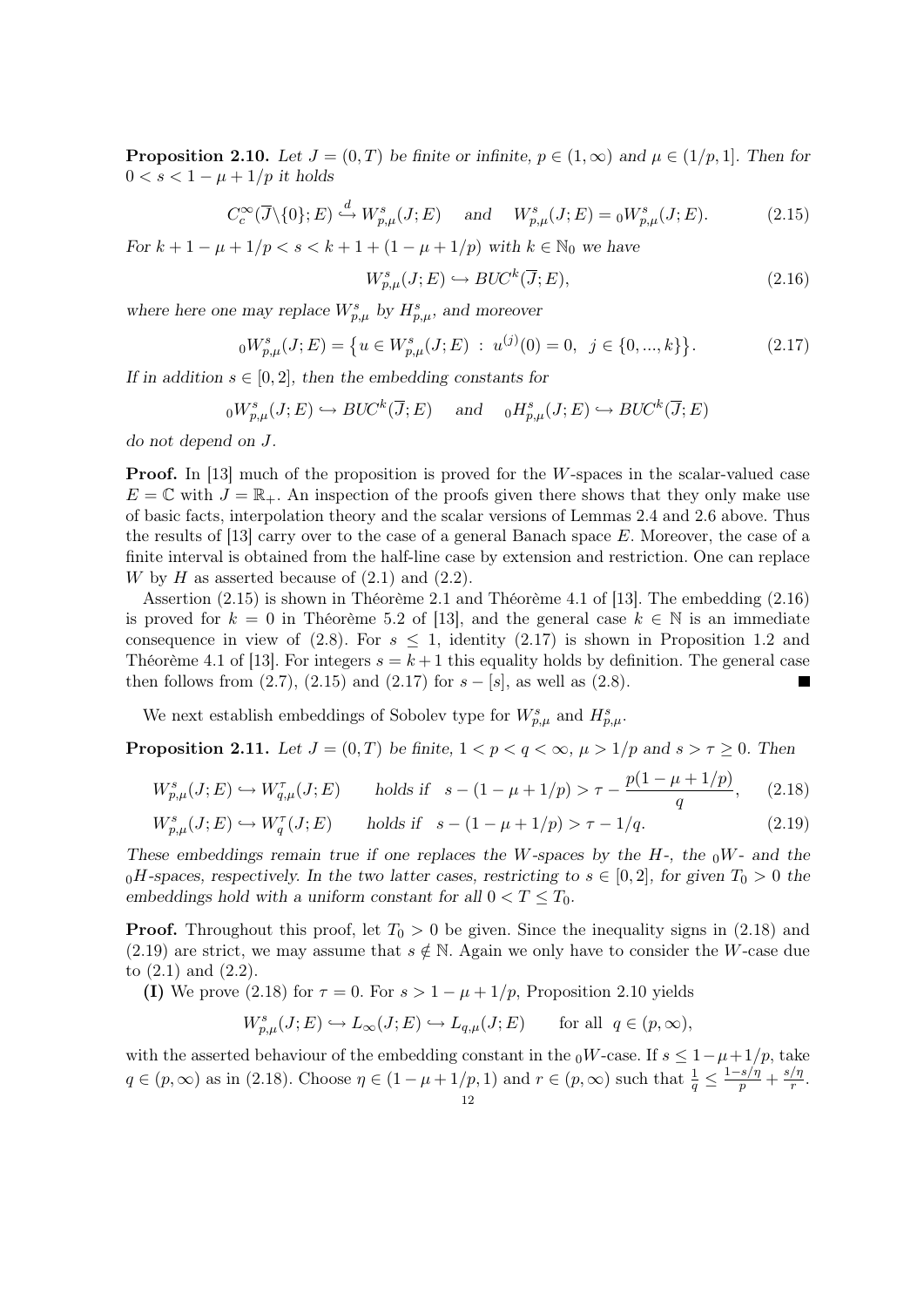**Proposition 2.10.** Let  $J = (0, T)$  be finite or infinite,  $p \in (1, \infty)$  and  $\mu \in (1/p, 1]$ . Then for  $0 < s < 1 - \mu + 1/p$  it holds

$$
C_c^{\infty}(\overline{J}\backslash{\{0\}};E) \stackrel{d}{\hookrightarrow} W^s_{p,\mu}(J;E) \quad \text{and} \quad W^s_{p,\mu}(J;E) = {}_0W^s_{p,\mu}(J;E). \tag{2.15}
$$

For  $k + 1 - \mu + 1/p < s < k + 1 + (1 - \mu + 1/p)$  with  $k \in \mathbb{N}_0$  we have

$$
W_{p,\mu}^{s}(J;E) \hookrightarrow BUC^{k}(\overline{J};E), \tag{2.16}
$$

where here one may replace  $W_{p,\mu}^s$  by  $H_{p,\mu}^s$ , and moreover

$$
{}_{0}W_{p,\mu}^{s}(J;E) = \{ u \in W_{p,\mu}^{s}(J;E) : u^{(j)}(0) = 0, \ j \in \{0, ..., k\} \}.
$$
 (2.17)

If in addition  $s \in [0,2]$ , then the embedding constants for

$$
{}_{0}W_{p,\mu}^{s}(J;E) \hookrightarrow BUC^{k}(\overline{J};E) \quad \text{and} \quad {}_{0}H_{p,\mu}^{s}(J;E) \hookrightarrow BUC^{k}(\overline{J};E)
$$

do not depend on J.

**Proof.** In [13] much of the proposition is proved for the  $W$ -spaces in the scalar-valued case  $E = \mathbb{C}$  with  $J = \mathbb{R}_+$ . An inspection of the proofs given there shows that they only make use of basic facts, interpolation theory and the scalar versions of Lemmas 2.4 and 2.6 above. Thus the results of  $[13]$  carry over to the case of a general Banach space E. Moreover, the case of a finite interval is obtained from the half-line case by extension and restriction. One can replace W by H as asserted because of  $(2.1)$  and  $(2.2)$ .

Assertion (2.15) is shown in Théorème 2.1 and Théorème 4.1 of [13]. The embedding (2.16) is proved for  $k = 0$  in Théorème 5.2 of [13], and the general case  $k \in \mathbb{N}$  is an immediate consequence in view of  $(2.8)$ . For  $s \leq 1$ , identity  $(2.17)$  is shown in Proposition 1.2 and Théorème 4.1 of [13]. For integers  $s = k + 1$  this equality holds by definition. The general case then follows from  $(2.7)$ ,  $(2.15)$  and  $(2.17)$  for  $s - [s]$ , as well as  $(2.8)$ . ш

We next establish embeddings of Sobolev type for  $W_{p,\mu}^s$  and  $H_{p,\mu}^s$ .

**Proposition 2.11.** Let  $J = (0, T)$  be finite,  $1 < p < q < \infty$ ,  $\mu > 1/p$  and  $s > \tau \geq 0$ . Then

$$
W_{p,\mu}^{s}(J;E) \hookrightarrow W_{q,\mu}^{\tau}(J;E) \qquad \text{holds if} \quad s - (1 - \mu + 1/p) > \tau - \frac{p(1 - \mu + 1/p)}{q},\tag{2.18}
$$

$$
W_{p,\mu}^{s}(J;E) \hookrightarrow W_{q}^{\tau}(J;E) \qquad \text{holds if} \quad s - (1 - \mu + 1/p) > \tau - 1/q. \tag{2.19}
$$

These embeddings remain true if one replaces the W-spaces by the  $H$ -, the  $_0W$ - and the  $_0H$ -spaces, respectively. In the two latter cases, restricting to  $s \in [0,2]$ , for given  $T_0 > 0$  the embeddings hold with a uniform constant for all  $0 < T \leq T_0$ .

**Proof.** Throughout this proof, let  $T_0 > 0$  be given. Since the inequality signs in (2.18) and (2.19) are strict, we may assume that  $s \notin \mathbb{N}$ . Again we only have to consider the W-case due to (2.1) and (2.2).

(I) We prove (2.18) for  $\tau = 0$ . For  $s > 1 - \mu + 1/p$ , Proposition 2.10 yields

$$
W_{p,\mu}^s(J;E) \hookrightarrow L_{\infty}(J;E) \hookrightarrow L_{q,\mu}(J;E) \quad \text{for all } q \in (p,\infty),
$$

with the asserted behaviour of the embedding constant in the  $_0W$ -case. If  $s \leq 1-\mu+1/p$ , take  $q \in (p, \infty)$  as in (2.18). Choose  $\eta \in (1 - \mu + 1/p, 1)$  and  $r \in (p, \infty)$  such that  $\frac{1}{q} \leq \frac{1 - s/\eta}{p} + \frac{s/\eta}{r}$  $\frac{1}{r}$ .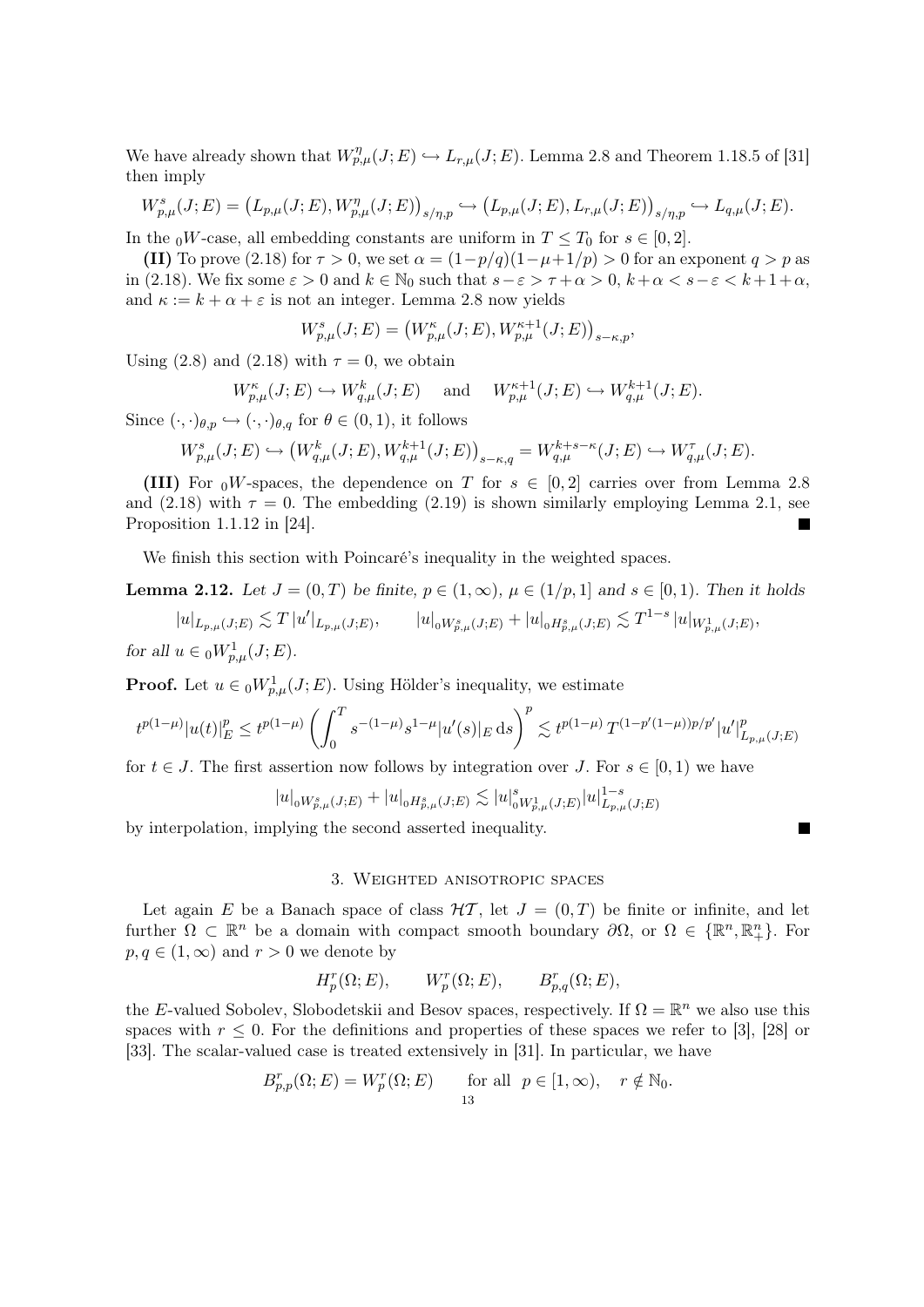We have already shown that  $W_{p,\mu}^{\eta}(J;E) \hookrightarrow L_{r,\mu}(J;E)$ . Lemma 2.8 and Theorem 1.18.5 of [31] then imply

$$
W_{p,\mu}^{s}(J;E) = (L_{p,\mu}(J;E), W_{p,\mu}^{\eta}(J;E))_{s/\eta,p} \hookrightarrow (L_{p,\mu}(J;E), L_{r,\mu}(J;E))_{s/\eta,p} \hookrightarrow L_{q,\mu}(J;E).
$$

In the  ${}_0W$ -case, all embedding constants are uniform in  $T \leq T_0$  for  $s \in [0,2]$ .

(II) To prove (2.18) for  $\tau > 0$ , we set  $\alpha = (1 - p/q)(1 - \mu + 1/p) > 0$  for an exponent  $q > p$  as in (2.18). We fix some  $\varepsilon > 0$  and  $k \in \mathbb{N}_0$  such that  $s - \varepsilon > \tau + \alpha > 0$ ,  $k + \alpha < s - \varepsilon < k + 1 + \alpha$ , and  $\kappa := k + \alpha + \varepsilon$  is not an integer. Lemma 2.8 now yields

$$
W^s_{p,\mu}(J;E)=\left(W^{\kappa}_{p,\mu}(J;E),W^{\kappa+1}_{p,\mu}(J;E)\right)_{s-\kappa,p},
$$

Using (2.8) and (2.18) with  $\tau = 0$ , we obtain

$$
W_{p,\mu}^{\kappa}(J;E) \hookrightarrow W_{q,\mu}^k(J;E)
$$
 and  $W_{p,\mu}^{\kappa+1}(J;E) \hookrightarrow W_{q,\mu}^{k+1}(J;E).$ 

Since  $(\cdot, \cdot)_{\theta, p} \hookrightarrow (\cdot, \cdot)_{\theta, q}$  for  $\theta \in (0, 1)$ , it follows

$$
W_{p,\mu}^{s}(J;E) \hookrightarrow \left(W_{q,\mu}^{k}(J;E), W_{q,\mu}^{k+1}(J;E)\right)_{s-\kappa,q} = W_{q,\mu}^{k+s-\kappa}(J;E) \hookrightarrow W_{q,\mu}^{\tau}(J;E).
$$

(III) For  ${}_0V$ -spaces, the dependence on T for  $s \in [0,2]$  carries over from Lemma 2.8 and (2.18) with  $\tau = 0$ . The embedding (2.19) is shown similarly employing Lemma 2.1, see Proposition 1.1.12 in [24]. Ξ

We finish this section with Poincaré's inequality in the weighted spaces.

**Lemma 2.12.** Let  $J = (0, T)$  be finite,  $p \in (1, \infty)$ ,  $\mu \in (1/p, 1]$  and  $s \in [0, 1)$ . Then it holds

 $|u|_{L_{p,\mu}(J;E)} \lesssim T |u'|_{L_{p,\mu}(J;E)}, \qquad |u|_{0W^s_{p,\mu}(J;E)} + |u|_{0H^s_{p,\mu}(J;E)} \lesssim T^{1-s} |u|_{W^1_{p,\mu}(J;E)},$ for all  $u \in {}_0W^1_{p,\mu}(J;E)$ .

**Proof.** Let  $u \in {}_0W^1_{p,\mu}(J;E)$ . Using Hölder's inequality, we estimate

$$
t^{p(1-\mu)}|u(t)|_E^p \leq t^{p(1-\mu)}\left(\int_0^T s^{-(1-\mu)}s^{1-\mu}|u'(s)|_E\,\mathrm{d} s\right)^p \lesssim t^{p(1-\mu)}\,T^{(1-p'(1-\mu))p/p'}|u'|_{L_{p,\mu}(J;E)}^p
$$

for  $t \in J$ . The first assertion now follows by integration over J. For  $s \in [0,1)$  we have

$$
|u|_{{}_0W^s_{p,\mu}(J;E)}+|u|_{{}_0H^s_{p,\mu}(J;E)}\lesssim |u|_{{}_0W^1_{p,\mu}(J;E)}^s|u|^{1-s}_{L_{p,\mu}(J;E)}
$$

 $\blacksquare$ 

by interpolation, implying the second asserted inequality.

# 3. Weighted anisotropic spaces

Let again E be a Banach space of class  $H\mathcal{T}$ , let  $J = (0, T)$  be finite or infinite, and let further  $\Omega \subset \mathbb{R}^n$  be a domain with compact smooth boundary  $\partial\Omega$ , or  $\Omega \in \{\mathbb{R}^n, \mathbb{R}^n_+\}$ . For  $p, q \in (1, \infty)$  and  $r > 0$  we denote by

$$
H_p^r(\Omega; E), \qquad W_p^r(\Omega; E), \qquad B_{p,q}^r(\Omega; E),
$$

the E-valued Sobolev, Slobodetskii and Besov spaces, respectively. If  $\Omega = \mathbb{R}^n$  we also use this spaces with  $r \leq 0$ . For the definitions and properties of these spaces we refer to [3], [28] or [33]. The scalar-valued case is treated extensively in [31]. In particular, we have

$$
B_{p,p}^r(\Omega;E) = W_p^r(\Omega;E) \quad \text{for all } p \in [1,\infty), \quad r \notin \mathbb{N}_0.
$$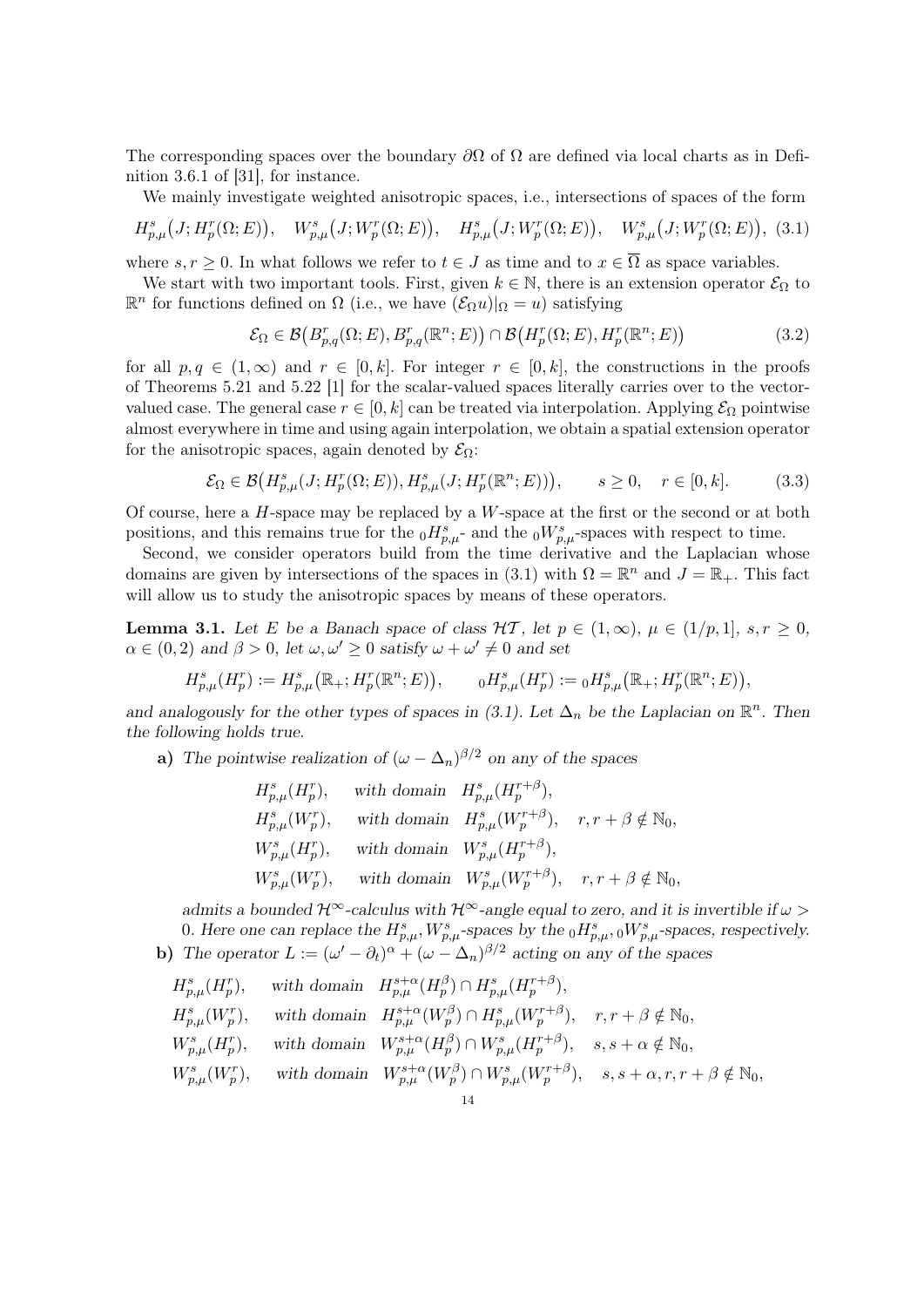The corresponding spaces over the boundary  $\partial\Omega$  of  $\Omega$  are defined via local charts as in Definition 3.6.1 of [31], for instance.

We mainly investigate weighted anisotropic spaces, i.e., intersections of spaces of the form

$$
H_{p,\mu}^{s}(J;H_{p}^{r}(\Omega;E)), W_{p,\mu}^{s}(J;W_{p}^{r}(\Omega;E)), H_{p,\mu}^{s}(J;W_{p}^{r}(\Omega;E)), W_{p,\mu}^{s}(J;W_{p}^{r}(\Omega;E)), (3.1)
$$

where  $s, r \geq 0$ . In what follows we refer to  $t \in J$  as time and to  $x \in \overline{\Omega}$  as space variables.

We start with two important tools. First, given  $k \in \mathbb{N}$ , there is an extension operator  $\mathcal{E}_{\Omega}$  to  $\mathbb{R}^n$  for functions defined on  $\Omega$  (i.e., we have  $(\mathcal{E}_{\Omega} u)|_{\Omega} = u$ ) satisfying

$$
\mathcal{E}_{\Omega} \in \mathcal{B}\big(B_{p,q}^r(\Omega;E), B_{p,q}^r(\mathbb{R}^n;E)\big) \cap \mathcal{B}\big(H_p^r(\Omega;E), H_p^r(\mathbb{R}^n;E)\big) \tag{3.2}
$$

for all  $p, q \in (1, \infty)$  and  $r \in [0, k]$ . For integer  $r \in [0, k]$ , the constructions in the proofs of Theorems 5.21 and 5.22 [1] for the scalar-valued spaces literally carries over to the vectorvalued case. The general case  $r \in [0, k]$  can be treated via interpolation. Applying  $\mathcal{E}_{\Omega}$  pointwise almost everywhere in time and using again interpolation, we obtain a spatial extension operator for the anisotropic spaces, again denoted by  $\mathcal{E}_{\Omega}$ :

$$
\mathcal{E}_{\Omega} \in \mathcal{B}\big(H_{p,\mu}^{s}(J;H_{p}^{r}(\Omega;E)),H_{p,\mu}^{s}(J;H_{p}^{r}(\mathbb{R}^{n};E))\big), \qquad s \ge 0, \quad r \in [0,k].
$$
 (3.3)

Of course, here a  $H$ -space may be replaced by a  $W$ -space at the first or the second or at both positions, and this remains true for the  $_0H_{p,\mu}^s$ - and the  $_0W_{p,\mu}^s$ -spaces with respect to time.

Second, we consider operators build from the time derivative and the Laplacian whose domains are given by intersections of the spaces in (3.1) with  $\Omega = \mathbb{R}^n$  and  $J = \mathbb{R}_+$ . This fact will allow us to study the anisotropic spaces by means of these operators.

**Lemma 3.1.** Let E be a Banach space of class  $H\mathcal{T}$ , let  $p \in (1,\infty), \mu \in (1/p,1], s,r > 0$ ,  $\alpha \in (0, 2)$  and  $\beta > 0$ , let  $\omega, \omega' \geq 0$  satisfy  $\omega + \omega' \neq 0$  and set

$$
H_{p,\mu}^s(H_p^r) := H_{p,\mu}^s(\mathbb{R}_+; H_p^r(\mathbb{R}^n; E)), \qquad {}_0H_{p,\mu}^s(H_p^r) := {}_0H_{p,\mu}^s(\mathbb{R}_+; H_p^r(\mathbb{R}^n; E)),
$$

and analogously for the other types of spaces in (3.1). Let  $\Delta_n$  be the Laplacian on  $\mathbb{R}^n$ . Then the following holds true.

a) The pointwise realization of  $(\omega - \Delta_n)^{\beta/2}$  on any of the spaces

$$
\begin{aligned} &H^s_{p,\mu}(H^r_p),\quad \text{ with domain}\quad H^s_{p,\mu}(H^{r+\beta}_p),\\ &H^s_{p,\mu}(W^r_p),\quad \text{ with domain}\quad H^s_{p,\mu}(W^{r+\beta}_p),\quad r,r+\beta\notin\mathbb{N}_0,\\ &W^s_{p,\mu}(H^r_p),\quad \text{ with domain}\quad W^s_{p,\mu}(H^{r+\beta}_p),\\ &W^s_{p,\mu}(W^r_p),\quad \text{ with domain}\quad W^s_{p,\mu}(W^{r+\beta}_p),\quad r,r+\beta\notin\mathbb{N}_0, \end{aligned}
$$

admits a bounded  $\mathcal{H}^{\infty}$ -calculus with  $\mathcal{H}^{\infty}$ -angle equal to zero, and it is invertible if  $\omega >$ 0. Here one can replace the  $H_{p,\mu}^s$ ,  $W_{p,\mu}^s$ -spaces by the  $_0H_{p,\mu}^s$ ,  $_0W_{p,\mu}^s$ -spaces, respectively. b) The operator  $L := (\omega' - \partial_t)^{\alpha} + (\omega - \Delta_n)^{\beta/2}$  acting on any of the spaces

$$
\begin{aligned} &H^s_{p,\mu}(H^r_p),\quad \text{ with domain}\quad H^{s+\alpha}_{p,\mu}(H^{\beta}_p)\cap H^s_{p,\mu}(H^{r+\beta}_p),\\ &H^s_{p,\mu}(W^r_p),\quad \text{ with domain}\quad H^{s+\alpha}_{p,\mu}(W^{\beta}_p)\cap H^s_{p,\mu}(W^{r+\beta}_p),\quad r,r+\beta\notin\mathbb{N}_0,\\ &W^s_{p,\mu}(H^r_p),\quad \text{ with domain}\quad W^{s+\alpha}_{p,\mu}(H^{\beta}_p)\cap W^s_{p,\mu}(H^{r+\beta}_p),\quad s,s+\alpha\notin\mathbb{N}_0,\\ &W^s_{p,\mu}(W^r_p),\quad \text{ with domain}\quad W^{s+\alpha}_{p,\mu}(W^{\beta}_p)\cap W^s_{p,\mu}(W^{r+\beta}_p),\quad s,s+\alpha,r,r+\beta\notin\mathbb{N}_0, \end{aligned}
$$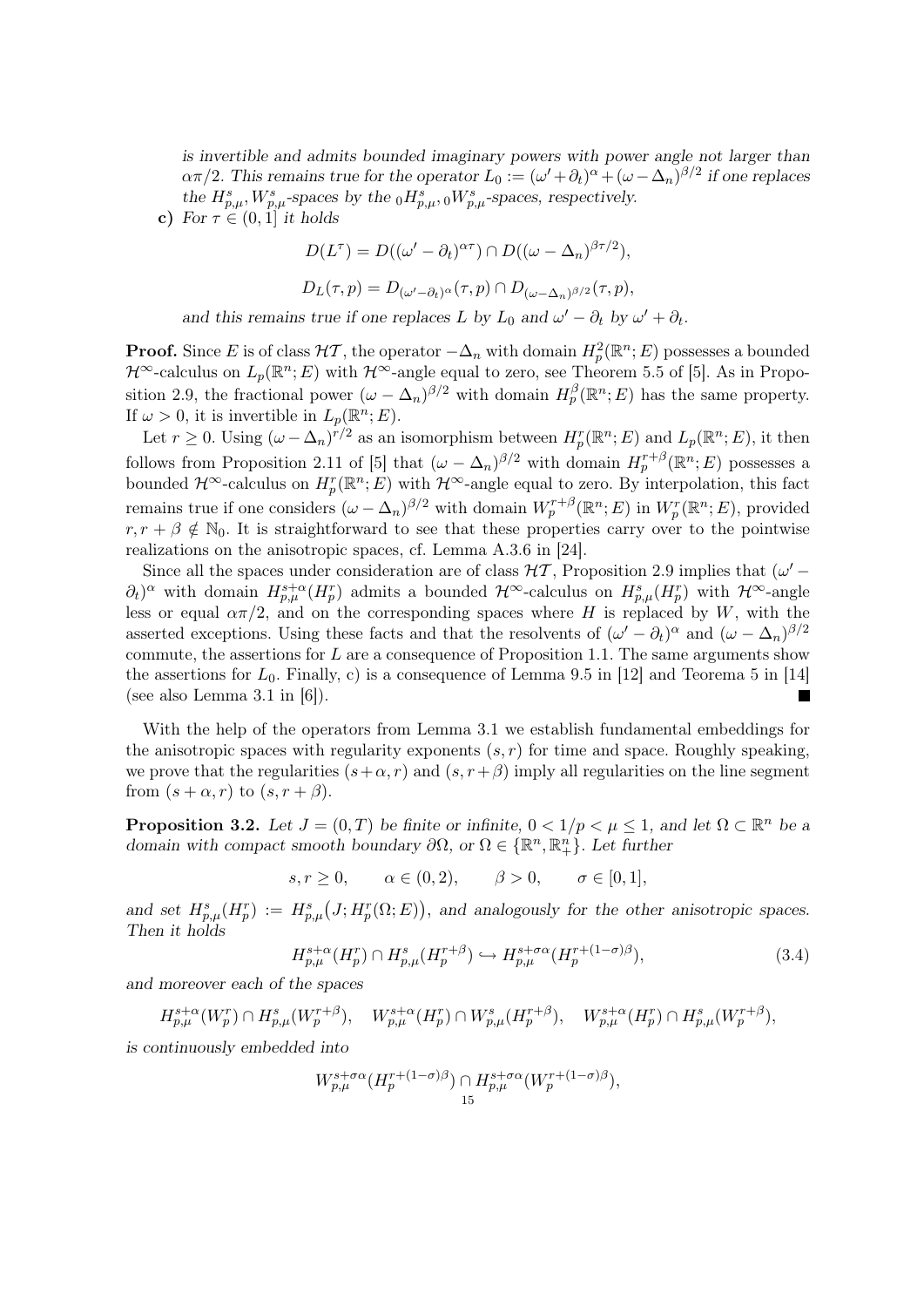is invertible and admits bounded imaginary powers with power angle not larger than  $\alpha\pi/2$ . This remains true for the operator  $L_0 := (\omega' + \partial_t)^{\alpha} + (\omega - \Delta_n)^{\beta/2}$  if one replaces the  $H^s_{p,\mu}$ ,  $W^s_{p,\mu}$ -spaces by the  $_0H^s_{p,\mu}$ ,  $_0W^s_{p,\mu}$ -spaces, respectively.

c) For  $\tau \in (0, 1]$  it holds

$$
D(L^{\tau}) = D((\omega' - \partial_t)^{\alpha \tau}) \cap D((\omega - \Delta_n)^{\beta \tau/2}),
$$
  
 
$$
D_{\tau}(\tau, n) = D(\omega, \alpha) \cdot (\tau, n) \cap D_{\tau} \qquad \text{and} \qquad D_{\tau}(\tau, n).
$$

$$
D_L(\tau, p) = D_{(\omega' - \partial_t)^{\alpha}}(\tau, p) \cap D_{(\omega - \Delta_n)^{\beta/2}}(\tau, p),
$$

and this remains true if one replaces L by  $L_0$  and  $\omega' - \partial_t$  by  $\omega' + \partial_t$ .

**Proof.** Since E is of class  $H\mathcal{T}$ , the operator  $-\Delta_n$  with domain  $H_p^2(\mathbb{R}^n; E)$  possesses a bounded  $\mathcal{H}^{\infty}$ -calculus on  $L_p(\mathbb{R}^n;E)$  with  $\mathcal{H}^{\infty}$ -angle equal to zero, see Theorem 5.5 of [5]. As in Proposition 2.9, the fractional power  $(\omega - \Delta_n)^{\beta/2}$  with domain  $H_p^{\beta}(\mathbb{R}^n;E)$  has the same property. If  $\omega > 0$ , it is invertible in  $L_p(\mathbb{R}^n; E)$ .

Let  $r \geq 0$ . Using  $(\omega - \Delta_n)^{r/2}$  as an isomorphism between  $H_p^r(\mathbb{R}^n;E)$  and  $L_p(\mathbb{R}^n;E)$ , it then follows from Proposition 2.11 of [5] that  $(\omega - \Delta_n)^{\beta/2}$  with domain  $H_p^{r+\beta}(\mathbb{R}^n;E)$  possesses a bounded  $\mathcal{H}^{\infty}$ -calculus on  $H^r_p(\mathbb{R}^n;E)$  with  $\mathcal{H}^{\infty}$ -angle equal to zero. By interpolation, this fact remains true if one considers  $(\omega - \Delta_n)^{\beta/2}$  with domain  $W_p^{r+\beta}(\mathbb{R}^n;E)$  in  $W_p^r(\mathbb{R}^n;E)$ , provided  $r, r + \beta \notin \mathbb{N}_0$ . It is straightforward to see that these properties carry over to the pointwise realizations on the anisotropic spaces, cf. Lemma A.3.6 in [24].

Since all the spaces under consideration are of class  $H\mathcal{T}$ , Proposition 2.9 implies that  $(\omega' (\partial_t)^\alpha$  with domain  $H^{s+\alpha}_{p,\mu}(H^r_p)$  admits a bounded  $\mathcal{H}^\infty$ -calculus on  $H^s_{p,\mu}(H^r_p)$  with  $\mathcal{H}^\infty$ -angle less or equal  $\alpha \pi/2$ , and on the corresponding spaces where H is replaced by W, with the asserted exceptions. Using these facts and that the resolvents of  $(\omega' - \partial_t)^\alpha$  and  $(\omega - \Delta_n)^{\beta/2}$ commute, the assertions for  $L$  are a consequence of Proposition 1.1. The same arguments show the assertions for  $L_0$ . Finally, c) is a consequence of Lemma 9.5 in [12] and Teorema 5 in [14] (see also Lemma 3.1 in [6]).  $\overline{\phantom{a}}$ 

With the help of the operators from Lemma 3.1 we establish fundamental embeddings for the anisotropic spaces with regularity exponents  $(s, r)$  for time and space. Roughly speaking, we prove that the regularities  $(s+\alpha, r)$  and  $(s, r+\beta)$  imply all regularities on the line segment from  $(s + \alpha, r)$  to  $(s, r + \beta)$ .

**Proposition 3.2.** Let  $J = (0, T)$  be finite or infinite,  $0 < 1/p < \mu \leq 1$ , and let  $\Omega \subset \mathbb{R}^n$  be a domain with compact smooth boundary  $\partial\Omega$ , or  $\Omega \in \{\mathbb{R}^n, \mathbb{R}^n_+\}$ . Let further

 $s, r \ge 0, \alpha \in (0, 2), \beta > 0, \alpha \in [0, 1],$ 

and set  $H_{p,\mu}^s(H_p^r) := H_{p,\mu}^s(J;H_p^r(\Omega;E)),$  and analogously for the other anisotropic spaces. Then it holds

$$
H_{p,\mu}^{s+\alpha}(H_p^r) \cap H_{p,\mu}^s(H_p^{r+\beta}) \hookrightarrow H_{p,\mu}^{s+\sigma\alpha}(H_p^{r+(1-\sigma)\beta}),\tag{3.4}
$$

and moreover each of the spaces

 $H^{s+\alpha}_{p,\mu}(W^r_p) \cap H^s_{p,\mu}(W^{r+\beta}_p), \quad W^{s+\alpha}_{p,\mu}(H^r_p) \cap W^s_{p,\mu}(H^{r+\beta}_p), \quad W^{s+\alpha}_{p,\mu}(H^r_p) \cap H^s_{p,\mu}(W^{r+\beta}_p),$ 

is continuously embedded into

$$
W^{s+\sigma\alpha}_{p,\mu}(H^{r+(1-\sigma)\beta}_p)\cap H^{s+\sigma\alpha}_{p,\mu}(W^{r+(1-\sigma)\beta}_p),\\15
$$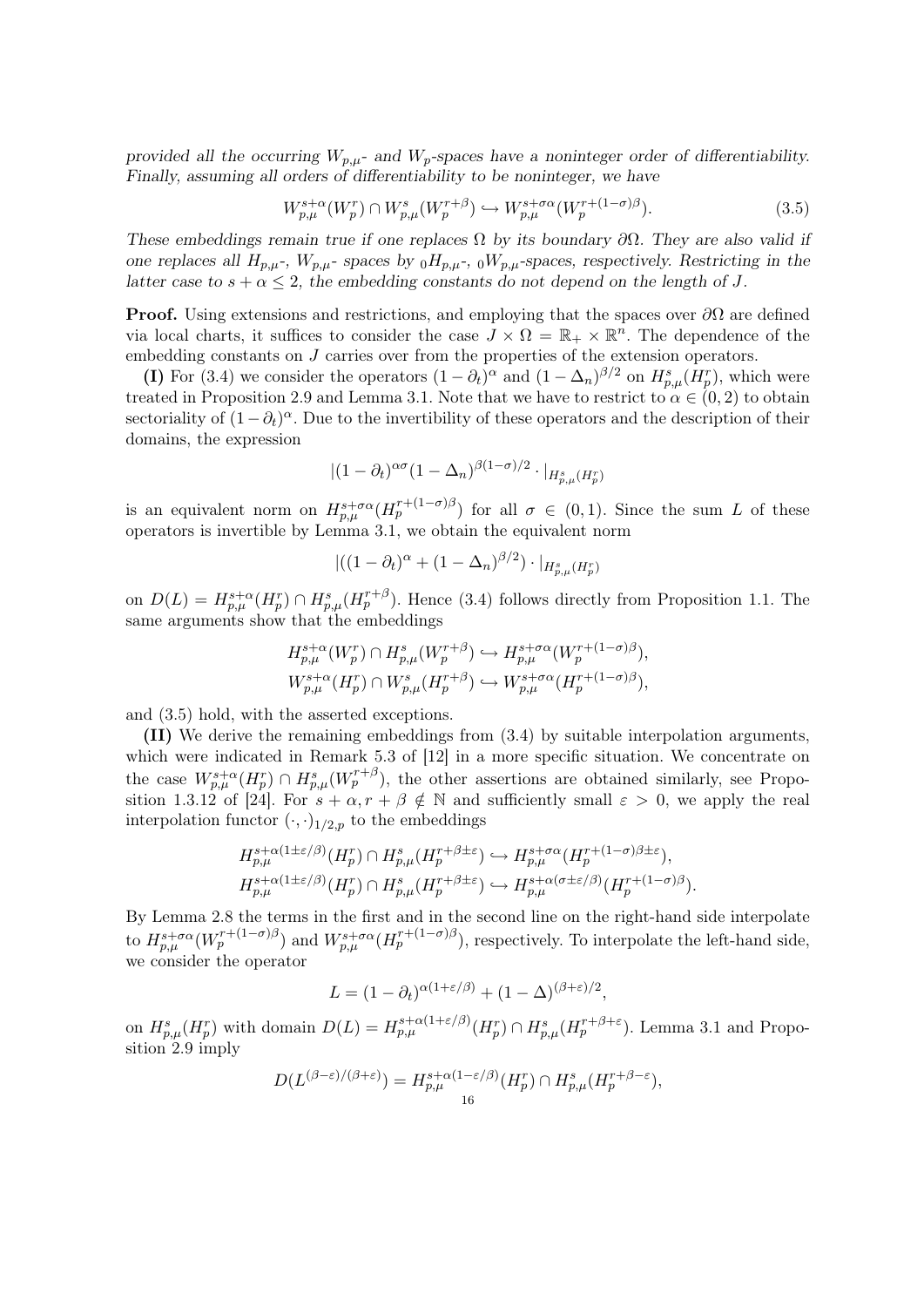provided all the occurring  $W_{p,\mu}$ - and  $W_p$ -spaces have a noninteger order of differentiability. Finally, assuming all orders of differentiability to be noninteger, we have

$$
W_{p,\mu}^{s+\alpha}(W_p^r) \cap W_{p,\mu}^s(W_p^{r+\beta}) \hookrightarrow W_{p,\mu}^{s+\sigma\alpha}(W_p^{r+(1-\sigma)\beta}).\tag{3.5}
$$

These embeddings remain true if one replaces  $\Omega$  by its boundary  $\partial\Omega$ . They are also valid if one replaces all  $H_{p,\mu}$ -,  $W_{p,\mu}$ - spaces by  $_0H_{p,\mu}$ -,  $_0W_{p,\mu}$ -spaces, respectively. Restricting in the latter case to  $s + \alpha \leq 2$ , the embedding constants do not depend on the length of J.

**Proof.** Using extensions and restrictions, and employing that the spaces over  $\partial\Omega$  are defined via local charts, it suffices to consider the case  $J \times \Omega = \mathbb{R}_+ \times \mathbb{R}^n$ . The dependence of the embedding constants on J carries over from the properties of the extension operators.

(I) For (3.4) we consider the operators  $(1 - \partial_t)^\alpha$  and  $(1 - \Delta_n)^{\beta/2}$  on  $H_{p,\mu}^s(H_p^r)$ , which were treated in Proposition 2.9 and Lemma 3.1. Note that we have to restrict to  $\alpha \in (0, 2)$  to obtain sectoriality of  $(1 - \partial_t)^\alpha$ . Due to the invertibility of these operators and the description of their domains, the expression

$$
|(1-\partial_t)^{\alpha\sigma}(1-\Delta_n)^{\beta(1-\sigma)/2}\cdot|_{H^s_{p,\mu}(H^r_p)}
$$

is an equivalent norm on  $H_{p,\mu}^{s+\sigma\alpha}(H_p^{r+(1-\sigma)\beta})$  for all  $\sigma \in (0,1)$ . Since the sum L of these operators is invertible by Lemma 3.1, we obtain the equivalent norm

$$
|((1 - \partial_t)^{\alpha} + (1 - \Delta_n)^{\beta/2}) \cdot |_{H^s_{p,\mu}(H^r_p)}
$$

on  $D(L) = H_{p,\mu}^{s+\alpha}(H_p^r) \cap H_{p,\mu}^s(H_p^{r+\beta})$ . Hence (3.4) follows directly from Proposition 1.1. The same arguments show that the embeddings

$$
H_{p,\mu}^{s+\alpha}(W_p^r) \cap H_{p,\mu}^s(W_p^{r+\beta}) \hookrightarrow H_{p,\mu}^{s+\sigma\alpha}(W_p^{r+(1-\sigma)\beta}),
$$
  

$$
W_{p,\mu}^{s+\alpha}(H_p^r) \cap W_{p,\mu}^s(H_p^{r+\beta}) \hookrightarrow W_{p,\mu}^{s+\sigma\alpha}(H_p^{r+(1-\sigma)\beta}),
$$

and (3.5) hold, with the asserted exceptions.

(II) We derive the remaining embeddings from (3.4) by suitable interpolation arguments, which were indicated in Remark 5.3 of [12] in a more specific situation. We concentrate on the case  $W^{s+\alpha}_{p,\mu}(H^r_p) \cap H^s_{p,\mu}(W^{r+\beta}_p)$ , the other assertions are obtained similarly, see Proposition 1.3.12 of [24]. For  $s + \alpha, r + \beta \notin \mathbb{N}$  and sufficiently small  $\varepsilon > 0$ , we apply the real interpolation functor  $(\cdot, \cdot)_{1/2,p}$  to the embeddings

$$
H_{p,\mu}^{s+\alpha(1\pm\varepsilon/\beta)}(H_p^r) \cap H_{p,\mu}^s(H_p^{r+\beta\pm\varepsilon}) \hookrightarrow H_{p,\mu}^{s+\sigma\alpha}(H_p^{r+(1-\sigma)\beta\pm\varepsilon}),
$$
  

$$
H_{p,\mu}^{s+\alpha(1\pm\varepsilon/\beta)}(H_p^r) \cap H_{p,\mu}^s(H_p^{r+\beta\pm\varepsilon}) \hookrightarrow H_{p,\mu}^{s+\alpha(\sigma\pm\varepsilon/\beta)}(H_p^{r+(1-\sigma)\beta}).
$$

By Lemma 2.8 the terms in the first and in the second line on the right-hand side interpolate to  $H_{p,\mu}^{s+\sigma\alpha}(W_p^{r+(1-\sigma)\beta})$  and  $W_{p,\mu}^{s+\sigma\alpha}(H_p^{r+(1-\sigma)\beta})$ , respectively. To interpolate the left-hand side, we consider the operator

$$
L = (1 - \partial_t)^{\alpha(1 + \varepsilon/\beta)} + (1 - \Delta)^{(\beta + \varepsilon)/2},
$$

on  $H_{p,\mu}^s(H_p^r)$  with domain  $D(L) = H_{p,\mu}^{s+\alpha(1+\varepsilon/\beta)}(H_p^r) \cap H_{p,\mu}^s(H_p^{r+\beta+\varepsilon})$ . Lemma 3.1 and Propo $sition$  2.9 imply

$$
D(L^{(\beta-\varepsilon)/(\beta+\varepsilon)})=H^{s+\alpha(1-\varepsilon/\beta)}_{p,\mu}(H^r_p)\cap H^s_{p,\mu}(H^{r+\beta-\varepsilon}_p),
$$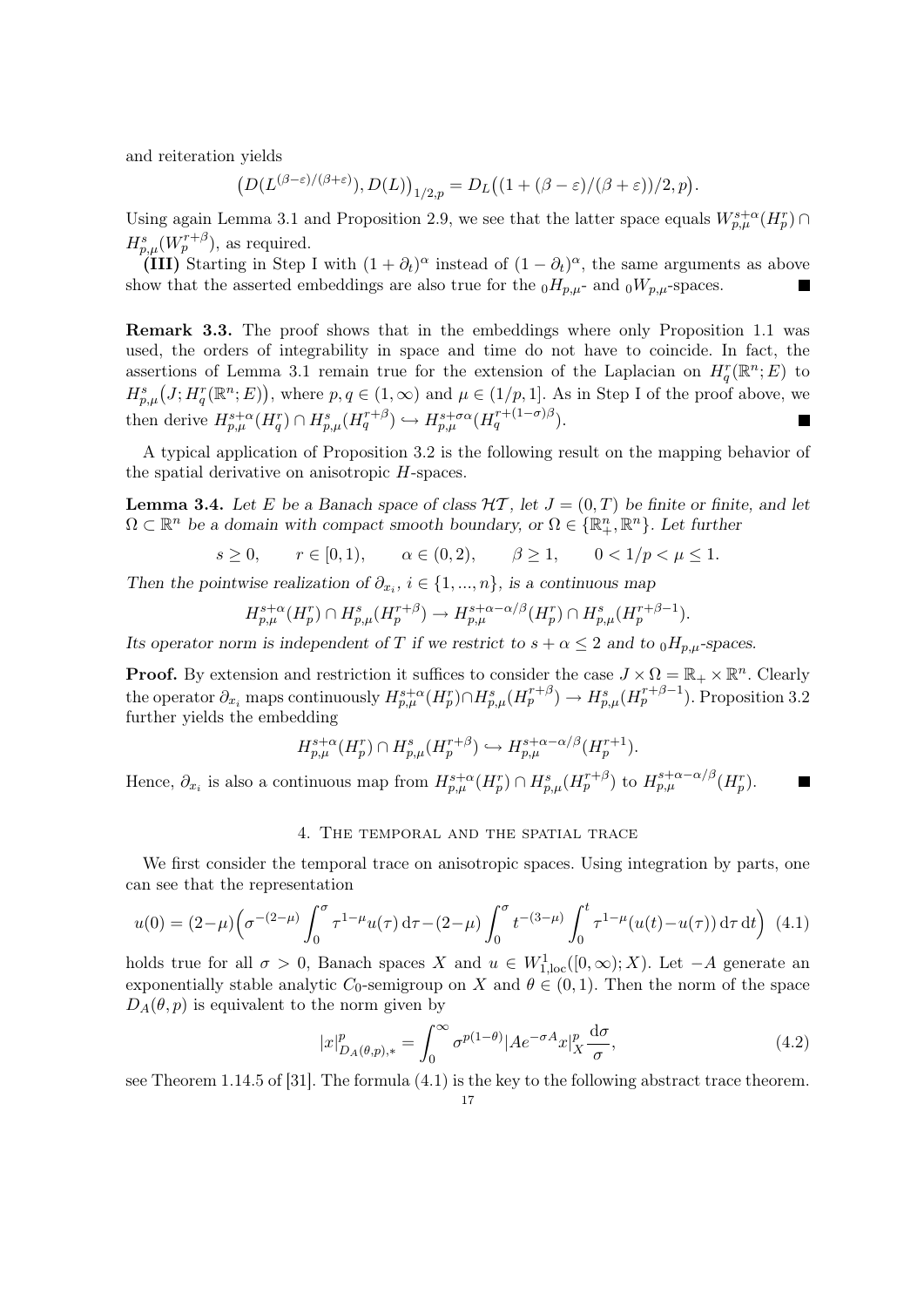and reiteration yields

$$
\big(D(L^{(\beta-\varepsilon)/(\beta+\varepsilon)}),D(L)\big)_{1/2,p}=D_L\big((1+(\beta-\varepsilon)/(\beta+\varepsilon))/2,p\big).
$$

Using again Lemma 3.1 and Proposition 2.9, we see that the latter space equals  $W^{s+\alpha}_{p,\mu}(H^r_p) \cap$  $H_{p,\mu}^s(W_p^{r+\beta}),$  as required.

(III) Starting in Step I with  $(1 + \partial_t)^\alpha$  instead of  $(1 - \partial_t)^\alpha$ , the same arguments as above show that the asserted embeddings are also true for the  $_0H_{p,\mu}$ - and  $_0W_{p,\mu}$ -spaces.

Remark 3.3. The proof shows that in the embeddings where only Proposition 1.1 was used, the orders of integrability in space and time do not have to coincide. In fact, the assertions of Lemma 3.1 remain true for the extension of the Laplacian on  $H_q^r(\mathbb{R}^n;E)$  to  $H_{p,\mu}^s(J;H_q^r(\mathbb{R}^n;E)),$  where  $p,q\in(1,\infty)$  and  $\mu\in(1/p,1].$  As in Step I of the proof above, we then derive  $H_{p,\mu}^{s+\alpha}(H_q^r) \cap H_{p,\mu}^s(H_q^{r+\beta}) \hookrightarrow H_{p,\mu}^{s+\sigma\alpha}(H_q^{r+(1-\sigma)\beta}).$  $\overline{\phantom{a}}$ 

A typical application of Proposition 3.2 is the following result on the mapping behavior of the spatial derivative on anisotropic H-spaces.

**Lemma 3.4.** Let E be a Banach space of class  $\mathcal{H}$ , let  $J = (0, T)$  be finite or finite, and let  $\Omega \subset \mathbb{R}^n$  be a domain with compact smooth boundary, or  $\Omega \in \{\mathbb{R}^n_+$ ,  $\mathbb{R}^n\}$ . Let further

$$
s \ge 0
$$
,  $r \in [0, 1)$ ,  $\alpha \in (0, 2)$ ,  $\beta \ge 1$ ,  $0 < 1/p < \mu \le 1$ .

Then the pointwise realization of  $\partial_{x_i}$ ,  $i \in \{1, ..., n\}$ , is a continuous map

$$
H_{p,\mu}^{s+\alpha}(H_p^r) \cap H_{p,\mu}^s(H_p^{r+\beta}) \to H_{p,\mu}^{s+\alpha-\alpha/\beta}(H_p^r) \cap H_{p,\mu}^s(H_p^{r+\beta-1}).
$$

Its operator norm is independent of T if we restrict to  $s + \alpha \leq 2$  and to  $_0H_{p,\mu}$ -spaces.

**Proof.** By extension and restriction it suffices to consider the case  $J \times \Omega = \mathbb{R}_+ \times \mathbb{R}^n$ . Clearly the operator  $\partial_{x_i}$  maps continuously  $H_{p,\mu}^{s+\alpha}(H_p^r) \cap H_{p,\mu}^s(H_p^{r+\beta}) \to H_{p,\mu}^s(H_p^{r+\beta-1})$ . Proposition 3.2 further yields the embedding

$$
H_{p,\mu}^{s+\alpha}(H_p^r) \cap H_{p,\mu}^s(H_p^{r+\beta}) \hookrightarrow H_{p,\mu}^{s+\alpha-\alpha/\beta}(H_p^{r+1}).
$$

Hence,  $\partial_{x_i}$  is also a continuous map from  $H_{p,\mu}^{s+\alpha}(H_p^r) \cap H_{p,\mu}^s(H_p^{r+\beta})$  to  $H_{p,\mu}^{s+\alpha-\alpha/\beta}(H_p^r)$ .  $\blacksquare$ 

## 4. The temporal and the spatial trace

We first consider the temporal trace on anisotropic spaces. Using integration by parts, one can see that the representation

$$
u(0) = (2-\mu)\left(\sigma^{-(2-\mu)}\int_0^\sigma \tau^{1-\mu}u(\tau)\,\mathrm{d}\tau - (2-\mu)\int_0^\sigma t^{-(3-\mu)}\int_0^t \tau^{1-\mu}(u(t)-u(\tau))\,\mathrm{d}\tau\,\mathrm{d}t\right) \tag{4.1}
$$

holds true for all  $\sigma > 0$ , Banach spaces X and  $u \in W^1_{1,\text{loc}}([0,\infty);X)$ . Let  $-A$  generate an exponentially stable analytic C<sub>0</sub>-semigroup on X and  $\theta \in (0,1)$ . Then the norm of the space  $D_A(\theta, p)$  is equivalent to the norm given by

$$
|x|_{D_A(\theta,p),*}^p = \int_0^\infty \sigma^{p(1-\theta)} |Ae^{-\sigma A}x|_X^p \frac{d\sigma}{\sigma},\tag{4.2}
$$

see Theorem 1.14.5 of [31]. The formula (4.1) is the key to the following abstract trace theorem.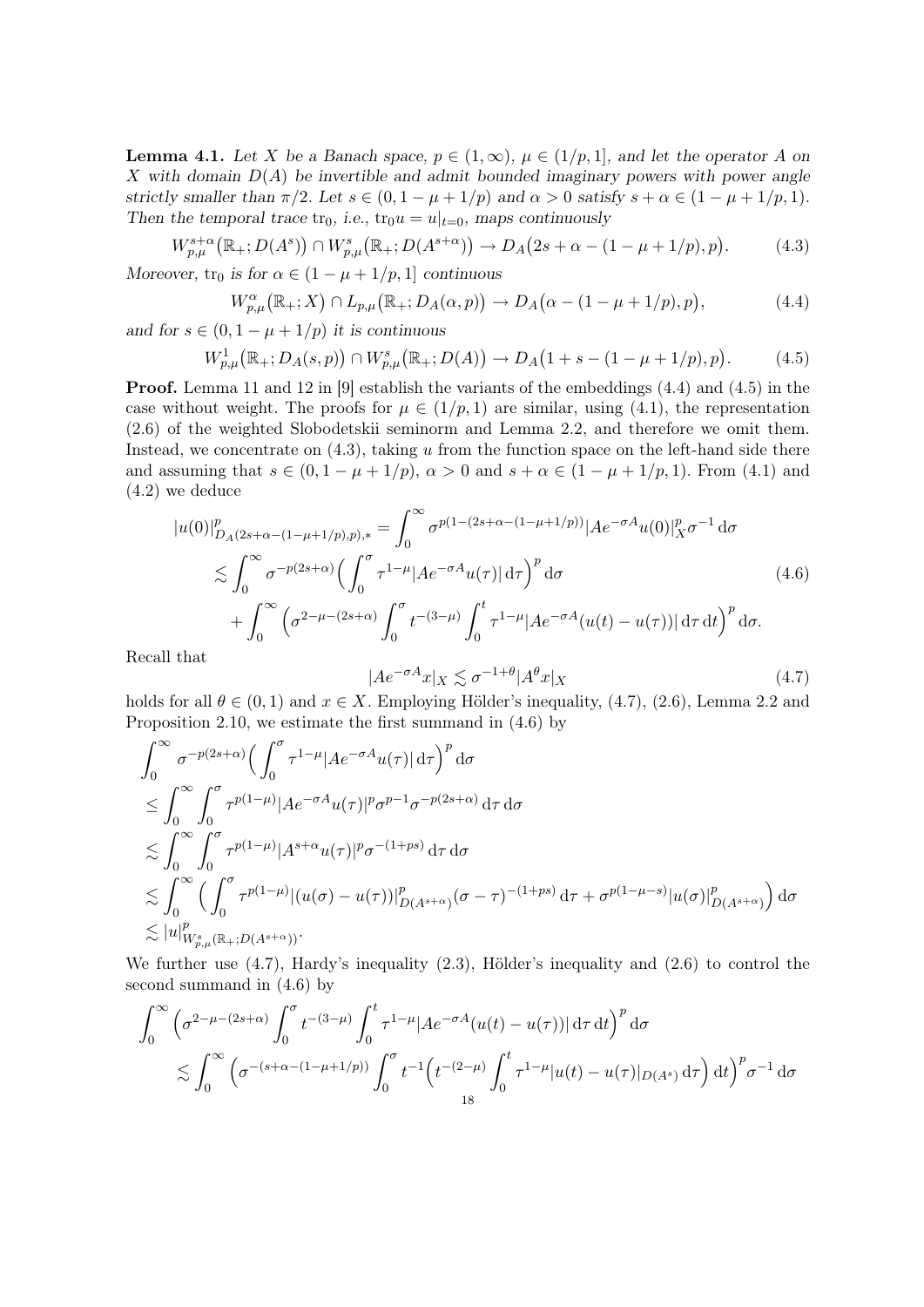**Lemma 4.1.** Let X be a Banach space,  $p \in (1,\infty)$ ,  $\mu \in (1/p,1]$ , and let the operator A on X with domain  $D(A)$  be invertible and admit bounded imaginary powers with power angle strictly smaller than  $\pi/2$ . Let  $s \in (0, 1 - \mu + 1/p)$  and  $\alpha > 0$  satisfy  $s + \alpha \in (1 - \mu + 1/p, 1)$ . Then the temporal trace  $\text{tr}_0$ , i.e.,  $\text{tr}_0u = u|_{t=0}$ , maps continuously

$$
W_{p,\mu}^{s+\alpha}(\mathbb{R}_+; D(A^s)) \cap W_{p,\mu}^s(\mathbb{R}_+; D(A^{s+\alpha})) \to D_A(2s + \alpha - (1 - \mu + 1/p), p). \tag{4.3}
$$

Moreover,  $\text{tr}_0$  is for  $\alpha \in (1 - \mu + 1/p, 1]$  continuous

$$
W_{p,\mu}^{\alpha}(\mathbb{R}_+;X)\cap L_{p,\mu}(\mathbb{R}_+;D_A(\alpha,p))\to D_A(\alpha-(1-\mu+1/p),p),\tag{4.4}
$$

and for  $s \in (0, 1 - \mu + 1/p)$  it is continuous

$$
W_{p,\mu}^1(\mathbb{R}_+; D_A(s,p)) \cap W_{p,\mu}^s(\mathbb{R}_+; D(A)) \to D_A(1+s-(1-\mu+1/p),p). \tag{4.5}
$$

**Proof.** Lemma 11 and 12 in [9] establish the variants of the embeddings  $(4.4)$  and  $(4.5)$  in the case without weight. The proofs for  $\mu \in (1/p, 1)$  are similar, using (4.1), the representation (2.6) of the weighted Slobodetskii seminorm and Lemma 2.2, and therefore we omit them. Instead, we concentrate on  $(4.3)$ , taking u from the function space on the left-hand side there and assuming that  $s \in (0, 1 - \mu + 1/p)$ ,  $\alpha > 0$  and  $s + \alpha \in (1 - \mu + 1/p, 1)$ . From (4.1) and (4.2) we deduce

$$
|u(0)|_{D_A(2s+\alpha-(1-\mu+1/p),p),*}^p = \int_0^\infty \sigma^{p(1-(2s+\alpha-(1-\mu+1/p))}|Ae^{-\sigma A}u(0)|_X^p \sigma^{-1} d\sigma
$$
  

$$
\lesssim \int_0^\infty \sigma^{-p(2s+\alpha)} \Big(\int_0^\sigma \tau^{1-\mu}|Ae^{-\sigma A}u(\tau)| d\tau\Big)^p d\sigma
$$
  

$$
+ \int_0^\infty \Big(\sigma^{2-\mu-(2s+\alpha)} \int_0^\sigma t^{-(3-\mu)} \int_0^t \tau^{1-\mu}|Ae^{-\sigma A}(u(t)-u(\tau))| d\tau dt\Big)^p d\sigma.
$$
 (4.6)

Recall that

$$
|Ae^{-\sigma A}x|_X \lesssim \sigma^{-1+\theta}|A^{\theta}x|_X\tag{4.7}
$$

holds for all  $\theta \in (0,1)$  and  $x \in X$ . Employing Hölder's inequality, (4.7), (2.6), Lemma 2.2 and Proposition 2.10, we estimate the first summand in (4.6) by

$$
\int_0^\infty \sigma^{-p(2s+\alpha)} \Big( \int_0^\sigma \tau^{1-\mu} |Ae^{-\sigma A}u(\tau)| d\tau \Big)^p d\sigma
$$
\n
$$
\leq \int_0^\infty \int_0^\sigma \tau^{p(1-\mu)} |Ae^{-\sigma A}u(\tau)|^p \sigma^{p-1} \sigma^{-p(2s+\alpha)} d\tau d\sigma
$$
\n
$$
\lesssim \int_0^\infty \int_0^\sigma \tau^{p(1-\mu)} |A^{s+\alpha}u(\tau)|^p \sigma^{-(1+ps)} d\tau d\sigma
$$
\n
$$
\lesssim \int_0^\infty \Big( \int_0^\sigma \tau^{p(1-\mu)} |(u(\sigma) - u(\tau))|^p_{D(A^{s+\alpha})} (\sigma - \tau)^{-(1+ps)} d\tau + \sigma^{p(1-\mu-s)} |u(\sigma)|^p_{D(A^{s+\alpha})} \Big) d\sigma
$$
\n
$$
\lesssim |u|_{W_{p,\mu}^s(\mathbb{R}_+; D(A^{s+\alpha}))}^p.
$$

We further use (4.7), Hardy's inequality (2.3), Hölder's inequality and (2.6) to control the second summand in (4.6) by

$$
\int_0^{\infty} \left( \sigma^{2-\mu-(2s+\alpha)} \int_0^{\sigma} t^{-(3-\mu)} \int_0^t \tau^{1-\mu} |Ae^{-\sigma A}(u(t) - u(\tau))| d\tau dt \right)^p d\sigma
$$
  
\$\lesssim \int\_0^{\infty} \left( \sigma^{-(s+\alpha-(1-\mu+1/p))} \int\_0^{\sigma} t^{-1} \left( t^{-(2-\mu)} \int\_0^t \tau^{1-\mu} |u(t) - u(\tau)|\_{D(A^s)} d\tau \right) dt \right)^p \sigma^{-1} d\sigma\$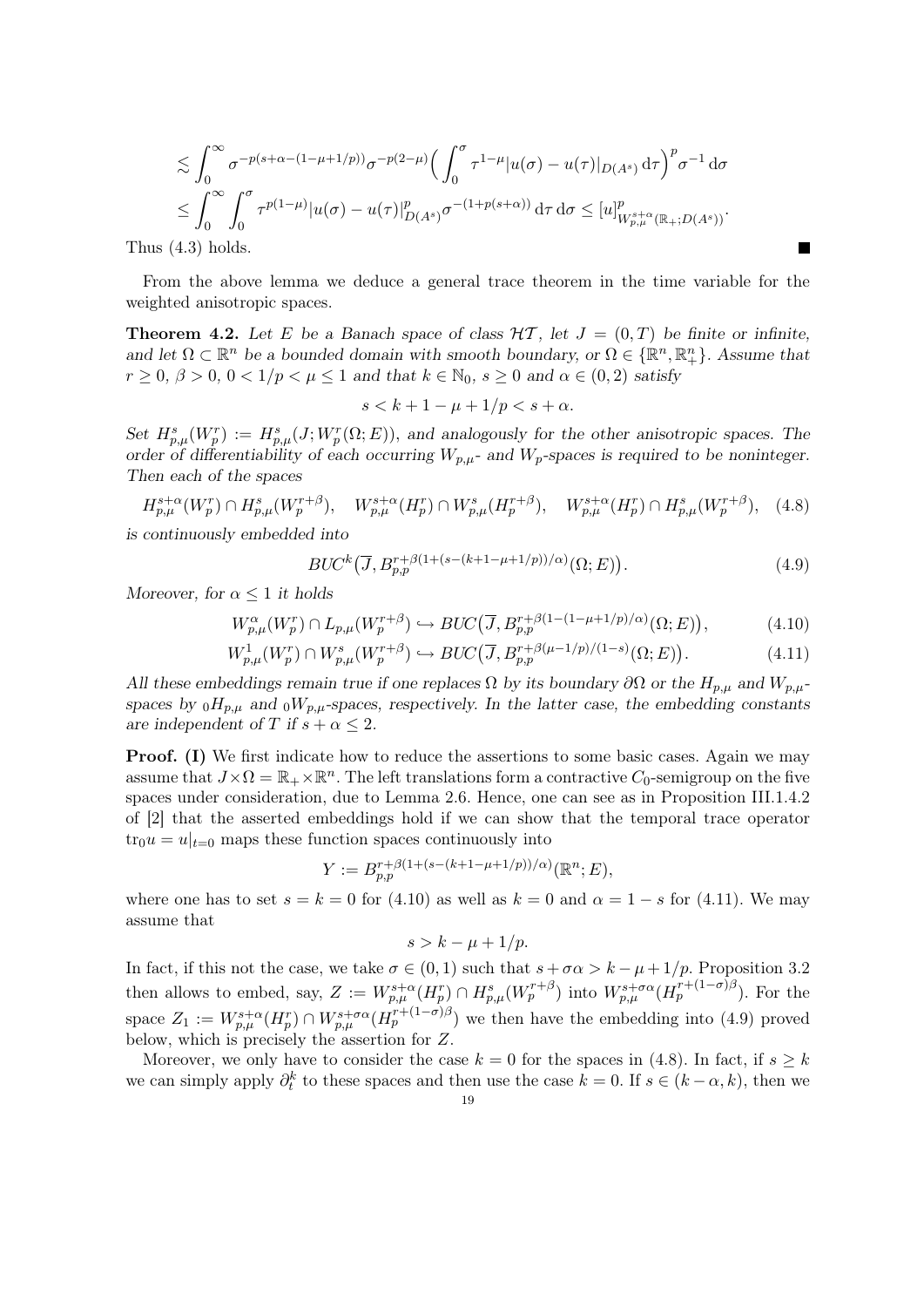$$
\lesssim \int_0^\infty \sigma^{-p(s+\alpha-(1-\mu+1/p))} \sigma^{-p(2-\mu)} \Big( \int_0^\sigma \tau^{1-\mu} |u(\sigma) - u(\tau)|_{D(A^s)} d\tau \Big)^p \sigma^{-1} d\sigma \leq \int_0^\infty \int_0^\sigma \tau^{p(1-\mu)} |u(\sigma) - u(\tau)|_{D(A^s)}^p \sigma^{-(1+p(s+\alpha))} d\tau d\sigma \leq [u]_{W^{s+\alpha}_{p,\mu}(\mathbb{R}_+, D(A^s))}^p.
$$

Thus (4.3) holds.

From the above lemma we deduce a general trace theorem in the time variable for the weighted anisotropic spaces.

**Theorem 4.2.** Let E be a Banach space of class  $H\mathcal{T}$ , let  $J = (0, T)$  be finite or infinite, and let  $\Omega \subset \mathbb{R}^n$  be a bounded domain with smooth boundary, or  $\Omega \in \{\mathbb{R}^n, \mathbb{R}^n_+\}$ . Assume that  $r \geq 0$ ,  $\beta > 0$ ,  $0 < 1/p < \mu \leq 1$  and that  $k \in \mathbb{N}_0$ ,  $s \geq 0$  and  $\alpha \in (0, 2)$  satisfy

$$
s < k + 1 - \mu + \frac{1}{p} < s + \alpha.
$$

Set  $H_{p,\mu}^s(W_p^r) := H_{p,\mu}^s(J;W_p^r(\Omega;E))$ , and analogously for the other anisotropic spaces. The order of differentiability of each occurring  $W_{p,\mu}$ - and  $W_p$ -spaces is required to be noninteger. Then each of the spaces

$$
H_{p,\mu}^{s+\alpha}(W_p^r) \cap H_{p,\mu}^s(W_p^{r+\beta}), \quad W_{p,\mu}^{s+\alpha}(H_p^r) \cap W_{p,\mu}^s(H_p^{r+\beta}), \quad W_{p,\mu}^{s+\alpha}(H_p^r) \cap H_{p,\mu}^s(W_p^{r+\beta}), \quad (4.8)
$$
is continuously embedded into

$$
BUC^{k}(\overline{J}, B_{p,p}^{r+\beta(1+(s-(k+1-\mu+1/p))/\alpha)}(\Omega; E)). \tag{4.9}
$$

Moreover, for  $\alpha \leq 1$  it holds

$$
W_{p,\mu}^{\alpha}(W_p^r) \cap L_{p,\mu}(W_p^{r+\beta}) \hookrightarrow BUC(\overline{J}, B_{p,p}^{r+\beta(1-(1-\mu+1/p)/\alpha)}(\Omega; E)),\tag{4.10}
$$

$$
W_{p,\mu}^1(W_p^r) \cap W_{p,\mu}^s(W_p^{r+\beta}) \hookrightarrow BUC(\overline{J}, B_{p,p}^{r+\beta(\mu-1/p)/(1-s)}(\Omega; E)).\tag{4.11}
$$

All these embeddings remain true if one replaces  $\Omega$  by its boundary  $\partial\Omega$  or the  $H_{p,\mu}$  and  $W_{p,\mu}$ spaces by  $_0H_{p,\mu}$  and  $_0W_{p,\mu}$ -spaces, respectively. In the latter case, the embedding constants are independent of T if  $s + \alpha \leq 2$ .

**Proof.** (I) We first indicate how to reduce the assertions to some basic cases. Again we may assume that  $J \times \Omega = \mathbb{R}_+ \times \mathbb{R}^n$ . The left translations form a contractive  $C_0$ -semigroup on the five spaces under consideration, due to Lemma 2.6. Hence, one can see as in Proposition III.1.4.2 of [2] that the asserted embeddings hold if we can show that the temporal trace operator  $\text{tr}_0u = u|_{t=0}$  maps these function spaces continuously into

$$
Y := B_{p,p}^{r+\beta(1+(s-(k+1-\mu+1/p))/\alpha)}(\mathbb{R}^n;E),
$$

where one has to set  $s = k = 0$  for (4.10) as well as  $k = 0$  and  $\alpha = 1 - s$  for (4.11). We may assume that

$$
s > k - \mu + 1/p.
$$

In fact, if this not the case, we take  $\sigma \in (0,1)$  such that  $s + \sigma \alpha > k - \mu + 1/p$ . Proposition 3.2 then allows to embed, say,  $Z := W_{p,\mu}^{s+\alpha}(H_p^r) \cap H_{p,\mu}^s(W_p^{r+\beta})$  into  $W_{p,\mu}^{s+\sigma\alpha}(H_p^{r+(1-\sigma)\beta})$ . For the space  $Z_1 := W^{s+\alpha}_{p,\mu}(H^r_p) \cap W^{s+\sigma\alpha}_{p,\mu}(H^{r+(1-\sigma)\beta}_p)$  we then have the embedding into (4.9) proved below, which is precisely the assertion for Z.

Moreover, we only have to consider the case  $k = 0$  for the spaces in (4.8). In fact, if  $s \geq k$ we can simply apply  $\partial_t^k$  to these spaces and then use the case  $k = 0$ . If  $s \in (k - \alpha, k)$ , then we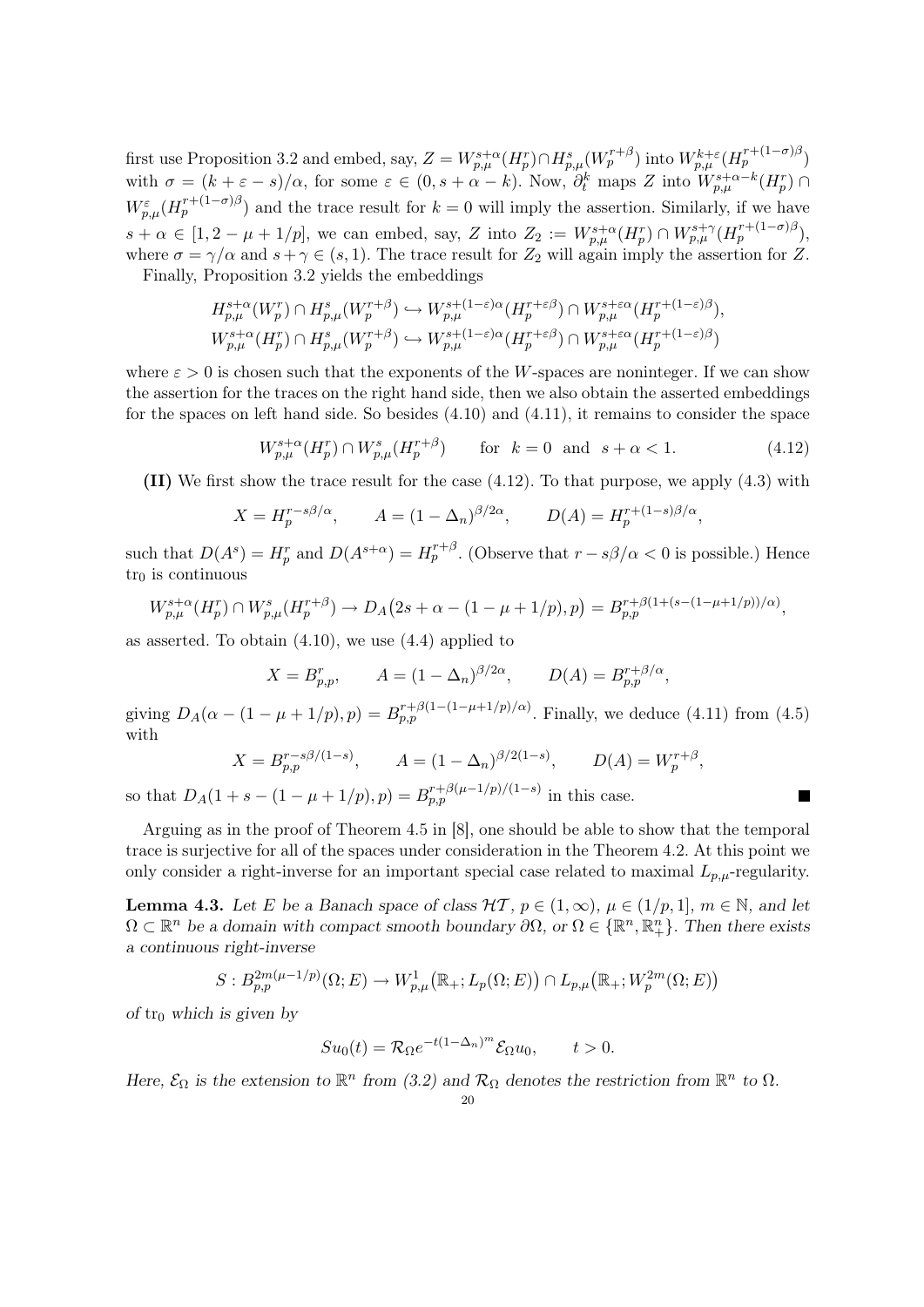first use Proposition 3.2 and embed, say,  $Z = W^{s+\alpha}_{p,\mu}(H^r_p) \cap H^s_{p,\mu}(W^{r+\beta}_p)$  into  $W^{k+\varepsilon}_{p,\mu}(H^{r+(1-\sigma)\beta}_p)$ with  $\sigma = (k + \varepsilon - s)/\alpha$ , for some  $\varepsilon \in (0, s + \alpha - k)$ . Now,  $\partial_t^k$  maps Z into  $\overline{W_{p,\mu}^{s+\alpha-k}(H_p^r)}$  $W_{p,\mu}^{\varepsilon}(H_p^{r+(1-\sigma)\beta})$  and the trace result for  $k=0$  will imply the assertion. Similarly, if we have  $s + \alpha \in [1, 2 - \mu + 1/p]$ , we can embed, say, Z into  $Z_2 := W_{p,\mu}^{s+\alpha}(H_p^r) \cap W_{p,\mu}^{s+\gamma}(H_p^{r+(1-\sigma)\beta}),$ where  $\sigma = \gamma/\alpha$  and  $s + \gamma \in (s, 1)$ . The trace result for  $Z_2$  will again imply the assertion for Z.

Finally, Proposition 3.2 yields the embeddings

$$
H_{p,\mu}^{s+\alpha}(W_p^r) \cap H_{p,\mu}^s(W_p^{r+\beta}) \hookrightarrow W_{p,\mu}^{s+(1-\varepsilon)\alpha}(H_p^{r+\varepsilon\beta}) \cap W_{p,\mu}^{s+\varepsilon\alpha}(H_p^{r+(1-\varepsilon)\beta}),
$$
  

$$
W_{p,\mu}^{s+\alpha}(H_p^r) \cap H_{p,\mu}^s(W_p^{r+\beta}) \hookrightarrow W_{p,\mu}^{s+(1-\varepsilon)\alpha}(H_p^{r+\varepsilon\beta}) \cap W_{p,\mu}^{s+\varepsilon\alpha}(H_p^{r+(1-\varepsilon)\beta})
$$

where  $\varepsilon > 0$  is chosen such that the exponents of the W-spaces are noninteger. If we can show the assertion for the traces on the right hand side, then we also obtain the asserted embeddings for the spaces on left hand side. So besides (4.10) and (4.11), it remains to consider the space

$$
W_{p,\mu}^{s+\alpha}(H_p^r) \cap W_{p,\mu}^s(H_p^{r+\beta}) \qquad \text{for} \ \ k=0 \ \ \text{and} \ \ s+\alpha<1. \tag{4.12}
$$

 $\blacksquare$ 

(II) We first show the trace result for the case (4.12). To that purpose, we apply (4.3) with

$$
X = H_p^{r - s\beta/\alpha}, \qquad A = (1 - \Delta_n)^{\beta/2\alpha}, \qquad D(A) = H_p^{r + (1 - s)\beta/\alpha},
$$

such that  $D(A^s) = H_p^r$  and  $D(A^{s+\alpha}) = H_p^{r+\beta}$ . (Observe that  $r - s\beta/\alpha < 0$  is possible.) Hence  $tr_0$  is continuous

$$
W_{p,\mu}^{s+\alpha}(H_p^r) \cap W_{p,\mu}^s(H_p^{r+\beta}) \to D_A(2s+\alpha-(1-\mu+1/p),p) = B_{p,p}^{r+\beta(1+(s-(1-\mu+1/p))/\alpha)},
$$

as asserted. To obtain  $(4.10)$ , we use  $(4.4)$  applied to

$$
X = B_{p,p}^r
$$
,  $A = (1 - \Delta_n)^{\beta/2\alpha}$ ,  $D(A) = B_{p,p}^{r+\beta/\alpha}$ ,

giving  $D_A(\alpha - (1 - \mu + 1/p), p) = B_{p,p}^{r+\beta(1-(1-\mu+1/p)/\alpha)}$ . Finally, we deduce (4.11) from (4.5) with

$$
X = B_{p,p}^{r-s\beta/(1-s)},
$$
  $A = (1 - \Delta_n)^{\beta/2(1-s)},$   $D(A) = W_p^{r+\beta},$ 

so that  $D_A(1 + s - (1 - \mu + 1/p), p) = B_{p,p}^{r+\beta(\mu-1/p)/(1-s)}$  in this case.

Arguing as in the proof of Theorem 4.5 in [8], one should be able to show that the temporal trace is surjective for all of the spaces under consideration in the Theorem 4.2. At this point we only consider a right-inverse for an important special case related to maximal  $L_{p,\mu}$ -regularity.

**Lemma 4.3.** Let E be a Banach space of class  $H\mathcal{T}, p \in (1,\infty), \mu \in (1/p,1], m \in \mathbb{N}$ , and let  $\Omega \subset \mathbb{R}^n$  be a domain with compact smooth boundary  $\partial\Omega$ , or  $\Omega \in \{\mathbb{R}^n, \mathbb{R}^n_+\}$ . Then there exists a continuous right-inverse

$$
S: B_{p,p}^{2m(\mu-1/p)}(\Omega; E) \to W_{p,\mu}^1(\mathbb{R}_+; L_p(\Omega; E)) \cap L_{p,\mu}(\mathbb{R}_+; W_p^{2m}(\Omega; E))
$$

of tr<sub>0</sub> which is given by

$$
Su_0(t) = \mathcal{R}_{\Omega}e^{-t(1-\Delta_n)^m}\mathcal{E}_{\Omega}u_0, \qquad t > 0.
$$

Here,  $\mathcal{E}_{\Omega}$  is the extension to  $\mathbb{R}^{n}$  from (3.2) and  $\mathcal{R}_{\Omega}$  denotes the restriction from  $\mathbb{R}^{n}$  to  $\Omega$ .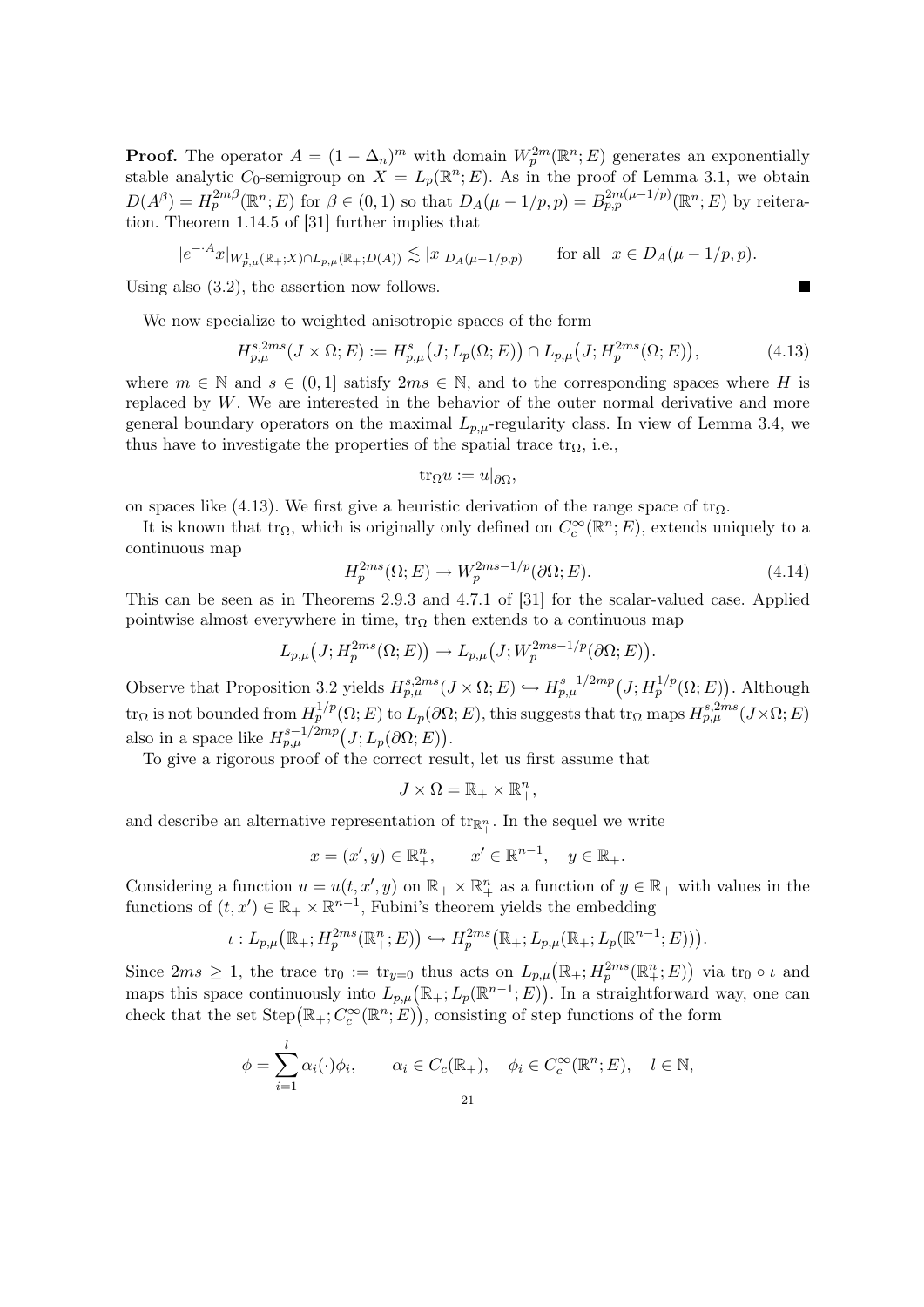**Proof.** The operator  $A = (1 - \Delta_n)^m$  with domain  $W_p^{2m}(\mathbb{R}^n; E)$  generates an exponentially stable analytic C<sub>0</sub>-semigroup on  $X = L_p(\mathbb{R}^n; E)$ . As in the proof of Lemma 3.1, we obtain  $D(A^{\beta}) = H_p^{2m\beta}(\mathbb{R}^n;E)$  for  $\beta \in (0,1)$  so that  $D_A(\mu - 1/p,p) = B_{p,p}^{2m(\mu - 1/p)}(\mathbb{R}^n;E)$  by reiteration. Theorem 1.14.5 of [31] further implies that

$$
|e^{-A}x|_{W_{p,\mu}^1(\mathbb{R}_+;X)\cap L_{p,\mu}(\mathbb{R}_+;D(A))}\lesssim |x|_{D_A(\mu-1/p,p)}
$$
 for all  $x\in D_A(\mu-1/p,p)$ .

Using also (3.2), the assertion now follows.

We now specialize to weighted anisotropic spaces of the form

$$
H_{p,\mu}^{s,2ms}(J \times \Omega; E) := H_{p,\mu}^{s}(J; L_p(\Omega; E)) \cap L_{p,\mu}(J; H_p^{2ms}(\Omega; E)), \tag{4.13}
$$

where  $m \in \mathbb{N}$  and  $s \in (0, 1]$  satisfy  $2ms \in \mathbb{N}$ , and to the corresponding spaces where H is replaced by  $W$ . We are interested in the behavior of the outer normal derivative and more general boundary operators on the maximal  $L_{p,\mu}$ -regularity class. In view of Lemma 3.4, we thus have to investigate the properties of the spatial trace  $\text{tr}_{\Omega}$ , i.e.,

$$
\mathrm{tr}_{\Omega} u := u|_{\partial \Omega},
$$

on spaces like (4.13). We first give a heuristic derivation of the range space of  $tr_{\Omega}$ .

It is known that  $\text{tr}_{\Omega}$ , which is originally only defined on  $C_c^{\infty}(\mathbb{R}^n;E)$ , extends uniquely to a continuous map

$$
H_p^{2ms}(\Omega; E) \to W_p^{2ms-1/p}(\partial \Omega; E). \tag{4.14}
$$

This can be seen as in Theorems 2.9.3 and 4.7.1 of [31] for the scalar-valued case. Applied pointwise almost everywhere in time,  $tr_{\Omega}$  then extends to a continuous map

$$
L_{p,\mu}(J;H_p^{2ms}(\Omega;E)) \to L_{p,\mu}(J;W_p^{2ms-1/p}(\partial\Omega;E)).
$$

Observe that Proposition 3.2 yields  $H_{p,\mu}^{s,2ms}(J \times \Omega; E) \hookrightarrow H_{p,\mu}^{s-1/2mp}(J; H_p^{1/p}(\Omega; E))$ . Although  $\text{tr}_{\Omega}$  is not bounded from  $H_p^{1/p}(\Omega;E)$  to  $L_p(\partial\Omega;E)$ , this suggests that  $\text{tr}_{\Omega}$  maps  $H_{p,\mu}^{s,2ms}(J\times\Omega;E)$ also in a space like  $H_{p,\mu}^{s-1/2mp}(J;L_p(\partial\Omega;E)).$ 

To give a rigorous proof of the correct result, let us first assume that

$$
J \times \Omega = \mathbb{R}_+ \times \mathbb{R}_+^n,
$$

and describe an alternative representation of  $\text{tr}_{\mathbb{R}^n_+}$ . In the sequel we write

$$
x = (x', y) \in \mathbb{R}^n_+, \qquad x' \in \mathbb{R}^{n-1}, \quad y \in \mathbb{R}_+.
$$

Considering a function  $u = u(t, x', y)$  on  $\mathbb{R}_+ \times \mathbb{R}_+^n$  as a function of  $y \in \mathbb{R}_+$  with values in the functions of  $(t, x') \in \mathbb{R}_+ \times \mathbb{R}^{n-1}$ , Fubini's theorem yields the embedding

$$
\iota: L_{p,\mu}\big(\mathbb{R}_+; H_p^{2ms}(\mathbb{R}_+^n;E)\big) \hookrightarrow H_p^{2ms}(\mathbb{R}_+; L_{p,\mu}(\mathbb{R}_+; L_p(\mathbb{R}^{n-1};E)).
$$

Since  $2ms \geq 1$ , the trace  $\text{tr}_0 := \text{tr}_{y=0}$  thus acts on  $L_{p,\mu}(\mathbb{R}_+; H_p^{2ms}(\mathbb{R}_+^n; E))$  via  $\text{tr}_0 \circ \iota$  and maps this space continuously into  $L_{p,\mu}(\mathbb{R}_+; L_p(\mathbb{R}^{n-1}; E))$ . In a straightforward way, one can check that the set  $Step(\mathbb{R}_{+}; C_c^{\infty}(\mathbb{R}^n; E))$ , consisting of step functions of the form

$$
\phi = \sum_{i=1}^{l} \alpha_i(\cdot) \phi_i, \qquad \alpha_i \in C_c(\mathbb{R}_+), \quad \phi_i \in C_c^{\infty}(\mathbb{R}^n; E), \quad l \in \mathbb{N},
$$
  
21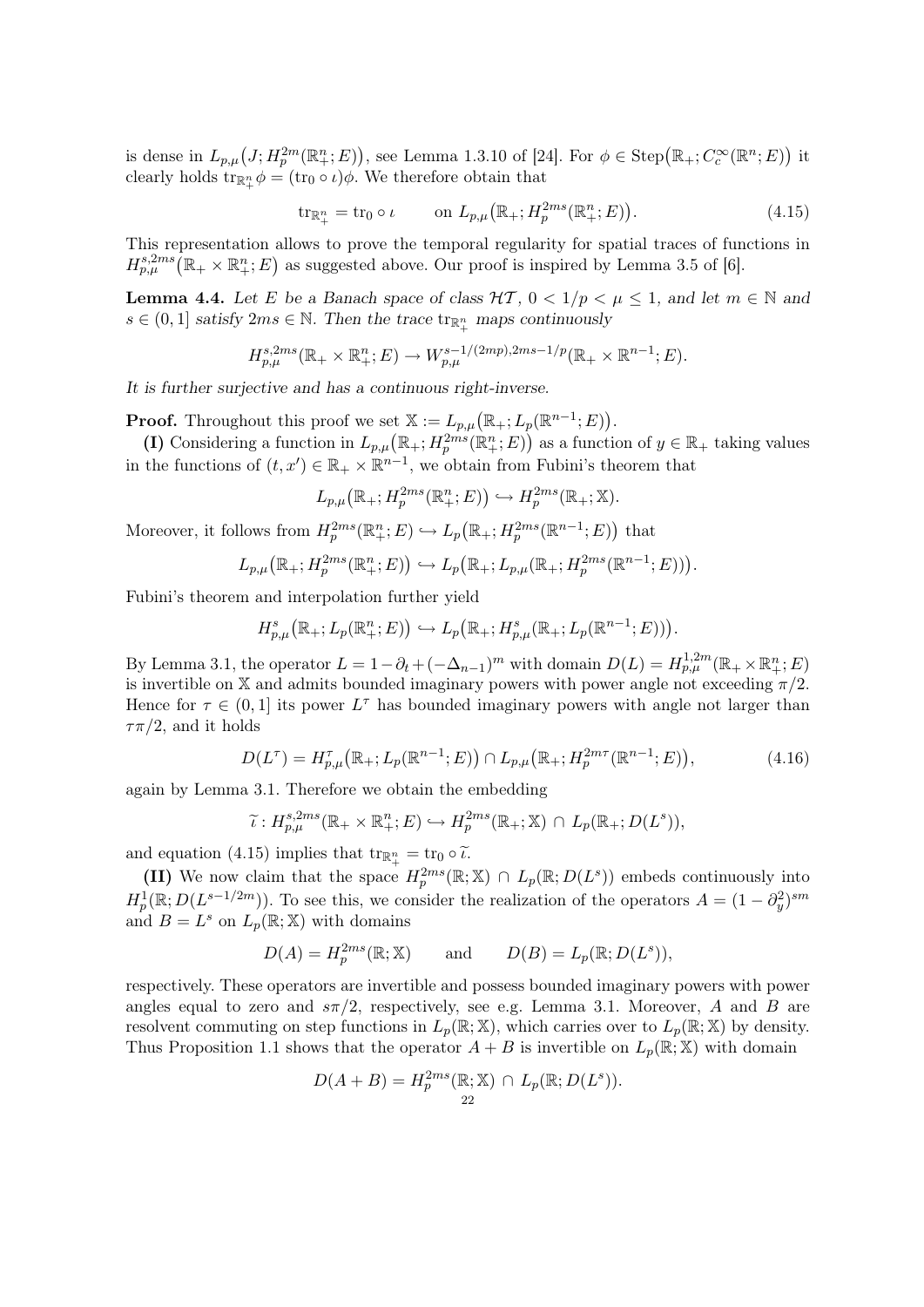is dense in  $L_{p,\mu}(J;H_p^{2m}(\mathbb{R}^n_+;E))$ , see Lemma 1.3.10 of [24]. For  $\phi \in \text{Step}(\mathbb{R}_+; C_c^{\infty}(\mathbb{R}^n;E))$  it clearly holds  $\text{tr}_{\mathbb{R}^n_+}\phi = (\text{tr}_0 \circ \iota)\phi$ . We therefore obtain that

$$
\operatorname{tr}_{\mathbb{R}_+^n} = \operatorname{tr}_0 \circ \iota \qquad \text{on } L_{p,\mu}\big(\mathbb{R}_+; H_p^{2ms}(\mathbb{R}_+^n; E)\big). \tag{4.15}
$$

This representation allows to prove the temporal regularity for spatial traces of functions in  $H_{p,\mu}^{s,2ms}(\mathbb{R}_+\times\mathbb{R}_+^n;E)$  as suggested above. Our proof is inspired by Lemma 3.5 of [6].

**Lemma 4.4.** Let E be a Banach space of class  $\mathcal{HT}$ ,  $0 < 1/p < \mu \leq 1$ , and let  $m \in \mathbb{N}$  and  $s \in (0,1]$  satisfy  $2ms \in \mathbb{N}$ . Then the trace  $\text{tr}_{\mathbb{R}^n_+}$  maps continuously

$$
H_{p,\mu}^{s,2ms}(\mathbb{R}_+ \times \mathbb{R}_+^n; E) \to W_{p,\mu}^{s-1/(2mp),2ms-1/p}(\mathbb{R}_+ \times \mathbb{R}^{n-1}; E).
$$

It is further surjective and has a continuous right-inverse.

**Proof.** Throughout this proof we set  $\mathbb{X} := L_{p,\mu}(\mathbb{R}_+; L_p(\mathbb{R}^{n-1}; E)).$ 

(I) Considering a function in  $L_{p,\mu}(\mathbb{R}_+; H_p^{2ms}(\mathbb{R}_+^n;E))$  as a function of  $y \in \mathbb{R}_+$  taking values in the functions of  $(t, x') \in \mathbb{R}_+ \times \mathbb{R}^{n-1}$ , we obtain from Fubini's theorem that

$$
L_{p,\mu}\big(\mathbb{R}_+; H_p^{2ms}(\mathbb{R}_+^n;E)\big) \hookrightarrow H_p^{2ms}(\mathbb{R}_+;\mathbb{X}).
$$

Moreover, it follows from  $H_p^{2ms}(\mathbb{R}^n_+;E) \hookrightarrow L_p(\mathbb{R}_+; H_p^{2ms}(\mathbb{R}^{n-1};E))$  that

$$
L_{p,\mu}(\mathbb{R}_+; H_p^{2ms}(\mathbb{R}_+^n;E)) \hookrightarrow L_p(\mathbb{R}_+; L_{p,\mu}(\mathbb{R}_+; H_p^{2ms}(\mathbb{R}^{n-1};E))).
$$

Fubini's theorem and interpolation further yield

$$
H_{p,\mu}^s(\mathbb{R}_+; L_p(\mathbb{R}_+^n;E)) \hookrightarrow L_p(\mathbb{R}_+; H_{p,\mu}^s(\mathbb{R}_+; L_p(\mathbb{R}^{n-1};E))).
$$

By Lemma 3.1, the operator  $L = 1 - \partial_t + (-\Delta_{n-1})^m$  with domain  $D(L) = H_{p,\mu}^{1,2m}(\mathbb{R}_+ \times \mathbb{R}_+^n; E)$ is invertible on X and admits bounded imaginary powers with power angle not exceeding  $\pi/2$ . Hence for  $\tau \in (0,1]$  its power  $L^{\tau}$  has bounded imaginary powers with angle not larger than  $\tau \pi/2$ , and it holds

$$
D(L^{\tau}) = H_{p,\mu}^{\tau}(\mathbb{R}_+; L_p(\mathbb{R}^{n-1}; E)) \cap L_{p,\mu}(\mathbb{R}_+; H_p^{2m\tau}(\mathbb{R}^{n-1}; E)),
$$
\n(4.16)

again by Lemma 3.1. Therefore we obtain the embedding

$$
\widetilde{\iota}: H_{p,\mu}^{s,2ms}(\mathbb{R}_+ \times \mathbb{R}_+^n; E) \hookrightarrow H_p^{2ms}(\mathbb{R}_+; \mathbb{X}) \cap L_p(\mathbb{R}_+; D(L^s)),
$$

and equation (4.15) implies that  $tr_{\mathbb{R}^n_+} = tr_0 \circ \tilde{\iota}.$ <br>  $tr_{\mathbb{R}^n}$ 

(II) We now claim that the space  $H_p^{2ms}(\mathbb{R}; \mathbb{X}) \cap L_p(\mathbb{R}; D(L^s))$  embeds continuously into  $H_p^1(\mathbb{R}; D(L^{s-1/2m}))$ . To see this, we consider the realization of the operators  $A = (1 - \partial_y^2)^{sm}$ and  $B=L^s$  on  $L_p(\mathbb{R};\mathbb{X})$  with domains

$$
D(A) = H_p^{2ms}(\mathbb{R}; \mathbb{X})
$$
 and  $D(B) = L_p(\mathbb{R}; D(L^s)),$ 

respectively. These operators are invertible and possess bounded imaginary powers with power angles equal to zero and  $s\pi/2$ , respectively, see e.g. Lemma 3.1. Moreover, A and B are resolvent commuting on step functions in  $L_p(\mathbb{R}; \mathbb{X})$ , which carries over to  $L_p(\mathbb{R}; \mathbb{X})$  by density. Thus Proposition 1.1 shows that the operator  $A + B$  is invertible on  $L_p(\mathbb{R}; \mathbb{X})$  with domain

$$
D(A + B) = H_p^{2ms}(\mathbb{R}; \mathbb{X}) \cap L_p(\mathbb{R}; D(L^s)).
$$
  
<sub>22</sub>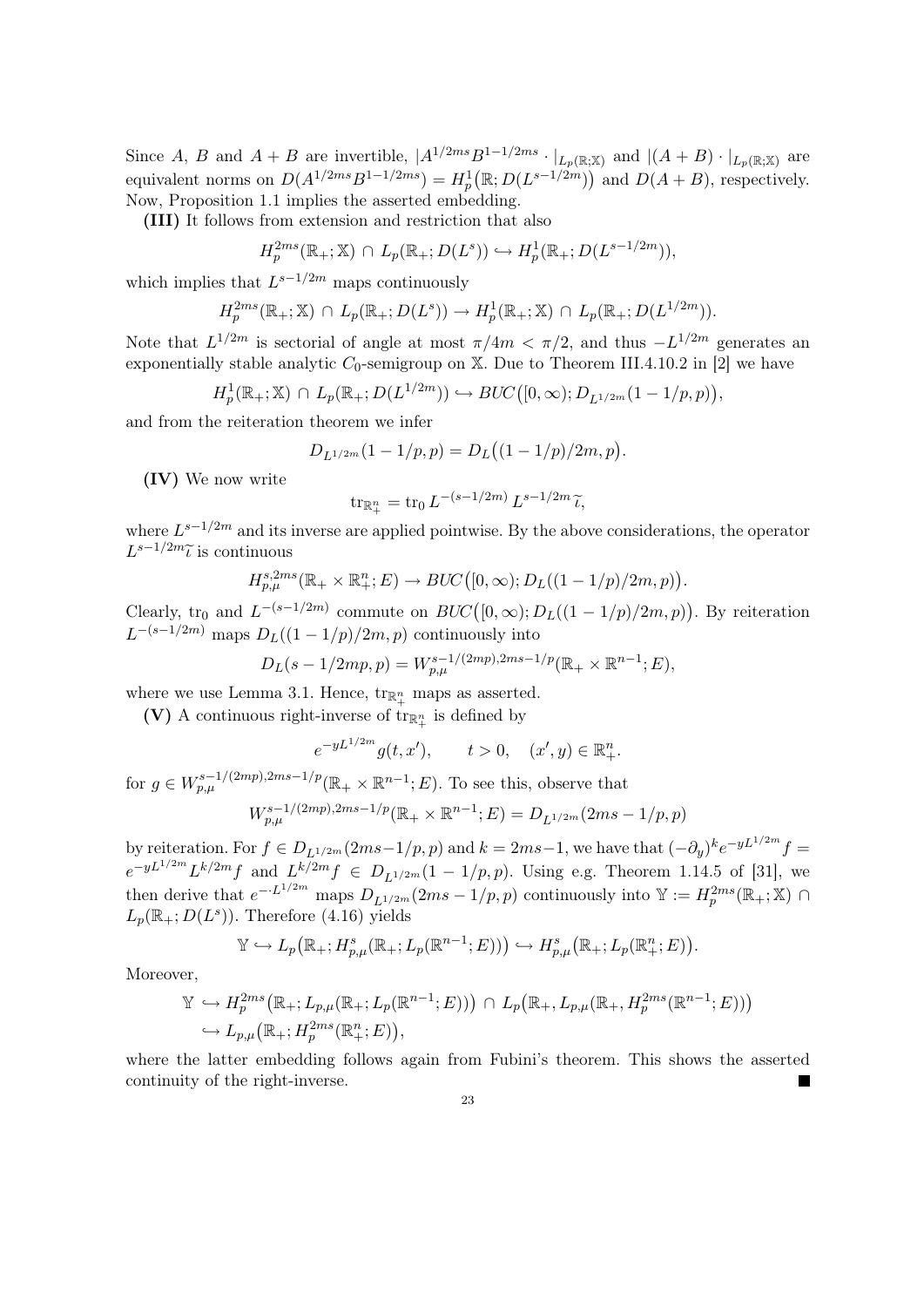Since A, B and  $A + B$  are invertible,  $|A^{1/2ms}B^{1-1/2ms} \cdot |_{L_p(\mathbb{R}; \mathbb{X})}$  and  $|(A + B) \cdot |_{L_p(\mathbb{R}; \mathbb{X})}$  are equivalent norms on  $D(A^{1/2ms}B^{1-1/2ms}) = H_p^1(\mathbb{R}; D(L^{s-1/2m}))$  and  $D(A + B)$ , respectively. Now, Proposition 1.1 implies the asserted embedding.

(III) It follows from extension and restriction that also

$$
H_p^{2ms}(\mathbb{R}_+;\mathbb{X}) \cap L_p(\mathbb{R}_+; D(L^s)) \hookrightarrow H_p^1(\mathbb{R}_+; D(L^{s-1/2m})),
$$

which implies that  $L^{s-1/2m}$  maps continuously

$$
H_p^{2ms}(\mathbb{R}_+;\mathbb{X}) \cap L_p(\mathbb{R}_+;D(L^s)) \to H_p^1(\mathbb{R}_+;\mathbb{X}) \cap L_p(\mathbb{R}_+;D(L^{1/2m})).
$$

Note that  $L^{1/2m}$  is sectorial of angle at most  $\pi/4m < \pi/2$ , and thus  $-L^{1/2m}$  generates an exponentially stable analytic  $C_0$ -semigroup on X. Due to Theorem III.4.10.2 in [2] we have

$$
H_p^1(\mathbb{R}_+;\mathbb{X}) \cap L_p(\mathbb{R}_+; D(L^{1/2m})) \hookrightarrow BUC([0,\infty); D_{L^{1/2m}}(1-1/p,p)),
$$

and from the reiteration theorem we infer

$$
D_{L^{1/2m}}(1-1/p,p) = D_L((1-1/p)/2m,p).
$$

(IV) We now write

$$
\operatorname{tr}_{\mathbb{R}^n_+} = \operatorname{tr}_0 L^{-(s-1/2m)} L^{s-1/2m} \widetilde{\iota},
$$

where  $L^{s-1/2m}$  and its inverse are applied pointwise. By the above considerations, the operator  $L^{s-1/2m}\tilde{l}$  is continuous

$$
H_{p,\mu}^{s,2ms}(\mathbb{R}_+ \times \mathbb{R}_+^n; E) \to BUC([0,\infty); D_L((1 - 1/p)/2m, p)).
$$

Clearly, tr<sub>0</sub> and  $L^{-(s-1/2m)}$  commute on  $BUC([0,\infty);D_L((1-1/p)/2m,p))$ . By reiteration  $L^{-(s-1/2m)}$  maps  $D_L((1-1/p)/2m, p)$  continuously into

$$
D_L(s - 1/2mp, p) = W_{p,\mu}^{s-1/(2mp), 2ms-1/p}(\mathbb{R}_+ \times \mathbb{R}^{n-1}; E),
$$

where we use Lemma 3.1. Hence,  $\text{tr}_{\mathbb{R}^n_+}$  maps as asserted.

(V) A continuous right-inverse of  $\text{tr}_{\mathbb{R}^n_+}$  is defined by

$$
e^{-yL^{1/2m}}g(t, x'),
$$
  $t > 0,$   $(x', y) \in \mathbb{R}^n_+.$ 

for  $g \in W^{s-1/(2mp),2ms-1/p}_{p,\mu}(\mathbb{R}_+ \times \mathbb{R}^{n-1};E)$ . To see this, observe that

$$
W_{p,\mu}^{s-1/(2mp),2ms-1/p}(\mathbb{R}_+ \times \mathbb{R}^{n-1}; E) = D_{L^{1/2m}}(2ms-1/p,p)
$$

by reiteration. For  $f \in D_{L^{1/2m}}(2ms-1/p, p)$  and  $k = 2ms-1$ , we have that  $(-\partial_y)^k e^{-yL^{1/2m}} f =$  $e^{-yL^{1/2m}}L^{k/2m}f$  and  $L^{k/2m}f \in D_{L^{1/2m}}(1-1/p,p)$ . Using e.g. Theorem 1.14.5 of [31], we then derive that  $e^{-\cdot L^{1/2m}}$  maps  $D_{L^{1/2m}}(2ms-1/p,p)$  continuously into  $\mathbb{Y} := H_p^{2ms}(\mathbb{R}_+;\mathbb{X})$  $L_p(\mathbb{R}_+;D(L^s))$ . Therefore (4.16) yields

$$
\mathbb{Y} \hookrightarrow L_p\big(\mathbb{R}_+; H^s_{p,\mu}(\mathbb{R}_+; L_p(\mathbb{R}^{n-1}; E))\big) \hookrightarrow H^s_{p,\mu}\big(\mathbb{R}_+; L_p(\mathbb{R}^n_+; E)\big).
$$

Moreover,

$$
\mathbb{Y} \hookrightarrow H_p^{2ms}(\mathbb{R}_+; L_{p,\mu}(\mathbb{R}_+; L_p(\mathbb{R}^{n-1}; E))) \cap L_p(\mathbb{R}_+, L_{p,\mu}(\mathbb{R}_+, H_p^{2ms}(\mathbb{R}^{n-1}; E)))
$$
  

$$
\hookrightarrow L_{p,\mu}(\mathbb{R}_+; H_p^{2ms}(\mathbb{R}^n; E)),
$$

where the latter embedding follows again from Fubini's theorem. This shows the asserted continuity of the right-inverse.  $\blacksquare$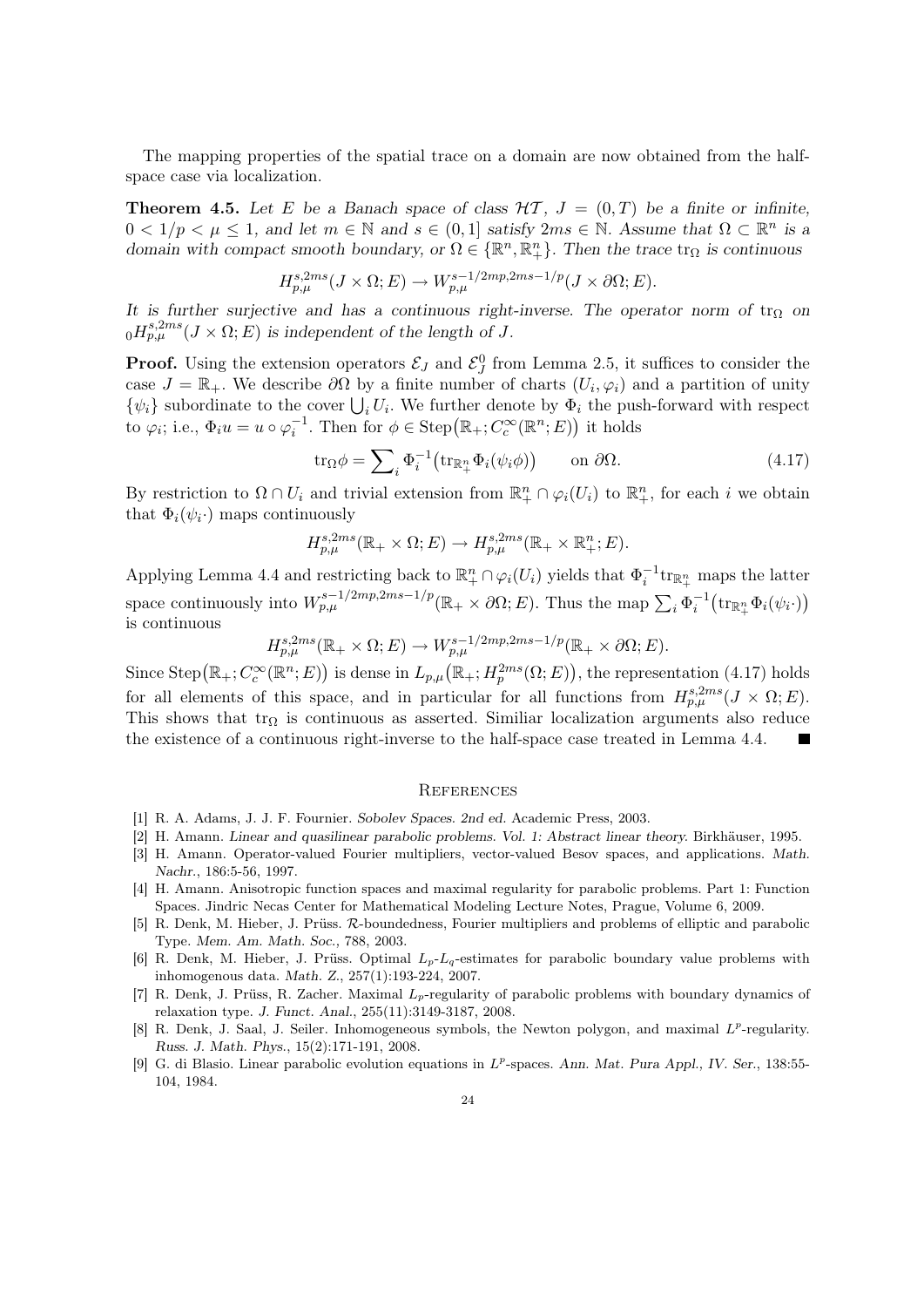The mapping properties of the spatial trace on a domain are now obtained from the halfspace case via localization.

**Theorem 4.5.** Let E be a Banach space of class  $H\mathcal{T}$ ,  $J = (0,T)$  be a finite or infinite,  $0 < 1/p < \mu \leq 1$ , and let  $m \in \mathbb{N}$  and  $s \in (0,1]$  satisfy  $2ms \in \mathbb{N}$ . Assume that  $\Omega \subset \mathbb{R}^n$  is a domain with compact smooth boundary, or  $\Omega \in \{\mathbb{R}^n, \mathbb{R}^n_+\}$ . Then the trace  $\text{tr}_{\Omega}$  is continuous

$$
H_{p,\mu}^{s,2ms}(J \times \Omega; E) \to W_{p,\mu}^{s-1/2mp,2ms-1/p}(J \times \partial \Omega; E).
$$

It is further surjective and has a continuous right-inverse. The operator norm of  $tr_{\Omega}$  on  $_{0}H_{p,\mu}^{s,2ms}(J\times\Omega;E)$  is independent of the length of J.

**Proof.** Using the extension operators  $\mathcal{E}_J$  and  $\mathcal{E}_J^0$  from Lemma 2.5, it suffices to consider the case  $J = \mathbb{R}_+$ . We describe  $\partial\Omega$  by a finite number of charts  $(U_i, \varphi_i)$  and a partition of unity  $\{\psi_i\}$  subordinate to the cover  $\bigcup_i U_i$ . We further denote by  $\Phi_i$  the push-forward with respect to  $\varphi_i$ ; i.e.,  $\Phi_i u = u \circ \varphi_i^{-1}$ . Then for  $\phi \in \text{Step}(\mathbb{R}_+; C_c^{\infty}(\mathbb{R}^n; E))$  it holds

$$
\operatorname{tr}_{\Omega} \phi = \sum_{i} \Phi_{i}^{-1} \big( \operatorname{tr}_{\mathbb{R}_{+}^{n}} \Phi_{i}(\psi_{i} \phi) \big) \qquad \text{on } \partial \Omega. \tag{4.17}
$$

By restriction to  $\Omega \cap U_i$  and trivial extension from  $\mathbb{R}^n_+ \cap \varphi_i(U_i)$  to  $\mathbb{R}^n_+$ , for each i we obtain that  $\Phi_i(\psi_i)$  maps continuously

$$
H^{s,2ms}_{p,\mu}(\mathbb{R}_+\times\Omega;E)\to H^{s,2ms}_{p,\mu}(\mathbb{R}_+\times\mathbb{R}^n_+;E).
$$

Applying Lemma 4.4 and restricting back to  $\mathbb{R}^n_+ \cap \varphi_i(U_i)$  yields that  $\Phi_i^{-1}$ tr $_{\mathbb{R}^n_+}$  maps the latter space continuously into  $W_{p,\mu}^{s-1/2mp,2ms-1/p}(\mathbb{R}_+\times\partial\Omega;E)$ . Thus the map  $\sum_i \Phi_i^{-1}(\text{tr}_{\mathbb{R}_+^n}\Phi_i(\psi_i\cdot))$ is continuous

 $H_{p,\mu}^{s,2ms}(\mathbb{R}_+\times\Omega;E)\to W_{p,\mu}^{s-1/2mp,2ms-1/p}(\mathbb{R}_+\times\partial\Omega;E).$ 

Since Step $(\mathbb{R}_+; C_c^{\infty}(\mathbb{R}^n; E))$  is dense in  $L_{p,\mu}(\mathbb{R}_+; H_p^{2ms}(\Omega; E))$ , the representation (4.17) holds for all elements of this space, and in particular for all functions from  $H_{p,\mu}^{s,2ms}(J \times \Omega; E)$ . This shows that  $tr_{\Omega}$  is continuous as asserted. Similiar localization arguments also reduce the existence of a continuous right-inverse to the half-space case treated in Lemma 4.4.

### **REFERENCES**

- [1] R. A. Adams, J. J. F. Fournier. Sobolev Spaces. 2nd ed. Academic Press, 2003.
- [2] H. Amann. Linear and quasilinear parabolic problems. Vol. 1: Abstract linear theory. Birkhäuser, 1995.
- [3] H. Amann. Operator-valued Fourier multipliers, vector-valued Besov spaces, and applications. Math. Nachr., 186:5-56, 1997.
- [4] H. Amann. Anisotropic function spaces and maximal regularity for parabolic problems. Part 1: Function Spaces. Jindric Necas Center for Mathematical Modeling Lecture Notes, Prague, Volume 6, 2009.
- [5] R. Denk, M. Hieber, J. Prüss. R-boundedness, Fourier multipliers and problems of elliptic and parabolic Type. Mem. Am. Math. Soc., 788, 2003.
- [6] R. Denk, M. Hieber, J. Prüss. Optimal  $L_p-L_q$ -estimates for parabolic boundary value problems with inhomogenous data. Math. Z., 257(1):193-224, 2007.
- [7] R. Denk, J. Prüss, R. Zacher. Maximal  $L_p$ -regularity of parabolic problems with boundary dynamics of relaxation type. J. Funct. Anal., 255(11):3149-3187, 2008.
- [8] R. Denk, J. Saal, J. Seiler. Inhomogeneous symbols, the Newton polygon, and maximal  $L^p$ -regularity. Russ. J. Math. Phys., 15(2):171-191, 2008.
- [9] G. di Blasio. Linear parabolic evolution equations in  $L^p$ -spaces. Ann. Mat. Pura Appl., IV. Ser., 138:55-104, 1984.